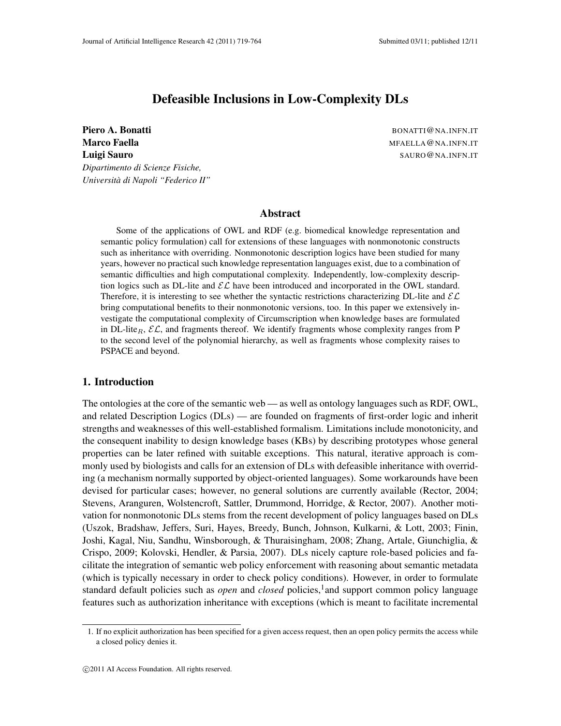# Defeasible Inclusions in Low-Complexity DLs

**Piero A. Bonatti** BONATTI@NA.INFN.IT Marco Faella Marco Faella Marco Faella Marco Faella Marco Faella Marco Faella Marco Faella Marco Fael Marco T Luigi Sauro SAURO@NA.INFN.IT *Dipartimento di Scienze Fisiche, Universita di Napoli "Federico II" `*

### Abstract

Some of the applications of OWL and RDF (e.g. biomedical knowledge representation and semantic policy formulation) call for extensions of these languages with nonmonotonic constructs such as inheritance with overriding. Nonmonotonic description logics have been studied for many years, however no practical such knowledge representation languages exist, due to a combination of semantic difficulties and high computational complexity. Independently, low-complexity description logics such as DL-lite and  $\mathcal{EL}$  have been introduced and incorporated in the OWL standard. Therefore, it is interesting to see whether the syntactic restrictions characterizing DL-lite and  $\mathcal{EL}$ bring computational benefits to their nonmonotonic versions, too. In this paper we extensively investigate the computational complexity of Circumscription when knowledge bases are formulated in DL-lite<sub>R</sub>,  $\mathcal{EL}$ , and fragments thereof. We identify fragments whose complexity ranges from P to the second level of the polynomial hierarchy, as well as fragments whose complexity raises to PSPACE and beyond.

### 1. Introduction

The ontologies at the core of the semantic web — as well as ontology languages such as RDF, OWL, and related Description Logics (DLs) — are founded on fragments of first-order logic and inherit strengths and weaknesses of this well-established formalism. Limitations include monotonicity, and the consequent inability to design knowledge bases (KBs) by describing prototypes whose general properties can be later refined with suitable exceptions. This natural, iterative approach is commonly used by biologists and calls for an extension of DLs with defeasible inheritance with overriding (a mechanism normally supported by object-oriented languages). Some workarounds have been devised for particular cases; however, no general solutions are currently available (Rector, 2004; Stevens, Aranguren, Wolstencroft, Sattler, Drummond, Horridge, & Rector, 2007). Another motivation for nonmonotonic DLs stems from the recent development of policy languages based on DLs (Uszok, Bradshaw, Jeffers, Suri, Hayes, Breedy, Bunch, Johnson, Kulkarni, & Lott, 2003; Finin, Joshi, Kagal, Niu, Sandhu, Winsborough, & Thuraisingham, 2008; Zhang, Artale, Giunchiglia, & Crispo, 2009; Kolovski, Hendler, & Parsia, 2007). DLs nicely capture role-based policies and facilitate the integration of semantic web policy enforcement with reasoning about semantic metadata (which is typically necessary in order to check policy conditions). However, in order to formulate standard default policies such as *open* and *closed* policies,<sup>1</sup> and support common policy language features such as authorization inheritance with exceptions (which is meant to facilitate incremental

<sup>1.</sup> If no explicit authorization has been specified for a given access request, then an open policy permits the access while a closed policy denies it.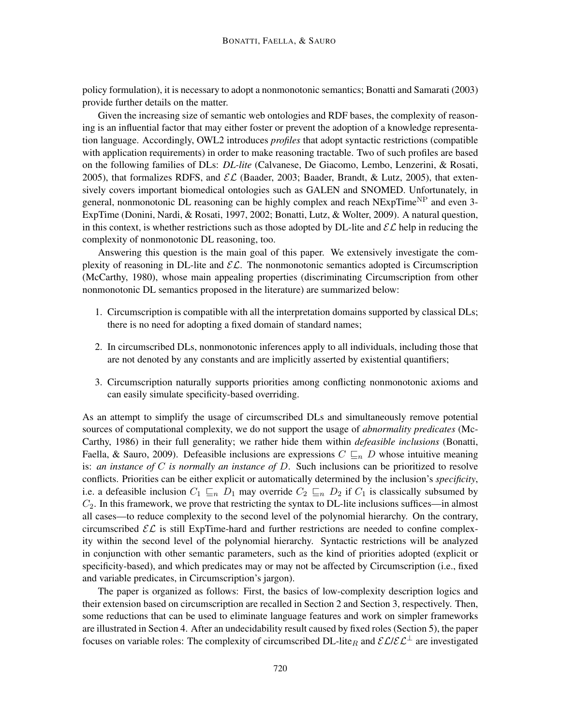policy formulation), it is necessary to adopt a nonmonotonic semantics; Bonatti and Samarati (2003) provide further details on the matter.

Given the increasing size of semantic web ontologies and RDF bases, the complexity of reasoning is an influential factor that may either foster or prevent the adoption of a knowledge representation language. Accordingly, OWL2 introduces *profiles* that adopt syntactic restrictions (compatible with application requirements) in order to make reasoning tractable. Two of such profiles are based on the following families of DLs: *DL-lite* (Calvanese, De Giacomo, Lembo, Lenzerini, & Rosati, 2005), that formalizes RDFS, and  $\mathcal{EL}$  (Baader, 2003; Baader, Brandt, & Lutz, 2005), that extensively covers important biomedical ontologies such as GALEN and SNOMED. Unfortunately, in general, nonmonotonic DL reasoning can be highly complex and reach  $NExpTime<sup>NP</sup>$  and even 3-ExpTime (Donini, Nardi, & Rosati, 1997, 2002; Bonatti, Lutz, & Wolter, 2009). A natural question, in this context, is whether restrictions such as those adopted by DL-lite and  $\mathcal{EL}$  help in reducing the complexity of nonmonotonic DL reasoning, too.

Answering this question is the main goal of this paper. We extensively investigate the complexity of reasoning in DL-lite and  $\mathcal{EL}$ . The nonmonotonic semantics adopted is Circumscription (McCarthy, 1980), whose main appealing properties (discriminating Circumscription from other nonmonotonic DL semantics proposed in the literature) are summarized below:

- 1. Circumscription is compatible with all the interpretation domains supported by classical DLs; there is no need for adopting a fixed domain of standard names;
- 2. In circumscribed DLs, nonmonotonic inferences apply to all individuals, including those that are not denoted by any constants and are implicitly asserted by existential quantifiers;
- 3. Circumscription naturally supports priorities among conflicting nonmonotonic axioms and can easily simulate specificity-based overriding.

As an attempt to simplify the usage of circumscribed DLs and simultaneously remove potential sources of computational complexity, we do not support the usage of *abnormality predicates* (Mc-Carthy, 1986) in their full generality; we rather hide them within *defeasible inclusions* (Bonatti, Faella, & Sauro, 2009). Defeasible inclusions are expressions  $C \sqsubseteq_n D$  whose intuitive meaning is: *an instance of* C *is normally an instance of* D. Such inclusions can be prioritized to resolve conflicts. Priorities can be either explicit or automatically determined by the inclusion's *specificity*, i.e. a defeasible inclusion  $C_1 \sqsubseteq_n D_1$  may override  $C_2 \sqsubseteq_n D_2$  if  $C_1$  is classically subsumed by  $C_2$ . In this framework, we prove that restricting the syntax to DL-lite inclusions suffices—in almost all cases—to reduce complexity to the second level of the polynomial hierarchy. On the contrary, circumscribed  $\mathcal{EL}$  is still ExpTime-hard and further restrictions are needed to confine complexity within the second level of the polynomial hierarchy. Syntactic restrictions will be analyzed in conjunction with other semantic parameters, such as the kind of priorities adopted (explicit or specificity-based), and which predicates may or may not be affected by Circumscription (i.e., fixed and variable predicates, in Circumscription's jargon).

The paper is organized as follows: First, the basics of low-complexity description logics and their extension based on circumscription are recalled in Section 2 and Section 3, respectively. Then, some reductions that can be used to eliminate language features and work on simpler frameworks are illustrated in Section 4. After an undecidability result caused by fixed roles (Section 5), the paper focuses on variable roles: The complexity of circumscribed DL-lite<sub>R</sub> and  $\mathcal{EL}/\mathcal{EL}^{\perp}$  are investigated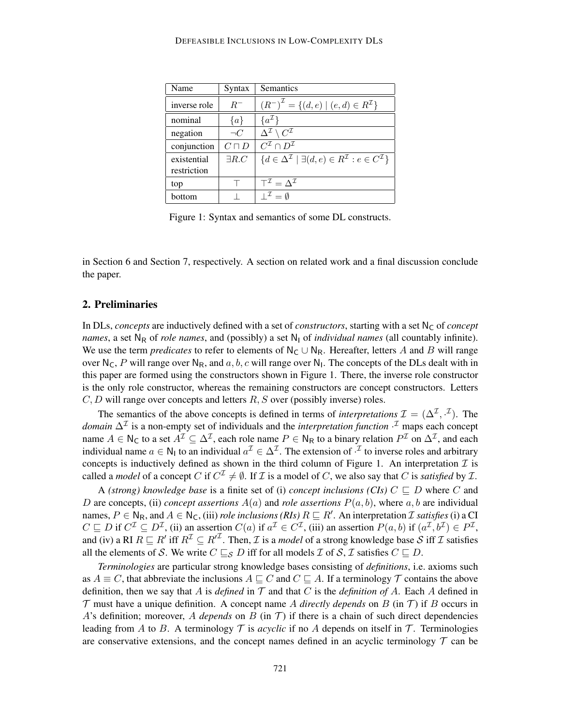| Name         | Syntax        | Semantics                                                                                         |
|--------------|---------------|---------------------------------------------------------------------------------------------------|
| inverse role | $R^-$         | $(R^{-})^{\mathcal{I}} = \{(d, e) \mid (e, d) \in R^{\mathcal{I}}\}\$                             |
| nominal      | $\{a\}$       | $\{a^{\mathcal{I}}\}$                                                                             |
| negation     | $\neg C$      | $\Delta^{\mathcal{I}} \setminus C^{\mathcal{I}}$                                                  |
| conjunction  | $C\sqcap D$   | $C^{\mathcal{I}} \cap D^{\mathcal{I}}$                                                            |
| existential  | $\exists R.C$ | $\{d \in \Delta^{\mathcal{I}} \mid \exists (d, e) \in R^{\mathcal{I}} : e \in C^{\mathcal{I}}\}\$ |
| restriction  |               |                                                                                                   |
| top          |               | $T^{\mathcal{I}} = \Lambda^{\mathcal{I}}$                                                         |
| bottom       |               | $I^{\mathcal{I}} = \emptyset$                                                                     |

Figure 1: Syntax and semantics of some DL constructs.

in Section 6 and Section 7, respectively. A section on related work and a final discussion conclude the paper.

### 2. Preliminaries

In DLs, *concepts* are inductively defined with a set of *constructors*, starting with a set  $N_c$  of *concept names*, a set N<sub>R</sub> of *role names*, and (possibly) a set N<sub>I</sub> of *individual names* (all countably infinite). We use the term *predicates* to refer to elements of  $N_c \cup N_R$ . Hereafter, letters A and B will range over N<sub>C</sub>, P will range over N<sub>R</sub>, and  $a, b, c$  will range over N<sub>I</sub>. The concepts of the DLs dealt with in this paper are formed using the constructors shown in Figure 1. There, the inverse role constructor is the only role constructor, whereas the remaining constructors are concept constructors. Letters  $C, D$  will range over concepts and letters  $R, S$  over (possibly inverse) roles.

The semantics of the above concepts is defined in terms of *interpretations*  $\mathcal{I} = (\Delta^{\mathcal{I}}, \cdot^{\mathcal{I}})$ . The *domain*  $\Delta^{\mathcal{I}}$  is a non-empty set of individuals and the *interpretation function*  $\cdot^{\mathcal{I}}$  maps each concept name  $A \in N_C$  to a set  $A^{\mathcal{I}} \subseteq \Delta^{\mathcal{I}}$ , each role name  $P \in N_R$  to a binary relation  $P^{\mathcal{I}}$  on  $\Delta^{\mathcal{I}}$ , and each individual name  $a \in N_1$  to an individual  $a^{\mathcal{I}} \in \Delta^{\mathcal{I}}$ . The extension of  $\cdot^{\mathcal{I}}$  to inverse roles and arbitrary concepts is inductively defined as shown in the third column of Figure 1. An interpretation  $\mathcal I$  is called a *model* of a concept C if  $C^{\mathcal{I}} \neq \emptyset$ . If  $\mathcal{I}$  is a model of C, we also say that C is *satisfied* by  $\mathcal{I}$ .

A *(strong)* knowledge base is a finite set of (i) *concept inclusions (CIs)*  $C \sqsubseteq D$  where C and D are concepts, (ii) *concept assertions*  $A(a)$  and *role assertions*  $P(a, b)$ , where  $a, b$  are individual names,  $P \in N_R$ , and  $A \in N_C$ , (iii) *role inclusions (RIs)*  $R \sqsubseteq R'$ . An interpretation *I satisfies* (i) a CI  $C \sqsubseteq D$  if  $C^{\mathcal{I}} \subseteq D^{\mathcal{I}}$ , (ii) an assertion  $C(a)$  if  $a^{\mathcal{I}} \in C^{\mathcal{I}}$ , (iii) an assertion  $P(a, b)$  if  $(a^{\mathcal{I}}, b^{\mathcal{I}}) \in P^{\mathcal{I}}$ , and (iv) a RI  $R \sqsubseteq R'$  iff  $R^{\mathcal{I}} \subseteq R'^{\mathcal{I}}$ . Then,  $\mathcal I$  is a *model* of a strong knowledge base  $S$  iff  $\mathcal I$  satisfies all the elements of S. We write  $C \sqsubseteq_S D$  iff for all models  $\mathcal I$  of  $\mathcal S, \mathcal I$  satisfies  $C \sqsubseteq D$ .

*Terminologies* are particular strong knowledge bases consisting of *definitions*, i.e. axioms such as  $A \equiv C$ , that abbreviate the inclusions  $A \sqsubseteq C$  and  $C \sqsubseteq A$ . If a terminology  $\mathcal T$  contains the above definition, then we say that A is *defined* in  $\mathcal T$  and that C is the *definition of* A. Each A defined in  $\mathcal T$  must have a unique definition. A concept name A *directly depends* on B (in  $\mathcal T$ ) if B occurs in A's definition; moreover, A *depends* on B (in T) if there is a chain of such direct dependencies leading from A to B. A terminology  $\mathcal T$  is *acyclic* if no A depends on itself in  $\mathcal T$ . Terminologies are conservative extensions, and the concept names defined in an acyclic terminology  $\mathcal T$  can be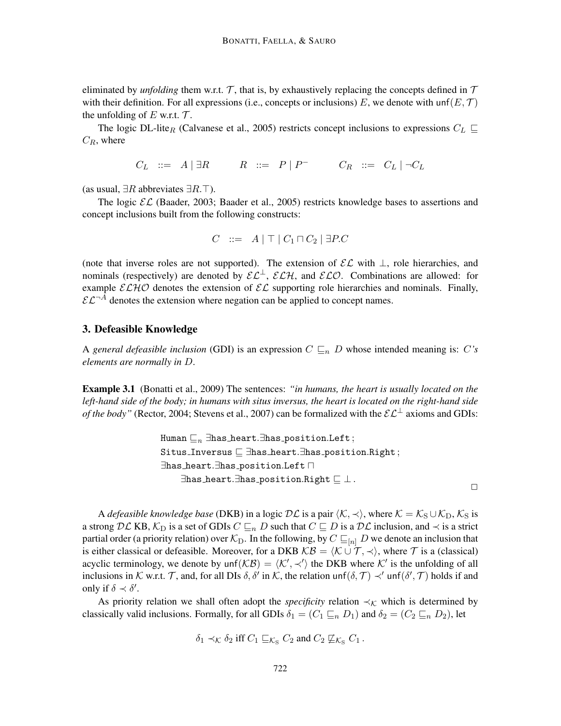eliminated by *unfolding* them w.r.t.  $\mathcal{T}$ , that is, by exhaustively replacing the concepts defined in  $\mathcal{T}$ with their definition. For all expressions (i.e., concepts or inclusions) E, we denote with unf( $E, \mathcal{T}$ ) the unfolding of  $E$  w.r.t.  $\mathcal{T}$ .

The logic DL-lite<sub>R</sub> (Calvanese et al., 2005) restricts concept inclusions to expressions  $C_L \subseteq$  $C_R$ , where

 $C_L$  ::=  $A \mid \exists R$   $R$  ::=  $P \mid P^ C_R$  ::=  $C_L \mid \neg C_L$ 

(as usual,  $\exists R$  abbreviates  $\exists R.\top$ ).

The logic  $\mathcal{EL}$  (Baader, 2003; Baader et al., 2005) restricts knowledge bases to assertions and concept inclusions built from the following constructs:

$$
C \ ::= \ A \mid \top \mid C_1 \sqcap C_2 \mid \exists P.C
$$

(note that inverse roles are not supported). The extension of  $\mathcal{EL}$  with  $\perp$ , role hierarchies, and nominals (respectively) are denoted by  $\mathcal{EL}^{\perp}$ ,  $\mathcal{ELH}$ , and  $\mathcal{ELO}$ . Combinations are allowed: for example  $\mathcal{ELHO}$  denotes the extension of  $\mathcal{EL}$  supporting role hierarchies and nominals. Finally,  $\mathcal{EL}^{-\hat{A}}$  denotes the extension where negation can be applied to concept names.

### 3. Defeasible Knowledge

A *general defeasible inclusion* (GDI) is an expression  $C \subseteq_n D$  whose intended meaning is: C's *elements are normally in* D.

Example 3.1 (Bonatti et al., 2009) The sentences: *"in humans, the heart is usually located on the left-hand side of the body; in humans with situs inversus, the heart is located on the right-hand side of the body"* (Rector, 2004; Stevens et al., 2007) can be formalized with the  $\mathcal{EL}^{\perp}$  axioms and GDIs:

```
Human \sqsubseteq_n ∃has heart.∃has position.Left;
Situs_Inversus \Box ∃has heart.∃has position.Right;
∃has_heart.∃has_position.Left n
     \existshas heart.\existshas position.Right \sqsubseteq \bot.
                                                                               \Box
```
A *defeasible knowledge base* (DKB) in a logic  $D\mathcal{L}$  is a pair  $\langle K, \prec \rangle$ , where  $\mathcal{K} = \mathcal{K}_{S} \cup \mathcal{K}_{D}$ ,  $\mathcal{K}_{S}$  is a strong DL KB,  $\mathcal{K}_D$  is a set of GDIs  $C \sqsubseteq_n D$  such that  $C \sqsubseteq D$  is a DL inclusion, and  $\prec$  is a strict partial order (a priority relation) over  $\mathcal{K}_D$ . In the following, by  $C \sqsubseteq_{[n]} D$  we denote an inclusion that is either classical or defeasible. Moreover, for a DKB  $KB = \langle K \cup \mathcal{T}, \prec \rangle$ , where  $\mathcal{T}$  is a (classical) acyclic terminology, we denote by  $\text{unf}(\mathcal{KB}) = \langle \mathcal{K}', \prec' \rangle$  the DKB where  $\mathcal{K}'$  is the unfolding of all inclusions in K w.r.t. T, and, for all DIs  $\delta$ ,  $\delta'$  in K, the relation unf $(\delta, \mathcal{T}) \prec'$  unf $(\delta', \mathcal{T})$  holds if and only if  $\delta \prec \delta'$ .

As priority relation we shall often adopt the *specificity* relation  $\prec_K$  which is determined by classically valid inclusions. Formally, for all GDIs  $\delta_1 = (C_1 \sqsubseteq_n D_1)$  and  $\delta_2 = (C_2 \sqsubseteq_n D_2)$ , let

$$
\delta_1 \prec_{\mathcal{K}} \delta_2
$$
 iff  $C_1 \sqsubseteq_{\mathcal{K}_S} C_2$  and  $C_2 \not\sqsubseteq_{\mathcal{K}_S} C_1$ .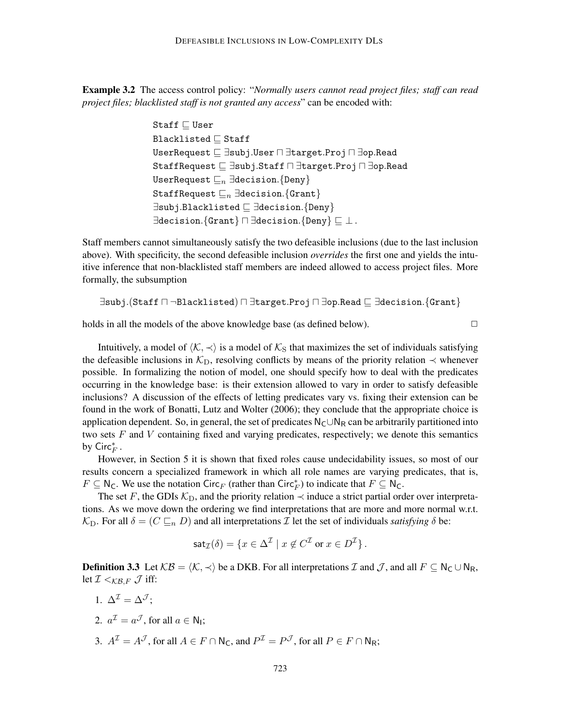Example 3.2 The access control policy: "*Normally users cannot read project files; staff can read project files; blacklisted staff is not granted any access*" can be encoded with:

```
Staff \Box User
Blacklisted \sqsubset Staff
UserRequest \sqsubseteq \existssubj.User \sqcap \existstarget.Proj \sqcap \existsop.Read
StaffRequest \sqsubseteq \exists \texttt{subj}. \texttt{Staff} \sqcap \exists \texttt{target}. \texttt{Proj} \sqcap \exists \texttt{op}. \texttt{Read}UserRequest \sqsubseteq_n \existsdecision.{Deny}
StaffRequest \sqsubseteq_n \existsdecision.{Grant}
∃subj.Blacklisted v ∃decision.{Deny}
\existsdecision.{Grant} \sqcap \existsdecision.{Deny} \sqsubseteq \bot.
```
Staff members cannot simultaneously satisfy the two defeasible inclusions (due to the last inclusion above). With specificity, the second defeasible inclusion *overrides* the first one and yields the intuitive inference that non-blacklisted staff members are indeed allowed to access project files. More formally, the subsumption

$$
\exists \mathtt{subj}.(\mathtt{Staff} \sqcap \neg \mathtt{Blacklisted}) \sqcap \exists \mathtt{target}. \mathtt{Proj} \sqcap \exists \mathtt{op}.\mathtt{Read} \sqsubseteq \exists \mathtt{decision}. \{\mathtt{Grant}\}
$$

holds in all the models of the above knowledge base (as defined below).  $\Box$ 

Intuitively, a model of  $\langle K, \prec \rangle$  is a model of  $\mathcal{K}_S$  that maximizes the set of individuals satisfying the defeasible inclusions in  $\mathcal{K}_{\text{D}}$ , resolving conflicts by means of the priority relation  $\prec$  whenever possible. In formalizing the notion of model, one should specify how to deal with the predicates occurring in the knowledge base: is their extension allowed to vary in order to satisfy defeasible inclusions? A discussion of the effects of letting predicates vary vs. fixing their extension can be found in the work of Bonatti, Lutz and Wolter (2006); they conclude that the appropriate choice is application dependent. So, in general, the set of predicates  $N_C \cup N_R$  can be arbitrarily partitioned into two sets  $F$  and  $V$  containing fixed and varying predicates, respectively; we denote this semantics by  $\mathsf{Circ}^*_F$  .

However, in Section 5 it is shown that fixed roles cause undecidability issues, so most of our results concern a specialized framework in which all role names are varying predicates, that is,  $F \subseteq \mathsf{N}_\mathsf{C}$ . We use the notation Circ<sub>F</sub> (rather than Circ<sup>\*</sup><sub>F</sub>) to indicate that  $F \subseteq \mathsf{N}_\mathsf{C}$ .

The set F, the GDIs  $K_D$ , and the priority relation  $\prec$  induce a strict partial order over interpretations. As we move down the ordering we find interpretations that are more and more normal w.r.t.  $\mathcal{K}_D$ . For all  $\delta = (C \sqsubseteq_n D)$  and all interpretations *I* let the set of individuals *satisfying*  $\delta$  be:

$$
\operatorname{sat}_{\mathcal{I}}(\delta) = \{ x \in \Delta^{\mathcal{I}} \mid x \notin C^{\mathcal{I}} \text{ or } x \in D^{\mathcal{I}} \}.
$$

**Definition 3.3** Let  $KB = \langle K, \prec \rangle$  be a DKB. For all interpretations I and J, and all  $F \subseteq N_C \cup N_R$ , let  $\mathcal{I} <_{\mathcal{KB}, F} \mathcal{J}$  iff:

- 1.  $\Delta^{\mathcal{I}} = \Delta^{\mathcal{J}}$ :
- 2.  $a^{\mathcal{I}} = a^{\mathcal{J}}$ , for all  $a \in \mathsf{N}_{\mathsf{I}}$ ;
- 3.  $A^{\mathcal{I}} = A^{\mathcal{J}}$ , for all  $A \in F \cap \mathsf{N}_\mathsf{C}$ , and  $P^{\mathcal{I}} = P^{\mathcal{J}}$ , for all  $P \in F \cap \mathsf{N}_\mathsf{R}$ ;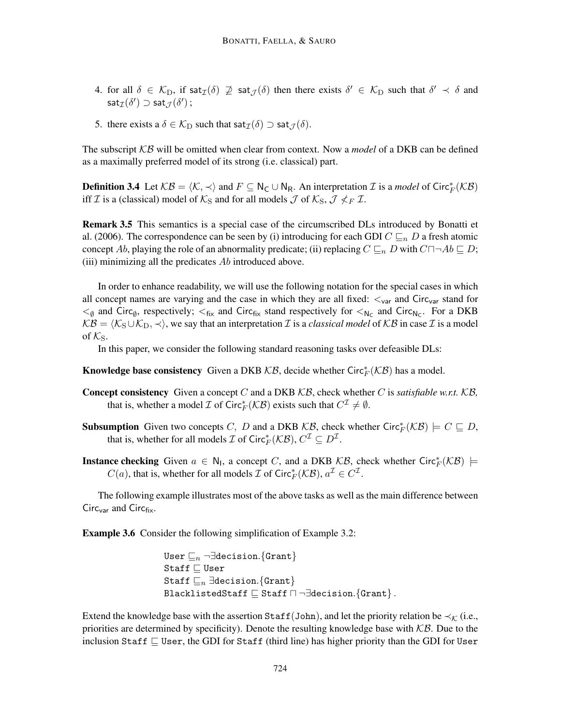- 4. for all  $\delta \in \mathcal{K}_D$ , if sat $\mathcal{I}(\delta) \not\supseteq \mathsf{sat}_{\mathcal{J}}(\delta)$  then there exists  $\delta' \in \mathcal{K}_D$  such that  $\delta' \prec \delta$  and  $\mathsf{sat}_\mathcal{I}(\delta')\supset \mathsf{sat}_\mathcal{J}(\delta')$  ;
- 5. there exists a  $\delta \in \mathcal{K}_D$  such that sat $\tau(\delta) \supset \text{sat}_{\mathcal{J}}(\delta)$ .

The subscript KB will be omitted when clear from context. Now a *model* of a DKB can be defined as a maximally preferred model of its strong (i.e. classical) part.

**Definition 3.4** Let  $KB = \langle K, \prec \rangle$  and  $F \subseteq N_C \cup N_R$ . An interpretation *I* is a *model* of Circ<sub>*F*</sub>( $KB$ ) iff *I* is a (classical) model of  $K_S$  and for all models *J* of  $K_S$ ,  $\mathcal{J} \nleq_F \mathcal{I}$ .

Remark 3.5 This semantics is a special case of the circumscribed DLs introduced by Bonatti et al. (2006). The correspondence can be seen by (i) introducing for each GDI  $C \sqsubseteq_n D$  a fresh atomic concept Ab, playing the role of an abnormality predicate; (ii) replacing  $C \sqsubseteq_n D$  with  $C \sqcap \neg Ab \sqsubseteq D$ ; (iii) minimizing all the predicates  $Ab$  introduced above.

In order to enhance readability, we will use the following notation for the special cases in which all concept names are varying and the case in which they are all fixed:  $\lt_{var}$  and Circ<sub>var</sub> stand for  $\lt_{\emptyset}$  and Circ<sub> $\emptyset$ </sub>, respectively;  $\lt_{fix}$  and Circ<sub>fix</sub> stand respectively for  $\lt_{N_c}$  and Circ<sub>Nc</sub>. For a DKB  $KB = \langle K_S \cup K_D, \prec \rangle$ , we say that an interpretation *I* is a *classical model* of KB in case *I* is a model of  $\mathcal{K}_\mathbf{S}$ .

In this paper, we consider the following standard reasoning tasks over defeasible DLs:

**Knowledge base consistency** Given a DKB  $KB$ , decide whether Circ<sup>\*</sup><sub>F</sub>( $KB$ ) has a model.

- Concept consistency Given a concept C and a DKB KB, check whether C is *satisfiable w.r.t.* KB*,* that is, whether a model  $\mathcal I$  of Circ $^*_{F}(\mathcal{KB})$  exists such that  $C^{\mathcal I}\neq\emptyset$ .
- **Subsumption** Given two concepts C, D and a DKB  $KB$ , check whether Circ $^*_{F}(\mathcal{KB}) \models C \sqsubseteq D$ , that is, whether for all models  $\mathcal I$  of  $\mathsf{Circ}_F^*(\mathcal{KB}), C^{\mathcal I} \subseteq D^{\mathcal I}$ .
- **Instance checking** Given  $a \in N_1$ , a concept C, and a DKB  $KB$ , check whether Circ<sup>\*</sup><sub>F</sub>( $KB$ )  $\models$  $C(a)$ , that is, whether for all models  $\mathcal I$  of Circ $^*_{F}(\mathcal{KB})$ ,  $a^{\mathcal I} \in C^{\mathcal I}$ .

The following example illustrates most of the above tasks as well as the main difference between Circ $_{\text{var}}$  and Circ $_{\text{fix}}$ .

Example 3.6 Consider the following simplification of Example 3.2:

User  $\sqsubseteq_n \neg \exists \texttt{decision}.$  {Grant} Staff  $\Box$  User Staff  $\mathbb{E}_n$  ∃decision.{Grant} BlacklistedStaff  $\Box$  Staff  $\Box$   $\neg \exists$ decision.{Grant}.

Extend the knowledge base with the assertion Staff(John), and let the priority relation be  $\prec_{\mathcal{K}}$  (i.e., priorities are determined by specificity). Denote the resulting knowledge base with  $K\mathcal{B}$ . Due to the inclusion Staff  $\Box$  User, the GDI for Staff (third line) has higher priority than the GDI for User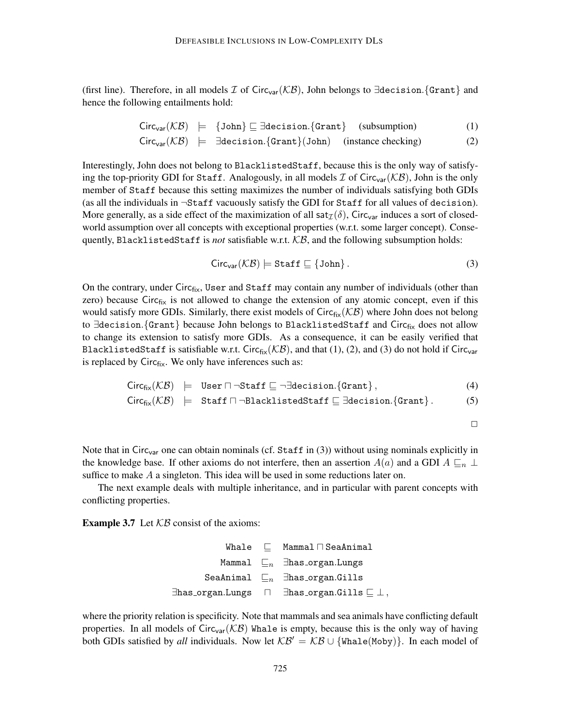(first line). Therefore, in all models  $\mathcal I$  of Circ<sub>var</sub>( $\mathcal{KB}$ ), John belongs to ∃decision.{Grant} and hence the following entailments hold:

$$
Circ_{var}(\mathcal{KB}) \models \{John\} \sqsubseteq \exists decision. \{Grant\} \quad (subsumption) \tag{1}
$$

$$
Circ_{var}(\mathcal{KB}) \models \exists decision. \{Grant\} (John) \quad (instance checking) \tag{2}
$$

Interestingly, John does not belong to BlacklistedStaff, because this is the only way of satisfying the top-priority GDI for Staff. Analogously, in all models  $\mathcal I$  of Circ<sub>var</sub>( $\mathcal{KB}$ ), John is the only member of Staff because this setting maximizes the number of individuals satisfying both GDIs (as all the individuals in  $\neg$ Staff vacuously satisfy the GDI for Staff for all values of decision). More generally, as a side effect of the maximization of all sat $\tau(\delta)$ , Circ<sub>var</sub> induces a sort of closedworld assumption over all concepts with exceptional properties (w.r.t. some larger concept). Consequently, BlacklistedStaff is *not* satisfiable w.r.t.  $KB$ , and the following subsumption holds:

$$
Circ_{var}(\mathcal{KB}) \models \text{Staff} \sqsubseteq \{\text{John}\}\,.
$$

On the contrary, under  $Circ_{fix}$ , User and Staff may contain any number of individuals (other than zero) because Circ $f_{fix}$  is not allowed to change the extension of any atomic concept, even if this would satisfy more GDIs. Similarly, there exist models of  $Circ_{fix}(\mathcal{KB})$  where John does not belong to ∃decision. {Grant} because John belongs to BlacklistedStaff and Circfix does not allow to change its extension to satisfy more GDIs. As a consequence, it can be easily verified that BlacklistedStaff is satisfiable w.r.t. Circ<sub>fix</sub>( $KB$ ), and that (1), (2), and (3) do not hold if Circ<sub>var</sub> is replaced by  $Circ_{fix}$ . We only have inferences such as:

$$
Circ_{fix}(\mathcal{KB}) \models User \sqcap \neg Staff \sqsubseteq \neg \exists decision.\{Grant\}, \qquad (4)
$$

$$
Circ_{fix}(\mathcal{KB}) \models \text{Staff} \sqcap \neg \text{BlacklistedStatf} \sqsubseteq \exists \text{decision.}\{\text{Grant}\}. \tag{5}
$$

$$
\qquad \qquad \Box
$$

Note that in Circ<sub>var</sub> one can obtain nominals (cf. Staff in (3)) without using nominals explicitly in the knowledge base. If other axioms do not interfere, then an assertion  $A(a)$  and a GDI  $A \sqsubseteq_n \bot$ suffice to make  $A$  a singleton. This idea will be used in some reductions later on.

The next example deals with multiple inheritance, and in particular with parent concepts with conflicting properties.

**Example 3.7** Let  $KB$  consist of the axioms:

```
Whale \Box Mammal \Box SeaAnimal
           Mammal \sqsubseteq_n ∃has organ.Lungs
        SeaAnimal \sqsubseteq_n ∃has organ.Gills
\existshas organ.Lungs \Box \existshas organ.Gills \Box \perp,
```
where the priority relation is specificity. Note that mammals and sea animals have conflicting default properties. In all models of Circ<sub>var</sub>( $KB$ ) Whale is empty, because this is the only way of having both GDIs satisfied by *all* individuals. Now let  $KB' = KB \cup \{Whate(Moby)\}$ . In each model of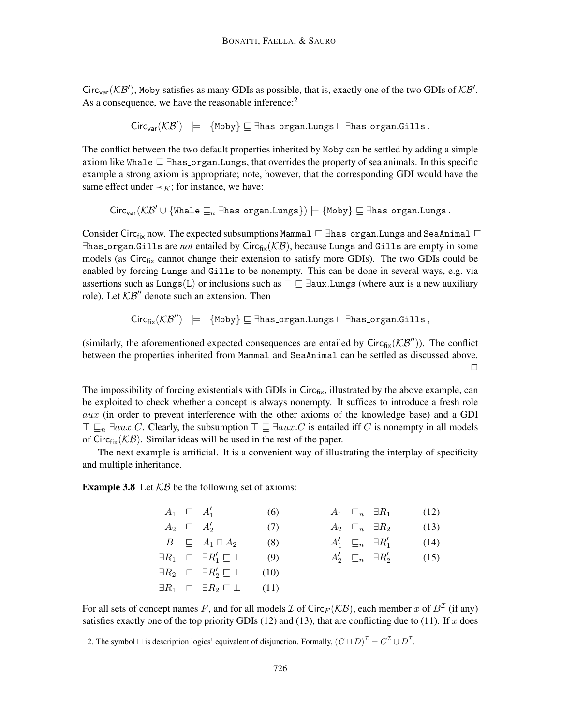Circ<sub>var</sub>( $KB'$ ), Moby satisfies as many GDIs as possible, that is, exactly one of the two GDIs of  $KB'$ . As a consequence, we have the reasonable inference:<sup>2</sup>

 $\textsf{Circ}_{\textsf{var}}(\mathcal{KB}') \ \models \ \{\texttt{Moby}\} \sqsubseteq \exists \texttt{has\_organ.Lungs} \sqcup \exists \texttt{has\_organ.Gills}\,.$ 

The conflict between the two default properties inherited by Moby can be settled by adding a simple axiom like Whale  $\subseteq \exists$ has organ.Lungs, that overrides the property of sea animals. In this specific example a strong axiom is appropriate; note, however, that the corresponding GDI would have the same effect under  $\prec_K$ ; for instance, we have:

$$
\mathsf{Circ}_{\mathsf{var}}(\mathcal{KB}' \cup \{\mathtt{Whate} \sqsubseteq_n \exists \mathtt{has\_organ}.\mathtt{Lungs}\}) \models \{\mathtt{Moby}\} \sqsubseteq \exists \mathtt{has\_organ}.\mathtt{Lungs}\}.
$$

Consider Circ<sub>fix</sub> now. The expected subsumptions Mammal  $\subseteq$  ∃has organ.Lungs and SeaAnimal  $\subseteq$ ∃has organ.Gills are *not* entailed by Circfix(KB), because Lungs and Gills are empty in some models (as Circ<sub>fix</sub> cannot change their extension to satisfy more GDIs). The two GDIs could be enabled by forcing Lungs and Gills to be nonempty. This can be done in several ways, e.g. via assertions such as Lungs(L) or inclusions such as  $\top \sqsubseteq \exists$ aux.Lungs (where aux is a new auxiliary role). Let  $KB''$  denote such an extension. Then

 $Circ_{fix}(\mathcal{KB}'')$   $\models$  {Moby}  $\Box$  ∃has organ.Lungs  $\Box$  ∃has organ.Gills,

(similarly, the aforementioned expected consequences are entailed by  $Circ_{fix}(\mathcal{KB}'')$ ). The conflict between the properties inherited from Mammal and SeaAnimal can be settled as discussed above.  $\Box$ 

The impossibility of forcing existentials with GDIs in  $Circ_{fix}$ , illustrated by the above example, can be exploited to check whether a concept is always nonempty. It suffices to introduce a fresh role aux (in order to prevent interference with the other axioms of the knowledge base) and a GDI  $\top \sqsubseteq_n \exists aux.C.$  Clearly, the subsumption  $\top \sqsubseteq \exists aux.C$  is entailed iff C is nonempty in all models of Circ $f_{fix}(\mathcal{KB})$ . Similar ideas will be used in the rest of the paper.

The next example is artificial. It is a convenient way of illustrating the interplay of specificity and multiple inheritance.

**Example 3.8** Let  $KB$  be the following set of axioms:

|  | $A_1 \subseteq A'_1$                                                | (6) |  | $A_1 \subseteq_n \exists R_1$   | (12) |
|--|---------------------------------------------------------------------|-----|--|---------------------------------|------|
|  | $A_2 \subseteq A'_2$                                                | (7) |  | $A_2 \subseteq_n \exists R_2$   | (13) |
|  | $B \subseteq A_1 \sqcap A_2$                                        | (8) |  | $A'_1 \subseteq_n \exists R'_1$ | (14) |
|  | $\exists R_1 \quad \sqcap \quad \exists R'_1 \sqsubseteq \bot$ (9)  |     |  | $A'_2 \subseteq_n \exists R'_2$ | (15) |
|  | $\exists R_2 \quad \sqcap \quad \exists R'_2 \sqsubseteq \bot$ (10) |     |  |                                 |      |
|  | $\exists R_1 \quad \sqcap \quad \exists R_2 \sqsubseteq \bot$ (11)  |     |  |                                 |      |

For all sets of concept names F, and for all models  $\mathcal I$  of Circ $_F(\mathcal{KB})$ , each member  $x$  of  $B^\mathcal I$  (if any) satisfies exactly one of the top priority GDIs (12) and (13), that are conflicting due to (11). If x does

<sup>2.</sup> The symbol  $\sqcup$  is description logics' equivalent of disjunction. Formally,  $(C \sqcup D)^{\mathcal{I}} = C^{\mathcal{I}} \cup D^{\mathcal{I}}$ .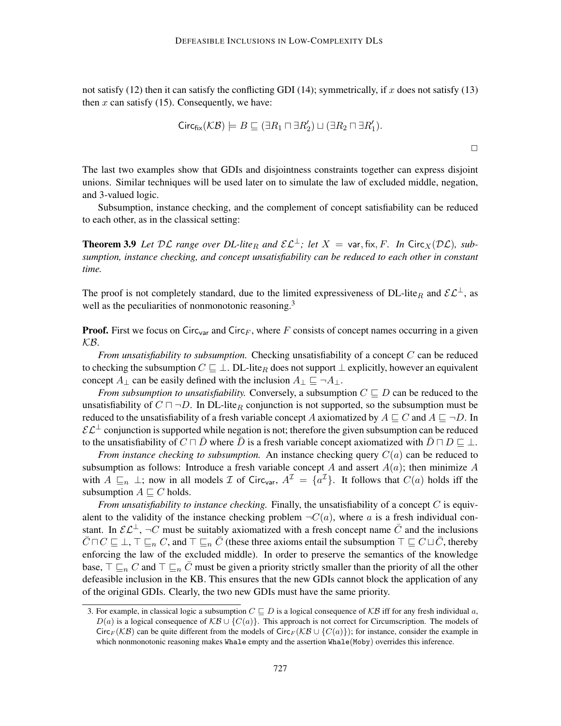not satisfy (12) then it can satisfy the conflicting GDI (14); symmetrically, if x does not satisfy (13) then  $x$  can satisfy (15). Consequently, we have:

$$
\mathsf{Circ}_{\mathsf{fix}}(\mathcal{KB}) \models B \sqsubseteq (\exists R_1 \sqcap \exists R_2') \sqcup (\exists R_2 \sqcap \exists R_1').
$$

The last two examples show that GDIs and disjointness constraints together can express disjoint unions. Similar techniques will be used later on to simulate the law of excluded middle, negation, and 3-valued logic.

Subsumption, instance checking, and the complement of concept satisfiability can be reduced to each other, as in the classical setting:

**Theorem 3.9** Let  $D\mathcal{L}$  range over  $DL$ -lite<sub>R</sub> and  $\mathcal{EL}^{\perp}$ ; let  $X = \text{var, fix}, F$ . In Circ<sub>X</sub>( $D\mathcal{L}$ ), sub*sumption, instance checking, and concept unsatisfiability can be reduced to each other in constant time.*

The proof is not completely standard, due to the limited expressiveness of DL-lite<sub>R</sub> and  $\mathcal{EL}^{\perp}$ , as well as the peculiarities of nonmonotonic reasoning.<sup>3</sup>

**Proof.** First we focus on Circ<sub>var</sub> and Circ<sub>F</sub>, where F consists of concept names occurring in a given KB.

*From unsatisfiability to subsumption.* Checking unsatisfiability of a concept C can be reduced to checking the subsumption  $C \subseteq \perp$ . DL-lite<sub>R</sub> does not support  $\perp$  explicitly, however an equivalent concept  $A_{\perp}$  can be easily defined with the inclusion  $A_{\perp} \sqsubseteq \neg A_{\perp}$ .

*From subsumption to unsatisfiability.* Conversely, a subsumption  $C \sqsubseteq D$  can be reduced to the unsatisfiability of  $C \sqcap \neg D$ . In DL-lite<sub>R</sub> conjunction is not supported, so the subsumption must be reduced to the unsatisfiability of a fresh variable concept A axiomatized by  $A \sqsubseteq C$  and  $A \sqsubseteq \neg D$ . In  $\mathcal{E} \mathcal{L}^{\perp}$  conjunction is supported while negation is not; therefore the given subsumption can be reduced to the unsatisfiability of  $C \sqcap \bar{D}$  where  $\bar{D}$  is a fresh variable concept axiomatized with  $\bar{D} \sqcap D \sqsubseteq \bot$ .

*From instance checking to subsumption.* An instance checking query  $C(a)$  can be reduced to subsumption as follows: Introduce a fresh variable concept A and assert  $A(a)$ ; then minimize A with  $A \sqsubseteq_n \bot$ ; now in all models  $\mathcal I$  of Circ<sub>var</sub>,  $A^{\mathcal I} = \{a^{\mathcal I}\}\$ . It follows that  $C(a)$  holds iff the subsumption  $A \sqsubseteq C$  holds.

*From unsatisfiability to instance checking.* Finally, the unsatisfiability of a concept C is equivalent to the validity of the instance checking problem  $\neg C(a)$ , where a is a fresh individual constant. In  $\mathcal{EL}^{\perp}$ ,  $\neg C$  must be suitably axiomatized with a fresh concept name  $\overline{C}$  and the inclusions  $\overline{C} \sqcap C \sqsubseteq \bot$ ,  $\top \sqsubseteq_n C$ , and  $\top \sqsubseteq_n \overline{C}$  (these three axioms entail the subsumption  $\top \sqsubseteq C \sqcup \overline{C}$ , thereby enforcing the law of the excluded middle). In order to preserve the semantics of the knowledge base,  $\top \sqsubseteq_n C$  and  $\top \sqsubseteq_n \bar{C}$  must be given a priority strictly smaller than the priority of all the other defeasible inclusion in the KB. This ensures that the new GDIs cannot block the application of any of the original GDIs. Clearly, the two new GDIs must have the same priority.

 $\Box$ 

<sup>3.</sup> For example, in classical logic a subsumption  $C \subseteq D$  is a logical consequence of  $KB$  iff for any fresh individual a,  $D(a)$  is a logical consequence of  $KB \cup \{C(a)\}\$ . This approach is not correct for Circumscription. The models of Circ<sub>F</sub> (KB) can be quite different from the models of Circ<sub>F</sub> (KB ∪ {C(a)}); for instance, consider the example in which nonmonotonic reasoning makes Whale empty and the assertion Whale(Moby) overrides this inference.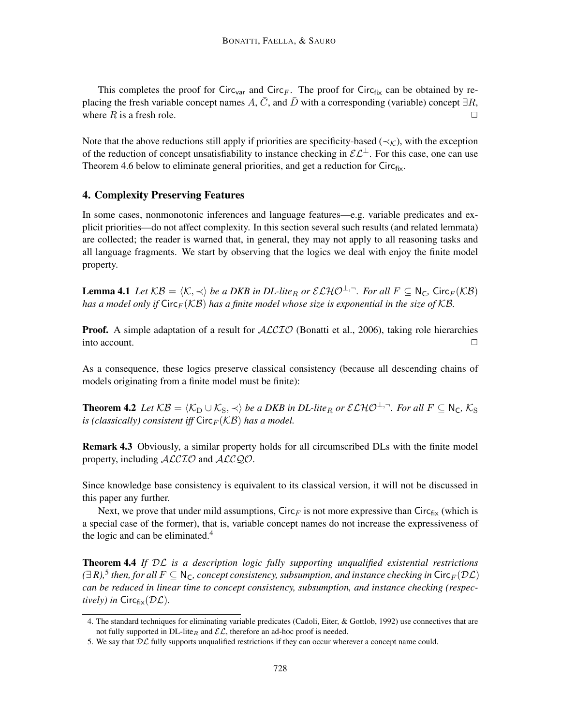This completes the proof for Circ<sub>var</sub> and Circ<sub>F</sub>. The proof for Circ<sub>fix</sub> can be obtained by replacing the fresh variable concept names A,  $\overline{C}$ , and  $\overline{D}$  with a corresponding (variable) concept  $\exists R$ , where R is a fresh role.  $\Box$ 

Note that the above reductions still apply if priorities are specificity-based ( $\prec_K$ ), with the exception of the reduction of concept unsatisfiability to instance checking in  $\mathcal{EL}^{\perp}$ . For this case, one can use Theorem 4.6 below to eliminate general priorities, and get a reduction for  $Circ_{fix}$ .

### 4. Complexity Preserving Features

In some cases, nonmonotonic inferences and language features—e.g. variable predicates and explicit priorities—do not affect complexity. In this section several such results (and related lemmata) are collected; the reader is warned that, in general, they may not apply to all reasoning tasks and all language fragments. We start by observing that the logics we deal with enjoy the finite model property.

**Lemma 4.1** Let  $KB = \langle K, \prec \rangle$  be a DKB in DL-lite<sub>R</sub> or  $\mathcal{ELHO}^{\perp,-}$ . For all  $F \subseteq N_C$ , Circ $_F(\mathcal{KB})$ *has a model only if*  $\text{Circ}_F(\mathcal{KB})$  *has a finite model whose size is exponential in the size of*  $\mathcal{KB}$ *.* 

**Proof.** A simple adaptation of a result for  $ALCTO$  (Bonatti et al., 2006), taking role hierarchies into account.  $\Box$ 

As a consequence, these logics preserve classical consistency (because all descending chains of models originating from a finite model must be finite):

**Theorem 4.2** Let  $KB = \langle K_D \cup K_S, \prec \rangle$  be a DKB in DL-lite<sub>R</sub> or  $\mathcal{ELHO}^{\perp,-}$ . For all  $F \subseteq N_C$ ,  $K_S$ *is (classically) consistent iff*  $Circ_F(KB)$  *has a model.* 

Remark 4.3 Obviously, a similar property holds for all circumscribed DLs with the finite model property, including  $ALCIO$  and  $ALCQO$ .

Since knowledge base consistency is equivalent to its classical version, it will not be discussed in this paper any further.

Next, we prove that under mild assumptions, Circ<sub>F</sub> is not more expressive than Circ $_{fix}$  (which is a special case of the former), that is, variable concept names do not increase the expressiveness of the logic and can be eliminated. $4$ 

Theorem 4.4 *If* DL *is a description logic fully supporting unqualified existential restrictions*  $(∃ R)<sup>5</sup>$  *then, for all*  $F ⊆ ℕ<sub>C</sub>$ *, concept consistency, subsumption, and instance checking in* Circ $_F(DL)$ *can be reduced in linear time to concept consistency, subsumption, and instance checking (respectively)* in  $Circ_{fix}(\mathcal{DL})$ .

<sup>4.</sup> The standard techniques for eliminating variable predicates (Cadoli, Eiter, & Gottlob, 1992) use connectives that are not fully supported in  $DL$ -lite<sub>R</sub> and  $\mathcal{EL}$ , therefore an ad-hoc proof is needed.

<sup>5.</sup> We say that  $D\mathcal{L}$  fully supports unqualified restrictions if they can occur wherever a concept name could.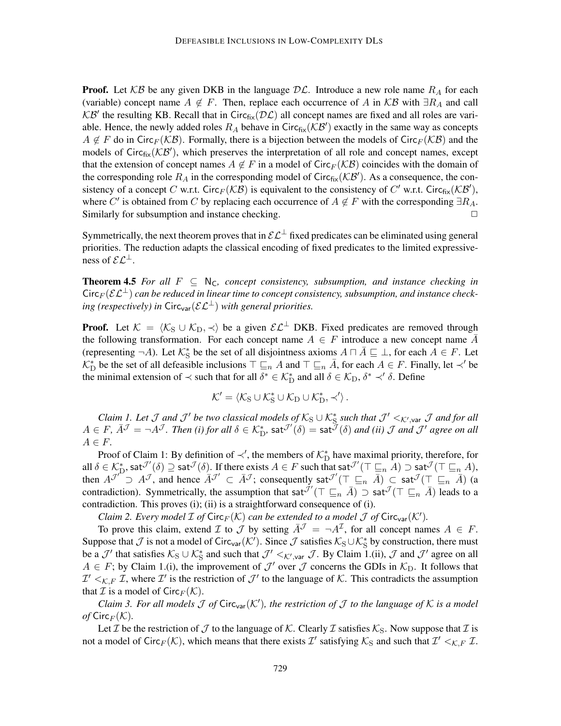**Proof.** Let  $KB$  be any given DKB in the language  $D\mathcal{L}$ . Introduce a new role name  $R_A$  for each (variable) concept name  $A \notin F$ . Then, replace each occurrence of A in KB with  $\exists R_A$  and call KB' the resulting KB. Recall that in Circ $_{fix}(\mathcal{DL})$  all concept names are fixed and all roles are variable. Hence, the newly added roles  $R_A$  behave in Circ<sub>fix</sub>( $KB'$ ) exactly in the same way as concepts  $A \notin F$  do in Circ<sub>F</sub>( $K\mathcal{B}$ ). Formally, there is a bijection between the models of Circ<sub>F</sub>( $K\mathcal{B}$ ) and the models of Circ $_{fix}(\mathcal{KB}')$ , which preserves the interpretation of all role and concept names, except that the extension of concept names  $A \notin F$  in a model of Circ $_F(K\mathcal{B})$  coincides with the domain of the corresponding role  $R_A$  in the corresponding model of Circ<sub>fix</sub>( $KB'$ ). As a consequence, the consistency of a concept C w.r.t. Circ $_F(\mathcal{KB})$  is equivalent to the consistency of C' w.r.t. Circ $_{fix}(\mathcal{KB}')$ , where C' is obtained from C by replacing each occurrence of  $A \notin F$  with the corresponding  $\exists R_A$ . Similarly for subsumption and instance checking.  $\Box$ 

Symmetrically, the next theorem proves that in  $\mathcal{EL}^{\perp}$  fixed predicates can be eliminated using general priorities. The reduction adapts the classical encoding of fixed predicates to the limited expressiveness of  $\mathcal{EL}^{\perp}$ .

**Theorem 4.5** For all  $F \subseteq N_C$ , concept consistency, subsumption, and instance checking in  $Circ_F(\mathcal{E} \mathcal{L}^{\perp})$  *can be reduced in linear time to concept consistency, subsumption, and instance checking (respectively) in*  $Circ_{var}(\mathcal{EL}^{\perp})$  *with general priorities.* 

**Proof.** Let  $K = \langle K_S \cup K_D, \prec \rangle$  be a given  $\mathcal{EL}^{\perp}$  DKB. Fixed predicates are removed through the following transformation. For each concept name  $A \in F$  introduce a new concept name  $\overline{A}$ (representing  $\neg A$ ). Let  $\mathcal{K}_{\mathcal{S}}^*$  be the set of all disjointness axioms  $A \sqcap \overline{A} \sqsubseteq \bot$ , for each  $\overline{A} \in F$ . Let  $\mathcal{K}_{\mathrm{D}}^*$  be the set of all defeasible inclusions  $\top \sqsubseteq_n A$  and  $\top \sqsubseteq_n \bar{A}$ , for each  $A \in F$ . Finally, let  $\prec'$  be the minimal extension of  $\prec$  such that for all  $\delta^* \in \mathcal{K}_{\text{D}}^*$  and all  $\delta \in \mathcal{K}_{\text{D}}$ ,  $\delta^* \prec' \delta$ . Define

$$
\mathcal{K}' = \left\langle \mathcal{K}_S \cup \mathcal{K}_S^* \cup \mathcal{K}_D \cup \mathcal{K}_D^* , \prec' \right\rangle.
$$

*Claim 1. Let*  $\cal J$  *and*  $\cal J'$  *be two classical models of*  $K_S \cup K_S^*$  *such that*  $\cal J' <_{K',var} \cal J$  *and for all*  $A \in F$ ,  $\bar{A}^{\mathcal{J}} = \neg A^{\mathcal{J}}$ *. Then (i) for all*  $\delta \in \mathcal{K}_{D}^{*}$ ,  $\mathsf{sat}^{\mathcal{J}'}(\delta) = \mathsf{sat}^{\mathcal{J}}(\delta)$  *and (ii)*  $\mathcal{J}$  *and*  $\mathcal{J}'$  *agree on all*  $A \in F$ .

Proof of Claim 1: By definition of  $\prec'$ , the members of  $\mathcal{K}_{D}^{*}$  have maximal priority, therefore, for all  $\delta \in \mathcal{K}_{\mathcal{D}}^*$ , sat $\mathcal{I}'(\delta) \supseteq \mathsf{sat}^{\mathcal{J}}(\delta)$ . If there exists  $A \in F$  such that  $\mathsf{sat}^{\mathcal{J}'}(\top \sqsubseteq_n A) \supseteq \mathsf{sat}^{\mathcal{J}}(\top \sqsubseteq_n A)$ , then  $A^{\mathcal{J}'}$   $\supset A^{\mathcal{J}}$ , and hence  $A^{\mathcal{J}'} \subset A^{\mathcal{J}}$ ; consequently sat $\mathcal{J}'(\top \sqsubseteq_n A) \subset \mathsf{sat}^{\mathcal{J}}(\top \sqsubseteq_n A)$  (a contradiction). Symmetrically, the assumption that sat $\bar{J}'(\top \sqsubseteq_n \bar{A}) \supset$  sat $\bar{J}(\top \sqsubseteq_n \bar{A})$  leads to a contradiction. This proves (i); (ii) is a straightforward consequence of (i).

*Claim 2. Every model*  $\mathcal I$  *of*  $\text{Circ}_F(\mathcal K)$  *can be extended to a model*  $\mathcal J$  *of*  $\text{Circ}_{\text{var}}(\mathcal K')$ *.* 

To prove this claim, extend  $\mathcal I$  to  $\mathcal J$  by setting  $\bar A^{\mathcal J} = \neg A^{\mathcal I}$ , for all concept names  $A \in F$ . Suppose that  $\mathcal J$  is not a model of Circ<sub>var</sub>( $\mathcal K'$ ). Since  $\mathcal J$  satisfies  $\mathcal K_S\cup\mathcal K_S^*$  by construction, there must be a  $\mathcal{J}'$  that satisfies  $\mathcal{K}_S \cup \mathcal{K}_S^*$  and such that  $\mathcal{J}' <_{\mathcal{K}',\text{var}} \mathcal{J}$ . By Claim 1.(ii),  $\mathcal{J}$  and  $\mathcal{J}'$  agree on all  $A \in F$ ; by Claim 1.(i), the improvement of  $\mathcal{J}'$  over  $\mathcal{J}$  concerns the GDIs in  $\mathcal{K}_D$ . It follows that  $\mathcal{I}' <_{\mathcal{K},F} \mathcal{I}$ , where  $\mathcal{I}'$  is the restriction of  $\mathcal{J}'$  to the language of  $\mathcal{K}$ . This contradicts the assumption that  $\mathcal I$  is a model of Circ $_F(\mathcal K)$ .

*Claim 3. For all models*  $\mathcal J$  *of Circ*<sub>var</sub> $(\mathcal K')$ , the restriction of  $\mathcal J$  to the language of  $\mathcal K$  is a model *of*  $Circ_F(K)$ .

Let T be the restriction of T to the language of K. Clearly T satisfies  $K_S$ . Now suppose that T is not a model of Circ $_F(\mathcal{K})$ , which means that there exists  $\mathcal{I}'$  satisfying  $\mathcal{K}_S$  and such that  $\mathcal{I}' <_{\mathcal{K},F} \mathcal{I}$ .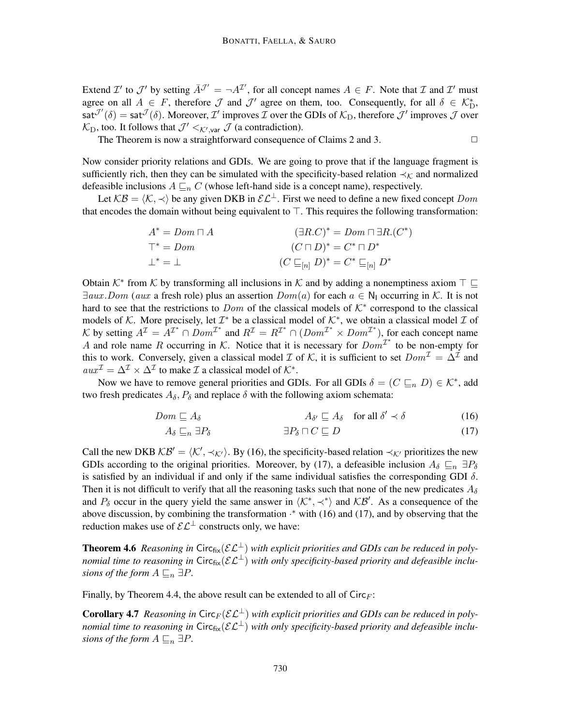Extend  $\mathcal{I}'$  to  $\mathcal{J}'$  by setting  $\overline{A}^{\mathcal{J}'} = \neg A^{\mathcal{I}'}$ , for all concept names  $A \in F$ . Note that  $\mathcal{I}$  and  $\mathcal{I}'$  must agree on all  $A \in F$ , therefore  $\mathcal J$  and  $\mathcal J'$  agree on them, too. Consequently, for all  $\delta \in \mathcal K_{\mathcal D}^*$ ,  $sat^{\mathcal{J}'}(\delta) = sat^{\mathcal{J}}(\delta)$ . Moreover,  $\mathcal{I}'$  improves  $\mathcal{I}$  over the GDIs of  $\mathcal{K}_D$ , therefore  $\mathcal{J}'$  improves  $\mathcal{J}$  over  $\mathcal{K}_{\text{D}}$ , too. It follows that  $\mathcal{J}' <_{\mathcal{K}',\text{var}} \mathcal{J}$  (a contradiction).

The Theorem is now a straightforward consequence of Claims 2 and 3.  $\Box$ 

Now consider priority relations and GDIs. We are going to prove that if the language fragment is sufficiently rich, then they can be simulated with the specificity-based relation  $\prec_K$  and normalized defeasible inclusions  $A \sqsubseteq_n C$  (whose left-hand side is a concept name), respectively.

Let  $KB = \langle K, \prec \rangle$  be any given DKB in  $\mathcal{EL}^{\perp}$ . First we need to define a new fixed concept Dom that encodes the domain without being equivalent to  $\top$ . This requires the following transformation:

$$
A^* = Dom \sqcap A
$$
  
\n
$$
\top^* = Dom
$$
  
\n
$$
\bot^* = \bot
$$
  
\n
$$
(B.C)^* = Dom \sqcap \exists R.(C^*)
$$
  
\n
$$
(C \sqcap D)^* = C^* \sqcap D^*
$$
  
\n
$$
(C \sqsubseteq_{[n]} D)^* = C^* \sqsubseteq_{[n]} D^*
$$

Obtain  $K^*$  from  $K$  by transforming all inclusions in  $K$  and by adding a nonemptiness axiom  $\top \sqsubseteq$  $\exists aux. Dom (aux a fresh role) plus an assertion  $Dom(a)$  for each  $a \in N_1$  occurring in K. It is not$ hard to see that the restrictions to Dom of the classical models of  $K^*$  correspond to the classical models of K. More precisely, let  $\mathcal{I}^*$  be a classical model of  $\mathcal{K}^*$ , we obtain a classical model  $\mathcal I$  of K by setting  $A^{\mathcal{I}} = A^{\mathcal{I}^*} \cap Dom^{\mathcal{I}^*}$  and  $R^{\mathcal{I}} = R^{\mathcal{I}^*} \cap (Dom^{\mathcal{I}^*} \times Dom^{\mathcal{I}^*})$ , for each concept name A and role name R occurring in K. Notice that it is necessary for  $Dom^{\mathcal{I}^*}$  to be non-empty for this to work. Conversely, given a classical model  $\mathcal I$  of  $\mathcal K$ , it is sufficient to set  $Dom^{\mathcal I} = \Delta^{\mathcal I}$  and  $aux^{\mathcal{I}} = \Delta^{\mathcal{I}} \times \Delta^{\mathcal{I}}$  to make  $\mathcal{I}$  a classical model of  $\mathcal{K}^*$ .

Now we have to remove general priorities and GDIs. For all GDIs  $\delta = (C \sqsubseteq_n D) \in \mathcal{K}^*$ , add two fresh predicates  $A_{\delta}$ ,  $P_{\delta}$  and replace  $\delta$  with the following axiom schemata:

$$
Dom \sqsubseteq A_{\delta} \qquad \qquad A_{\delta'} \sqsubseteq A_{\delta} \quad \text{for all } \delta' \prec \delta \tag{16}
$$

$$
A_{\delta} \sqsubseteq_n \exists P_{\delta} \qquad \qquad \exists P_{\delta} \sqcap C \sqsubseteq D \tag{17}
$$

Call the new DKB  $KB' = \langle K', \prec_{K'} \rangle$ . By (16), the specificity-based relation  $\prec_{K'}$  prioritizes the new GDIs according to the original priorities. Moreover, by (17), a defeasible inclusion  $A_\delta \sqsubseteq_n \exists P_\delta$ is satisfied by an individual if and only if the same individual satisfies the corresponding GDI  $\delta$ . Then it is not difficult to verify that all the reasoning tasks such that none of the new predicates  $A_{\delta}$ and  $P_\delta$  occur in the query yield the same answer in  $\langle K^*, \prec^* \rangle$  and  $\mathcal{KB}'$ . As a consequence of the above discussion, by combining the transformation  $\cdot^*$  with (16) and (17), and by observing that the reduction makes use of  $\mathcal{EL}^{\perp}$  constructs only, we have:

**Theorem 4.6** *Reasoning in* Circ $_{fix}(\mathcal{EL}^{\perp})$  *with explicit priorities and GDIs can be reduced in polynomial time to reasoning in* Circ $_{fix}(\mathcal{EL}^{\perp})$  *with only specificity-based priority and defeasible inclusions of the form*  $A \sqsubseteq_n \exists P$ .

Finally, by Theorem 4.4, the above result can be extended to all of  $Circ_F$ :

**Corollary 4.7** *Reasoning in* Circ<sub>F</sub>( $\mathcal{EL}^{\perp}$ ) *with explicit priorities and GDIs can be reduced in polynomial time to reasoning in* Circ $_{fix}(\mathcal{EL}^{\perp})$  *with only specificity-based priority and defeasible inclusions of the form*  $A \sqsubseteq_n \exists P$ .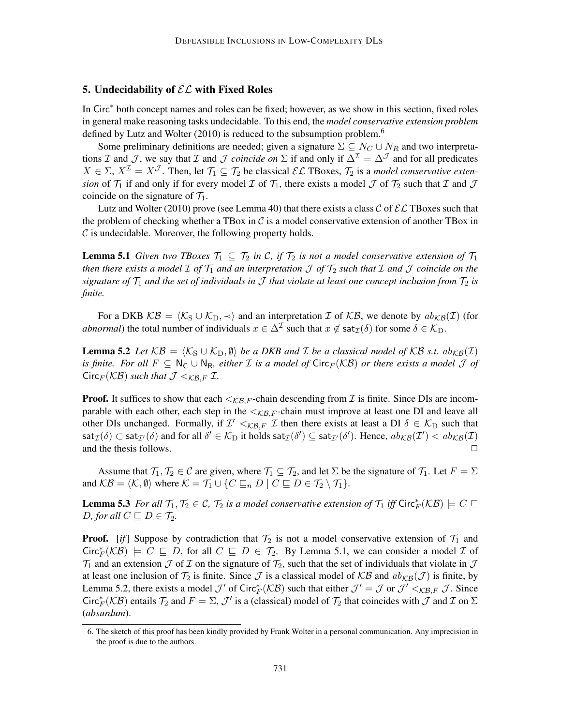## 5. Undecidability of  $\mathcal{EL}$  with Fixed Roles

In Circ<sup>∗</sup> both concept names and roles can be fixed; however, as we show in this section, fixed roles in general make reasoning tasks undecidable. To this end, the *model conservative extension problem* defined by Lutz and Wolter (2010) is reduced to the subsumption problem.<sup>6</sup>

Some preliminary definitions are needed; given a signature  $\Sigma \subseteq N_C \cup N_R$  and two interpretations I and J, we say that I and J *coincide on*  $\Sigma$  if and only if  $\Delta^{\mathcal{I}} = \Delta^{\mathcal{J}}$  and for all predicates  $X \in \Sigma$ ,  $X^{\mathcal{I}} = X^{\mathcal{J}}$ . Then, let  $\mathcal{T}_1 \subseteq \mathcal{T}_2$  be classical  $\mathcal{EL}$  TBoxes,  $\mathcal{T}_2$  is a *model conservative extension* of  $\mathcal{T}_1$  if and only if for every model  $\mathcal{I}$  of  $\mathcal{T}_1$ , there exists a model  $\mathcal{I}$  of  $\mathcal{T}_2$  such that  $\mathcal{I}$  and  $\mathcal{J}$ coincide on the signature of  $\mathcal{T}_1$ .

Lutz and Wolter (2010) prove (see Lemma 40) that there exists a class C of  $\mathcal{EL}$  TBoxes such that the problem of checking whether a TBox in  $\mathcal C$  is a model conservative extension of another TBox in  $\mathcal C$  is undecidable. Moreover, the following property holds.

**Lemma 5.1** *Given two TBoxes*  $\mathcal{T}_1 \subseteq \mathcal{T}_2$  *in C, if*  $\mathcal{T}_2$  *is not a model conservative extension of*  $\mathcal{T}_1$ *then there exists a model*  $\mathcal I$  *of*  $\mathcal T_1$  *and an interpretation*  $\mathcal J$  *of*  $\mathcal T_2$  *such that*  $\mathcal I$  *and*  $\mathcal J$  *coincide on the signature of*  $\mathcal{T}_1$  *and the set of individuals in*  $\mathcal{J}$  *that violate at least one concept inclusion from*  $\mathcal{T}_2$  *is finite.*

For a DKB  $KB = \langle K_S \cup K_D, \prec \rangle$  and an interpretation I of KB, we denote by  $ab_{KB}(I)$  (for *abnormal*) the total number of individuals  $x \in \Delta^{\mathcal{I}}$  such that  $x \notin \text{sat}_{\mathcal{I}}(\delta)$  for some  $\delta \in \mathcal{K}_{D}$ .

**Lemma 5.2** *Let*  $KB = \langle K_S \cup K_D, \emptyset \rangle$  *be a DKB and I be a classical model of* KB *s.t.*  $ab_{KB}(I)$ *is finite. For all*  $F \subseteq N_C \cup N_R$ , either *I is a model of* Circ<sub>*F</sub>*( $KB$ ) *or there exists a model J of*</sub>  $Circ_F(KB)$  *such that*  $\mathcal{J} <_{KBE} \mathcal{I}$ .

**Proof.** It suffices to show that each  $\lt_{\mathcal{KB}, F}$ -chain descending from  $\mathcal I$  is finite. Since DIs are incomparable with each other, each step in the  $\langle K_{\mathcal{B},F}$ -chain must improve at least one DI and leave all other DIs unchanged. Formally, if  $\mathcal{I}' \leq_{\mathcal{KB},F} \mathcal{I}$  then there exists at least a DI  $\delta \in \mathcal{K}_{\text{D}}$  such that  $\mathsf{sat}_\mathcal{I}(\delta) \subset \mathsf{sat}_{\mathcal{I}'}(\delta)$  and for all  $\delta' \in \mathcal{K}_\text{D}$  it holds  $\mathsf{sat}_\mathcal{I}(\delta') \subseteq \mathsf{sat}_{\mathcal{I}'}(\delta').$  Hence,  $ab_\mathcal{KB}(\mathcal{I}') < ab_\mathcal{KB}(\mathcal{I})$ and the thesis follows.  $\Box$ 

Assume that  $\mathcal{T}_1, \mathcal{T}_2 \in \mathcal{C}$  are given, where  $\mathcal{T}_1 \subseteq \mathcal{T}_2$ , and let  $\Sigma$  be the signature of  $\mathcal{T}_1$ . Let  $F = \Sigma$ and  $KB = \langle K, \emptyset \rangle$  where  $K = \mathcal{T}_1 \cup \{ C \sqsubseteq_n D \mid C \sqsubseteq D \in \mathcal{T}_2 \setminus \mathcal{T}_1 \}.$ 

**Lemma 5.3** For all  $\mathcal{T}_1, \mathcal{T}_2 \in \mathcal{C}$ ,  $\mathcal{T}_2$  is a model conservative extension of  $\mathcal{T}_1$  iff  $\text{Circ}_{F}^*(\mathcal{KB}) \models C \sqsubseteq$ *D, for all*  $C \sqsubseteq D \in \mathcal{T}_2$ *.* 

**Proof.** [*if*] Suppose by contradiction that  $\mathcal{T}_2$  is not a model conservative extension of  $\mathcal{T}_1$  and  $Circ^*F(\mathcal{KB})$   $\models C \sqsubseteq D$ , for all  $C \sqsubseteq D \in \mathcal{T}_2$ . By Lemma 5.1, we can consider a model  $\mathcal{I}$  of  $\mathcal{T}_1$  and an extension  $\mathcal J$  of  $\mathcal I$  on the signature of  $\mathcal T_2$ , such that the set of individuals that violate in  $\mathcal J$ at least one inclusion of  $\mathcal{T}_2$  is finite. Since  $\mathcal{J}$  is a classical model of  $\mathcal{KB}$  and  $ab_{\mathcal{KB}}(\mathcal{J})$  is finite, by Lemma 5.2, there exists a model  $\mathcal{J}'$  of Circ $^*_{F}(\mathcal{KB})$  such that either  $\mathcal{J}' = \mathcal{J}$  or  $\mathcal{J}' <_{\mathcal{KB}, F} \mathcal{J}$ . Since Circ $^*_F$ (KB) entails  $\mathcal{T}_2$  and  $F = \Sigma$ ,  $\mathcal{J}'$  is a (classical) model of  $\mathcal{T}_2$  that coincides with  $\mathcal{J}$  and  $\mathcal{I}$  on  $\Sigma$ (*absurdum*).

<sup>6.</sup> The sketch of this proof has been kindly provided by Frank Wolter in a personal communication. Any imprecision in the proof is due to the authors.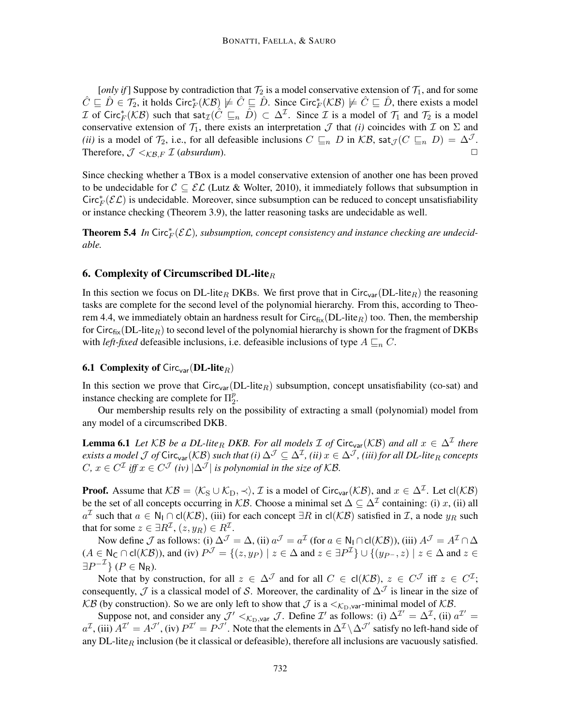[*only if*] Suppose by contradiction that  $\mathcal{T}_2$  is a model conservative extension of  $\mathcal{T}_1$ , and for some  $\hat{C} \sqsubseteq \hat{D} \in \mathcal{T}_2$ , it holds  $\text{Circ}_{F}^*(\mathcal{KB}) \not\models \hat{C} \sqsubseteq \hat{D}$ . Since  $\text{Circ}_{F}^*(\mathcal{KB}) \not\models \hat{C} \sqsubseteq \hat{D}$ , there exists a model  $\mathcal I$  of Circ $_F^*(\mathcal{KB})$  such that  $\mathsf{sat}_\mathcal{I}(\hat{C} \subseteq_n \hat{D}) \subset \Delta^\mathcal{I}$ . Since  $\mathcal I$  is a model of  $\mathcal T_1$  and  $\mathcal T_2$  is a model conservative extension of  $\mathcal{T}_1$ , there exists an interpretation  $\mathcal{J}$  that *(i)* coincides with  $\mathcal{I}$  on  $\Sigma$  and *(ii)* is a model of  $\mathcal{T}_2$ , i.e., for all defeasible inclusions  $C \sqsubseteq_n D$  in  $\mathcal{KB}$ , sat $\mathcal{J}(C \sqsubseteq_n D) = \Delta^{\mathcal{J}}$ . Therefore,  $\mathcal{J} \leq_{\mathcal{KB}, F} \mathcal{I}$  (*absurdum*).

Since checking whether a TBox is a model conservative extension of another one has been proved to be undecidable for  $C \subseteq \mathcal{EL}$  (Lutz & Wolter, 2010), it immediately follows that subsumption in Circ $^*_{F}(\mathcal{EL})$  is undecidable. Moreover, since subsumption can be reduced to concept unsatisfiability or instance checking (Theorem 3.9), the latter reasoning tasks are undecidable as well.

**Theorem 5.4** In Circ $^*_{F}(\mathcal{EL})$ , subsumption, concept consistency and instance checking are undecid*able.*

### 6. Complexity of Circumscribed DL-lite $_R$

In this section we focus on DL-lite<sub>R</sub> DKBs. We first prove that in Circ<sub>var</sub>(DL-lite<sub>R</sub>) the reasoning tasks are complete for the second level of the polynomial hierarchy. From this, according to Theorem 4.4, we immediately obtain an hardness result for  $Circ_{fix}(DL\textrm{-}lit_{ek})$  too. Then, the membership for Circ $f_{ik}(DL\text{-}lite_R)$  to second level of the polynomial hierarchy is shown for the fragment of DKBs with *left-fixed* defeasible inclusions, i.e. defeasible inclusions of type  $A \sqsubseteq_n C$ .

### **6.1 Complexity of Circ<sub>var</sub>**( $\text{DL-lite}_R$ )

In this section we prove that  $Circ_{var}(DL\textrm{-}lite_R)$  subsumption, concept unsatisfiability (co-sat) and instance checking are complete for  $\Pi_2^p$  $\frac{p}{2}$ .

Our membership results rely on the possibility of extracting a small (polynomial) model from any model of a circumscribed DKB.

**Lemma 6.1** Let  $KB$  be a DL-lite<sub>R</sub> DKB. For all models  $\mathcal{I}$  of Circ<sub>var</sub>( $KB$ ) and all  $x \in \Delta^{\mathcal{I}}$  there  $e$ xists a model  $\cal J$  of  $C$ irc<sub>var</sub>(KB) such that (i)  $\Delta^{\cal J}\subseteq\Delta^{\cal I}$ , (ii)  $x\in\Delta^{\cal J}$ , (iii) for all DL-lite<sub>R</sub> concepts  $C, x \in C^{\mathcal{I}}$  iff  $x \in C^{\mathcal{J}}$  (iv)  $|\Delta^{\mathcal{J}}|$  is polynomial in the size of KB.

**Proof.** Assume that  $KB = \langle K_S \cup K_D, \prec \rangle$ , *I* is a model of Circ<sub>var</sub>( $KB$ ), and  $x \in \Delta^{\mathcal{I}}$ . Let cl( $KB$ ) be the set of all concepts occurring in KB. Choose a minimal set  $\Delta \subseteq \Delta^{\mathcal{I}}$  containing: (i) x, (ii) all  $a^{\mathcal{I}}$  such that  $a \in \mathsf{N}_{\mathsf{I}} \cap \mathsf{cl}(\mathcal{KB})$ , (iii) for each concept ∃R in  $\mathsf{cl}(\mathcal{KB})$  satisfied in  $\mathcal{I}$ , a node  $y_R$  such that for some  $z \in \exists R^{\mathcal{I}}, (z, y_R) \in R^{\mathcal{I}}$ .

Now define  $\mathcal J$  as follows: (i)  $\Delta^{\mathcal J} = \Delta$ , (ii)  $a^{\mathcal J} = a^{\mathcal I}$  (for  $a \in \mathsf{N}_1 \cap \mathsf{cl}(\mathcal{KB})$ ), (iii)  $A^{\mathcal J} = A^{\mathcal I} \cap \Delta$  $(A \in N_{\mathsf{C}} \cap \mathsf{cl}(\mathcal{KB})$ ), and (iv)  $P^{\mathcal{J}} = \{(z, y_P) \mid z \in \Delta \text{ and } z \in \exists P^{\mathcal{I}}\} \cup \{(y_{P^{\frown}}, z) \mid z \in \Delta \text{ and } z \in \Delta \}$  $\exists P^{-\mathcal{I}}\}$  ( $P \in \mathsf{N}_{\mathsf{R}}$ ).

Note that by construction, for all  $z \in \Delta^{\mathcal{J}}$  and for all  $C \in cl(\mathcal{KB})$ ,  $z \in C^{\mathcal{J}}$  iff  $z \in C^{\mathcal{I}}$ ; consequently,  $\mathcal J$  is a classical model of S. Moreover, the cardinality of  $\Delta^{\mathcal J}$  is linear in the size of KB (by construction). So we are only left to show that  $\mathcal J$  is a  $\lt_{\mathcal K_D,\mathsf{var}}$ -minimal model of  $\mathcal{KB}$ .

Suppose not, and consider any  $\mathcal{J}' <_{\mathcal{K}_{D},\text{var}} \mathcal{J}$ . Define  $\mathcal{I}'$  as follows: (i)  $\Delta^{\mathcal{I}'} = \Delta^{\mathcal{I}}$ , (ii)  $a^{\mathcal{I}'} =$  $a^{\mathcal{I}}$ , (iii)  $A^{\mathcal{I}'} = A^{\mathcal{J}'}$ , (iv)  $P^{\mathcal{I}'} = P^{\mathcal{J}'}$ . Note that the elements in  $\Delta^{\mathcal{I}} \setminus \Delta^{\mathcal{J}'}$  satisfy no left-hand side of any DL-lite<sub>R</sub> inclusion (be it classical or defeasible), therefore all inclusions are vacuously satisfied.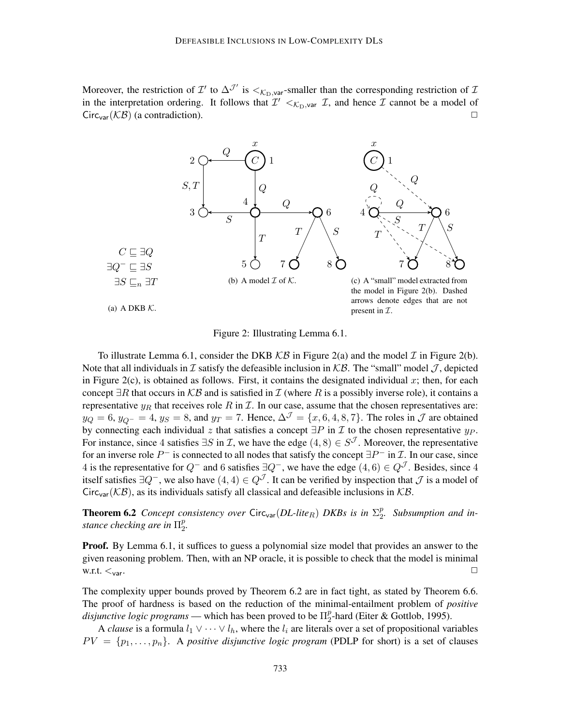Moreover, the restriction of  $\mathcal{I}'$  to  $\Delta^{\mathcal{J}'}$  is  $\lt_{\mathcal{K}_{D}$ , var-smaller than the corresponding restriction of  $\mathcal{I}$ in the interpretation ordering. It follows that  $\mathcal{I}' <_{\mathcal{K}_{D},\text{var}} \mathcal{I}$ , and hence  $\mathcal{I}$  cannot be a model of  $Circ<sub>var</sub>(\mathcal{KB})$  (a contradiction).



Figure 2: Illustrating Lemma 6.1.

To illustrate Lemma 6.1, consider the DKB  $KB$  in Figure 2(a) and the model  $\mathcal I$  in Figure 2(b). Note that all individuals in  $\mathcal I$  satisfy the defeasible inclusion in  $\mathcal{KB}$ . The "small" model  $\mathcal J$ , depicted in Figure 2(c), is obtained as follows. First, it contains the designated individual  $x$ ; then, for each concept  $\exists R$  that occurs in  $KB$  and is satisfied in  $\mathcal I$  (where R is a possibly inverse role), it contains a representative  $y_R$  that receives role R in T. In our case, assume that the chosen representatives are:  $y_Q = 6$ ,  $y_{Q^-} = 4$ ,  $y_S = 8$ , and  $y_T = 7$ . Hence,  $\Delta^{\mathcal{J}} = \{x, 6, 4, 8, 7\}$ . The roles in  $\mathcal{J}$  are obtained by connecting each individual z that satisfies a concept  $\exists P$  in  $\mathcal I$  to the chosen representative  $y_P$ . For instance, since 4 satisfies  $\exists S$  in  $\mathcal{I}$ , we have the edge  $(4, 8) \in S^{\mathcal{J}}$ . Moreover, the representative for an inverse role  $P^-$  is connected to all nodes that satisfy the concept  $\exists P^-$  in  $\mathcal I$ . In our case, since 4 is the representative for  $Q^-$  and 6 satisfies  $\exists Q^-$ , we have the edge  $(4, 6) \in Q^{\mathcal{J}}$ . Besides, since 4 itself satisfies  $\exists Q^-$ , we also have  $(4, 4) \in Q^{\mathcal{J}}$ . It can be verified by inspection that  $\mathcal J$  is a model of Circ<sub>var</sub>( $KB$ ), as its individuals satisfy all classical and defeasible inclusions in  $KB$ .

**Theorem 6.2** *Concept consistency over*  $Circ_{var}(DL\textrm{-}lit_{R})$  *DKBs is in*  $\Sigma_{2}^{p}$ 2 *. Subsumption and instance checking are in* Π p p<br>2.

**Proof.** By Lemma 6.1, it suffices to guess a polynomial size model that provides an answer to the given reasoning problem. Then, with an NP oracle, it is possible to check that the model is minimal w.r.t.  $\lt_{var}$ .

The complexity upper bounds proved by Theorem 6.2 are in fact tight, as stated by Theorem 6.6. The proof of hardness is based on the reduction of the minimal-entailment problem of *positive disjunctive logic programs* — which has been proved to be  $\Pi_2^p$  $_{2}^{p}$ -hard (Eiter & Gottlob, 1995).

A *clause* is a formula  $l_1 \vee \cdots \vee l_h$ , where the  $l_i$  are literals over a set of propositional variables  $PV = \{p_1, \ldots, p_n\}$ . A *positive disjunctive logic program* (PDLP for short) is a set of clauses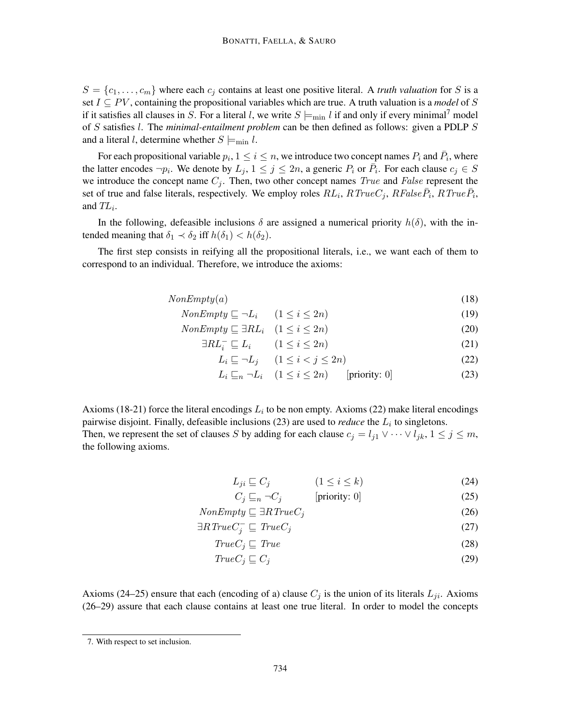$S = \{c_1, \ldots, c_m\}$  where each  $c_j$  contains at least one positive literal. A *truth valuation* for S is a set  $I \subseteq PV$ , containing the propositional variables which are true. A truth valuation is a *model* of S if it satisfies all clauses in S. For a literal l, we write  $S \models_{min} l$  if and only if every minimal<sup>7</sup> model of S satisfies l. The *minimal-entailment problem* can be then defined as follows: given a PDLP S and a literal l, determine whether  $S \models_{\text{min}} l$ .

For each propositional variable  $p_i$ ,  $1 \leq i \leq n$ , we introduce two concept names  $P_i$  and  $\bar{P}_i$ , where the latter encodes  $\neg p_i$ . We denote by  $L_j$ ,  $1 \le j \le 2n$ , a generic  $P_i$  or  $\overline{P_i}$ . For each clause  $c_j \in S$ we introduce the concept name  $C_j$ . Then, two other concept names *True* and *False* represent the set of true and false literals, respectively. We employ roles  $RL_i$ ,  $RTrueC_j$ ,  $RFalse\overline{P}_i$ ,  $RTrue\overline{P}_i$ , and  $TL_i$ .

In the following, defeasible inclusions  $\delta$  are assigned a numerical priority  $h(\delta)$ , with the intended meaning that  $\delta_1 \prec \delta_2$  iff  $h(\delta_1) < h(\delta_2)$ .

The first step consists in reifying all the propositional literals, i.e., we want each of them to correspond to an individual. Therefore, we introduce the axioms:

$$
NonEmpty(a) \tag{18}
$$

- $NonEmpty \sqsubset \neg L_i \qquad (1 \leq i \leq 2n)$  (19)
- $NonEmpty \sqsubseteq \exists RL_i \quad (1 \leq i \leq 2n)$  (20)
	- $\exists RL_i^- \sqsubseteq L_i \qquad (1 \leq i \leq 2n)$  (21)
		- $L_i \sqsubseteq \neg L_j \quad (1 \leq i < j \leq 2n)$  (22)

$$
L_i \sqsubseteq_n \neg L_i \quad (1 \le i \le 2n) \qquad [\text{priority: 0}] \tag{23}
$$

Axioms (18-21) force the literal encodings  $L_i$  to be non empty. Axioms (22) make literal encodings pairwise disjoint. Finally, defeasible inclusions  $(23)$  are used to *reduce* the  $L<sub>i</sub>$  to singletons. Then, we represent the set of clauses S by adding for each clause  $c_j = l_{j1} \vee \cdots \vee l_{jk}$ ,  $1 \leq j \leq m$ , the following axioms.

$$
L_{ji} \sqsubseteq C_j \qquad (1 \le i \le k) \tag{24}
$$

$$
C_j \sqsubseteq_n \neg C_j \qquad \qquad [\text{priority: 0}] \tag{25}
$$

$$
NonEmpty \sqsubseteq \exists RTrueC_j \tag{26}
$$

$$
\exists R \, TrueC_j^- \sqsubseteq \, TrueC_j \tag{27}
$$

$$
TrueC_j \sqsubseteq True \tag{28}
$$

$$
True C_j \sqsubseteq C_j \tag{29}
$$

Axioms (24–25) ensure that each (encoding of a) clause  $C_j$  is the union of its literals  $L_{ji}$ . Axioms (26–29) assure that each clause contains at least one true literal. In order to model the concepts

<sup>7.</sup> With respect to set inclusion.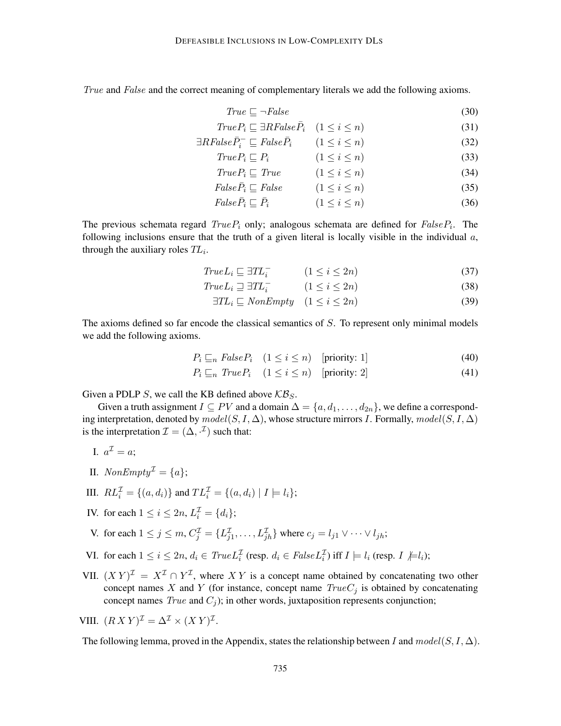True and False and the correct meaning of complementary literals we add the following axioms.

$$
True \sqsubseteq \neg False \tag{30}
$$

$$
True P_i \sqsubseteq \exists RFalse \bar{P}_i \quad (1 \le i \le n)
$$
\n
$$
(31)
$$

$$
\exists \text{R} \text{False} \bar{P}_i^- \sqsubseteq \text{False} \bar{P}_i \qquad (1 \le i \le n) \tag{32}
$$

$$
True P_i \sqsubseteq P_i \qquad (1 \le i \le n) \tag{33}
$$

$$
True P_i \sqsubseteq True \qquad (1 \le i \le n) \tag{34}
$$

$$
False \bar{P}_i \sqsubseteq False \qquad (1 \le i \le n) \tag{35}
$$

$$
False\overline{P}_i \sqsubseteq \overline{P}_i \qquad (1 \le i \le n) \tag{36}
$$

The previous schemata regard  $True P_i$  only; analogous schemata are defined for  $False P_i$ . The following inclusions ensure that the truth of a given literal is locally visible in the individual  $a$ , through the auxiliary roles  $TL_i$ .

$$
True L_i \sqsubseteq \exists TL_i^- \qquad (1 \le i \le 2n) \tag{37}
$$

$$
True L_i \sqsupseteq \exists TL_i^- \qquad (1 \le i \le 2n) \tag{38}
$$

$$
\exists TL_i \sqsubseteq \text{NonEmpty} \quad (1 \le i \le 2n) \tag{39}
$$

The axioms defined so far encode the classical semantics of S. To represent only minimal models we add the following axioms.

$$
P_i \sqsubseteq_n FalseP_i \quad (1 \le i \le n) \quad [\text{priority: 1}] \tag{40}
$$

$$
P_i \sqsubseteq_n \text{True} \, P_i \quad (1 \le i \le n) \quad [\text{priority: 2}] \tag{41}
$$

Given a PDLP S, we call the KB defined above  $\mathcal{KB}_S$ .

Given a truth assignment  $I \subseteq PV$  and a domain  $\Delta = \{a, d_1, \ldots, d_{2n}\}\)$ , we define a corresponding interpretation, denoted by  $model(S, I, \Delta)$ , whose structure mirrors I. Formally,  $model(S, I, \Delta)$ is the interpretation  $\mathcal{I} = (\Delta, \cdot^{\mathcal{I}})$  such that:

I. 
$$
a^{\mathcal{I}} = a;
$$

II.  $NonEmpty^{\mathcal{I}} = \{a\};$ 

III. 
$$
RL_i^{\mathcal{I}} = \{(a, d_i)\}\
$$
 and  $TL_i^{\mathcal{I}} = \{(a, d_i) | I \models l_i\};$ 

- IV. for each  $1 \le i \le 2n$ ,  $L_i^{\mathcal{I}} = \{d_i\};$
- V. for each  $1 \le j \le m$ ,  $C_j^{\mathcal{I}} = \{L_{j1}^{\mathcal{I}}, \ldots, L_{jh}^{\mathcal{I}}\}$  where  $c_j = l_{j1} \vee \cdots \vee l_{jh}$ ;
- VI. for each  $1 \le i \le 2n$ ,  $d_i \in TrueL_i^{\mathcal{I}}$  (resp.  $d_i \in FalseL_i^{\mathcal{I}}$ ) iff  $I \models l_i$  (resp.  $I \not\models l_i$ );
- VII.  $(X Y)^{\mathcal{I}} = X^{\mathcal{I}} \cap Y^{\mathcal{I}}$ , where XY is a concept name obtained by concatenating two other concept names X and Y (for instance, concept name  $TrueC<sub>j</sub>$  is obtained by concatenating concept names  $True$  and  $C_i$ ); in other words, juxtaposition represents conjunction;

VIII. 
$$
(RX Y)^{\mathcal{I}} = \Delta^{\mathcal{I}} \times (XY)^{\mathcal{I}}
$$
.

The following lemma, proved in the Appendix, states the relationship between I and  $model(S, I, \Delta)$ .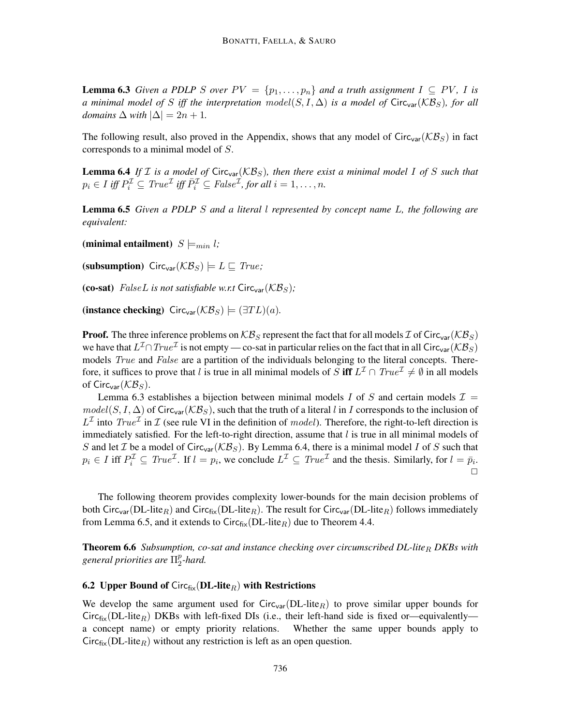**Lemma 6.3** *Given a PDLP S over*  $PV = \{p_1, \ldots, p_n\}$  *and a truth assignment*  $I \subseteq PV$ , *I is a minimal model of* S *iff the interpretation model*(S, I,  $\Delta$ ) *is a model of* Circ<sub>var</sub>( $\mathcal{KB}_S$ ), *for all domains*  $\Delta$  *with*  $|\Delta| = 2n + 1$ *.* 

The following result, also proved in the Appendix, shows that any model of  $Circ_{\text{var}}(K\mathcal{B}_S)$  in fact corresponds to a minimal model of S.

**Lemma 6.4** If  $I$  is a model of Circ<sub>var</sub>( $KB_S$ ), then there exist a minimal model I of S such that  $p_i \in I$  iff  $P_i^{\mathcal{I}} \subseteq True^{\mathcal{I}}$  iff  $\overline{P}_i^{\mathcal{I}} \subseteq False^{\mathcal{I}}$ , for all  $i = 1, ..., n$ .

Lemma 6.5 *Given a PDLP* S *and a literal* l *represented by concept name* L*, the following are equivalent:*

(minimal entailment)  $S \models_{min} l$ ;

(subsumption)  $Circ_{var}(\mathcal{KB}_S) \models L \sqsubseteq True;$ 

(co-sat) FalseL is not satisfiable w.r.t Circ<sub>var</sub>( $\mathcal{KB}_S$ );

(instance checking) Circ<sub>var</sub>( $\mathcal{KB}_S$ )  $\models (\exists TL)(a)$ .

**Proof.** The three inference problems on  $KB_S$  represent the fact that for all models  $\mathcal{I}$  of Circ<sub>var</sub>( $KB_S$ ) we have that  $L^2 \cap True^{\mathcal I}$  is not empty — co-sat in particular relies on the fact that in all Circ<sub>var</sub> ( $\mathcal{KB}_S$ ) models *True* and *False* are a partition of the individuals belonging to the literal concepts. Therefore, it suffices to prove that l is true in all minimal models of S iff  $L^{\mathcal{I}} \cap \text{True}^{\mathcal{I}} \neq \emptyset$  in all models of Circ<sub>var</sub> $(\mathcal{KB}_S)$ .

Lemma 6.3 establishes a bijection between minimal models I of S and certain models  $\mathcal{I} =$  $model(S, I, \Delta)$  of Circ<sub>var</sub>( $\mathcal{KB}_S$ ), such that the truth of a literal l in I corresponds to the inclusion of  $L^{\mathcal{I}}$  into  $True^{\mathcal{I}}$  in  $\mathcal{I}$  (see rule VI in the definition of model). Therefore, the right-to-left direction is immediately satisfied. For the left-to-right direction, assume that  $l$  is true in all minimal models of S and let T be a model of Circ<sub>var</sub> ( $\mathcal{KB}_S$ ). By Lemma 6.4, there is a minimal model I of S such that  $p_i \in I$  iff  $P_i^{\mathcal{I}} \subseteq True^{\mathcal{I}}$ . If  $l = p_i$ , we conclude  $L^{\mathcal{I}} \subseteq True^{\mathcal{I}}$  and the thesis. Similarly, for  $l = \bar{p}_i$ .  $\Box$ 

The following theorem provides complexity lower-bounds for the main decision problems of both Circ<sub>var</sub>(DL-lite<sub>R</sub>) and Circ<sub>fix</sub>(DL-lite<sub>R</sub>). The result for Circ<sub>var</sub>(DL-lite<sub>R</sub>) follows immediately from Lemma 6.5, and it extends to  $Circ_{fix}(DL\t-line_R)$  due to Theorem 4.4.

**Theorem 6.6** *Subsumption, co-sat and instance checking over circumscribed DL-lite<sub>R</sub> DKBs with general priorities are* Π p  $_{2}^{p}$ -hard.

### 6.2 Upper Bound of Circ $f_{fix}(DL\text{-}lit{e_R})$  with Restrictions

We develop the same argument used for  $Circ_{var}(DL\textrm{-}lite_R)$  to prove similar upper bounds for Circ<sub>fix</sub>(DL-lite<sub>R</sub>) DKBs with left-fixed DIs (i.e., their left-hand side is fixed or—equivalently a concept name) or empty priority relations. Whether the same upper bounds apply to  $Circ_{fix}(DL-life_R)$  without any restriction is left as an open question.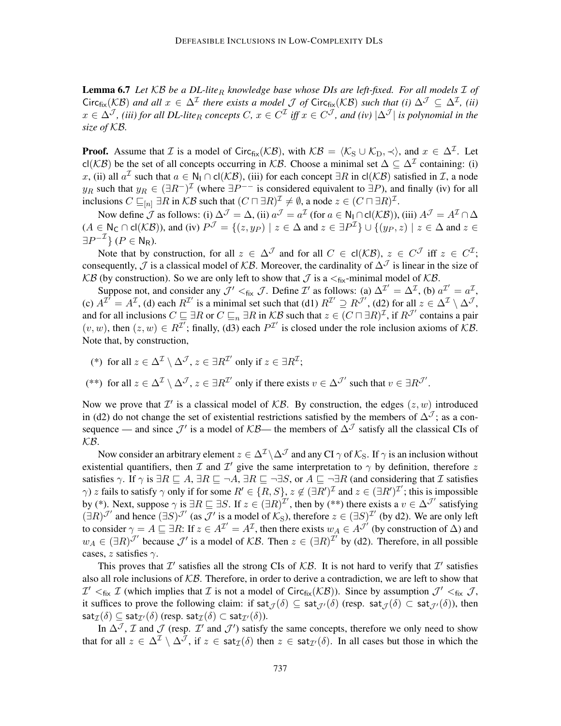**Lemma 6.7** Let KB be a DL-lite<sub>R</sub> knowledge base whose DIs are left-fixed. For all models *I* of  $Circ_{fix}(\mathcal{KB})$  and all  $x \in \Delta^{\mathcal{I}}$  there exists a model  $\mathcal J$  of  $Circ_{fix}(\mathcal{KB})$  such that (i)  $\Delta^{\mathcal{J}} \subseteq \Delta^{\mathcal{I}}$ , (ii)  $x\in\Delta^{\mathcal{J}}$ , (iii) for all DL-lite<sub>R</sub> concepts C,  $x\in C^{\mathcal{I}}$  iff  $x\in C^{\mathcal{J}}$ , and (iv)  $|\Delta^{\mathcal{J}}|$  is polynomial in the *size of* KB*.*

**Proof.** Assume that *I* is a model of Circ<sub>fix</sub>( $KB$ ), with  $KB = \langle K_S \cup K_D, \prec \rangle$ , and  $x \in \Delta^{\mathcal{I}}$ . Let cl(KB) be the set of all concepts occurring in KB. Choose a minimal set  $\Delta \subseteq \Delta^{\mathcal{I}}$  containing: (i) x, (ii) all  $a^{\mathcal{I}}$  such that  $a \in \mathsf{N}_{\mathsf{I}} \cap \mathsf{cl}(\mathcal{KB})$ , (iii) for each concept  $\exists R$  in  $\mathsf{cl}(\mathcal{KB})$  satisfied in  $\mathcal{I}$ , a node y<sub>R</sub> such that  $y_R \in (\exists R^-)^{\mathcal{I}}$  (where  $\exists P^{--}$  is considered equivalent to  $\exists P$ ), and finally (iv) for all inclusions  $C \sqsubseteq_{[n]} \exists R$  in  $\mathcal{KB}$  such that  $(C \sqcap \exists R)^{\mathcal{I}} \neq \emptyset$ , a node  $z \in (C \sqcap \exists R)^{\mathcal{I}}$ .

Now define  $\mathcal J$  as follows: (i)  $\Delta^{\mathcal J} = \Delta$ , (ii)  $a^{\mathcal J} = a^{\mathcal I}$  (for  $a \in \mathsf{N}_\mathsf{I} \cap \mathsf{cl}(\mathcal{KB})$ ), (iii)  $A^{\mathcal J} = A^{\mathcal I} \cap \Delta$  $(A \in \mathsf{N}_{\mathsf{C}} \cap \mathsf{cl}(\mathcal{KB})$ ), and (iv)  $P^{\mathcal{J}} = \{(z, y_P) \mid z \in \Delta \text{ and } z \in \exists P^{\mathcal{I}}\} \cup \{(y_P, z) \mid z \in \Delta \text{ and } z \in \mathcal{B}\}$  $\exists P^{-\mathcal{I}}\}$  ( $P \in \mathsf{N}_{\mathsf{R}}$ ).

Note that by construction, for all  $z \in \Delta^{\mathcal{J}}$  and for all  $C \in cl(\mathcal{KB})$ ,  $z \in C^{\mathcal{J}}$  iff  $z \in C^{\mathcal{I}}$ ; consequently,  $\mathcal J$  is a classical model of  $\mathcal{KB}$ . Moreover, the cardinality of  $\Delta^{\mathcal J}$  is linear in the size of KB (by construction). So we are only left to show that  $\mathcal J$  is a  $\lt_{fix}$ -minimal model of KB.

Suppose not, and consider any  $\mathcal{J}' <_{fix} \mathcal{J}$ . Define  $\mathcal{I}'$  as follows: (a)  $\Delta^{\mathcal{I}'} = \Delta^{\mathcal{I}}$ , (b)  $a^{\mathcal{I}'} = a^{\mathcal{I}}$ , (c)  $A^{\mathcal{I}^{\uparrow}} = A^{\mathcal{I}}$ , (d) each  $R^{\mathcal{I}^{\prime}}$  is a minimal set such that (d1)  $R^{\mathcal{I}^{\prime}} \supseteq R^{\mathcal{J}^{\prime}}$ , (d2) for all  $z \in \Delta^{\mathcal{I}} \setminus \Delta^{\mathcal{J}}$ , and for all inclusions  $C \sqsubseteq \exists R$  or  $C \sqsubseteq_n \exists R$  in  $\mathcal{KB}$  such that  $z \in (C \sqcap \exists R)^{\mathcal{I}}$ , if  $R^{\mathcal{J}'}$  contains a pair  $(v, w)$ , then  $(z, w) \in R^{\mathcal{I}}$ ; finally, (d3) each  $P^{\mathcal{I}}$  is closed under the role inclusion axioms of KB. Note that, by construction,

- (\*) for all  $z \in \Delta^{\mathcal{I}} \setminus \Delta^{\mathcal{J}}$ ,  $z \in \exists R^{\mathcal{I}'}$  only if  $z \in \exists R^{\mathcal{I}}$ ;
- (\*\*) for all  $z \in \Delta^{\mathcal{I}} \setminus \Delta^{\mathcal{J}}$ ,  $z \in \exists R^{\mathcal{I}'}$  only if there exists  $v \in \Delta^{\mathcal{J}'}$  such that  $v \in \exists R^{\mathcal{J}'}$ .

Now we prove that  $\mathcal{I}'$  is a classical model of  $\mathcal{KB}$ . By construction, the edges  $(z, w)$  introduced in (d2) do not change the set of existential restrictions satisfied by the members of  $\Delta^{\mathcal{J}}$ ; as a consequence — and since  $\mathcal{J}'$  is a model of  $\mathcal{KB}$ — the members of  $\Delta^{\mathcal{J}}$  satisfy all the classical CIs of KB.

Now consider an arbitrary element  $z \in \Delta^{\mathcal{I}} \setminus \Delta^{\mathcal{J}}$  and any CI  $\gamma$  of  $\mathcal{K}_S$ . If  $\gamma$  is an inclusion without existential quantifiers, then  $\mathcal I$  and  $\mathcal I'$  give the same interpretation to  $\gamma$  by definition, therefore  $z$ satisfies  $\gamma$ . If  $\gamma$  is  $\exists R \sqsubseteq A$ ,  $\exists R \sqsubseteq \neg A$ ,  $\exists R \sqsubseteq \neg \exists S$ , or  $A \sqsubseteq \neg \exists R$  (and considering that  $\mathcal I$  satisfies  $\gamma$ ) z fails to satisfy  $\gamma$  only if for some  $R' \in \{R, S\}$ ,  $z \notin (\exists R')^{\mathcal{I}}$  and  $z \in (\exists R')^{\mathcal{I}'}$ ; this is impossible by (\*). Next, suppose  $\gamma$  is  $\exists R \sqsubseteq \exists S$ . If  $z \in (\exists R)^{\mathcal{I}'}$ , then by (\*\*) there exists a  $v \in \Delta^{\mathcal{J}'}$  satisfying  $(\exists R)^{\mathcal{J}}$  and hence  $(\exists S)^{\mathcal{J}}$  (as  $\mathcal{J}'$  is a model of  $\mathcal{K}_S$ ), therefore  $z \in (\exists S)^{\mathcal{I}'}$  (by d2). We are only left to consider  $\gamma = A \sqsubseteq \exists R$ : If  $z \in A^{\mathcal{I}}' = A^{\mathcal{I}}$ , then there exists  $w_A \in A^{\mathcal{I}'}$  (by construction of  $\Delta$ ) and  $w_A \in (\exists R)^{\mathcal{J}}'$  because  $\mathcal{J}'$  is a model of  $\mathcal{KB}$ . Then  $z \in (\exists R)^{\mathcal{I}'}$  by (d2). Therefore, in all possible cases, z satisfies  $\gamma$ .

This proves that  $\mathcal{I}'$  satisfies all the strong CIs of  $\mathcal{KB}$ . It is not hard to verify that  $\mathcal{I}'$  satisfies also all role inclusions of  $KB$ . Therefore, in order to derive a contradiction, we are left to show that  $\mathcal{I}' \leq_{fix} \mathcal{I}$  (which implies that  $\mathcal{I}$  is not a model of Circ<sub>fix</sub>( $\mathcal{KB}$ )). Since by assumption  $\mathcal{J}' \leq_{fix} \mathcal{J}$ , it suffices to prove the following claim: if sat $\tau(\delta) \subseteq$  sat $\tau'(\delta)$  (resp. sat $\tau(\delta) \subset$  sat $\tau'(\delta)$ ), then  $\mathsf{sat}_{\mathcal{I}}(\delta) \subseteq \mathsf{sat}_{\mathcal{I}'}(\delta)$  (resp.  $\mathsf{sat}_{\mathcal{I}}(\delta) \subset \mathsf{sat}_{\mathcal{I}'}(\delta)$ ).

In  $\Delta^{\mathcal{J}}$ ,  $\mathcal I$  and  $\mathcal J$  (resp.  $\mathcal I'$  and  $\mathcal J'$ ) satisfy the same concepts, therefore we only need to show that for all  $z \in \Delta^{\mathcal{I}} \setminus \Delta^{\mathcal{J}}$ , if  $z \in \text{sat}_{\mathcal{I}}(\delta)$  then  $z \in \text{sat}_{\mathcal{I}}(\delta)$ . In all cases but those in which the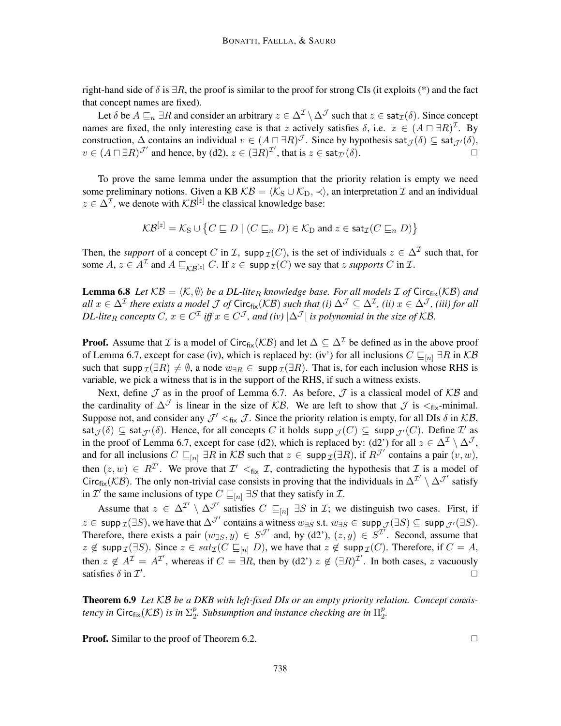right-hand side of  $\delta$  is  $\exists R$ , the proof is similar to the proof for strong CIs (it exploits (\*) and the fact that concept names are fixed).

Let  $\delta$  be  $A \sqsubseteq_n \exists R$  and consider an arbitrary  $z \in \Delta^{\mathcal{I}} \setminus \Delta^{\mathcal{J}}$  such that  $z \in \text{sat}_{\mathcal{I}}(\delta)$ . Since concept names are fixed, the only interesting case is that z actively satisfies  $\delta$ , i.e.  $z \in (A \sqcap \exists R)^{\mathcal{I}}$ . By construction,  $\Delta$  contains an individual  $v \in (A \sqcap \exists R)^{\mathcal{J}}$ . Since by hypothesis sat $_{\mathcal{J}}(\delta) \subseteq$  sat $_{\mathcal{J}'}(\delta)$ ,  $v \in (A \sqcap \exists R)^{\mathcal{J}'}$  and hence, by (d2),  $z \in (\exists R)^{\mathcal{I}'},$  that is  $z \in \text{sat}_{\mathcal{I}'}(\delta)$ .

To prove the same lemma under the assumption that the priority relation is empty we need some preliminary notions. Given a KB  $KB = \langle K_S \cup K_D, \prec \rangle$ , an interpretation  $\mathcal I$  and an individual  $z \in \Delta^{\mathcal{I}}$ , we denote with  $\mathcal{KB}^{[z]}$  the classical knowledge base:

$$
\mathcal{KB}^{[z]} = \mathcal{K}_{\mathrm{S}} \cup \big\{ C \sqsubseteq D \mid (C \sqsubseteq_n D) \in \mathcal{K}_{\mathrm{D}} \text{ and } z \in \mathsf{sat}_\mathcal{I}(C \sqsubseteq_n D) \big\}
$$

Then, the *support* of a concept C in I, supp  $\mathcal{I}(C)$ , is the set of individuals  $z \in \Delta^{\mathcal{I}}$  such that, for some  $A, z \in A^{\mathcal{I}}$  and  $A \sqsubseteq_{\mathcal{KB}^{[z]}} C$ . If  $z \in \text{supp } \mathcal{I}(C)$  we say that z *supports* C in  $\mathcal{I}$ .

**Lemma 6.8** Let  $KB = \langle K, \emptyset \rangle$  be a DL-lite<sub>R</sub> knowledge base. For all models  $\mathcal I$  of Circ<sub>fix</sub>(KB) and  $all x \in \Delta^{\mathcal{I}}$  there exists a model  $\mathcal J$  of  $\sf{Circ}_{fix}(\mathcal{KB})$  such that (i)  $\Delta^{\mathcal J} \subseteq \Delta^{\mathcal I}$ *, (ii)*  $x \in \Delta^{\mathcal J}$ *, (iii) for all DL-lite*<sub>R</sub> concepts C,  $x \in C^{\mathcal{I}}$  iff  $x \in C^{\mathcal{J}}$ , and (iv)  $|\Delta^{\mathcal{J}}|$  is polynomial in the size of KB.

**Proof.** Assume that *I* is a model of Circ<sub>fix</sub>( $KB$ ) and let  $\Delta \subseteq \Delta^{\mathcal{I}}$  be defined as in the above proof of Lemma 6.7, except for case (iv), which is replaced by: (iv') for all inclusions  $C \sqsubseteq_{[n]} \exists R$  in KB such that supp  $\mathcal{I}(\exists R) \neq \emptyset$ , a node  $w_{\exists R} \in \text{supp } \mathcal{I}(\exists R)$ . That is, for each inclusion whose RHS is variable, we pick a witness that is in the support of the RHS, if such a witness exists.

Next, define  $\mathcal J$  as in the proof of Lemma 6.7. As before,  $\mathcal J$  is a classical model of  $\mathcal{KB}$  and the cardinality of  $\Delta^{\mathcal{J}}$  is linear in the size of KB. We are left to show that  $\mathcal{J}$  is  $\lt_{fix}$ -minimal. Suppose not, and consider any  $\mathcal{J}' <_{fix} \mathcal{J}$ . Since the priority relation is empty, for all DIs  $\delta$  in  $\mathcal{KB}$ ,  $\mathsf{sat}_{\mathcal{J}}(\delta) \subseteq \mathsf{sat}_{\mathcal{J}'}(\delta)$ . Hence, for all concepts  $C$  it holds  $\mathsf{supp}_{\mathcal{J}}(C) \subseteq \mathsf{supp}_{\mathcal{J}'}(C)$ . Define  $\mathcal{I}'$  as in the proof of Lemma 6.7, except for case (d2), which is replaced by: (d2') for all  $z \in \Delta^{\mathcal{I}} \setminus \Delta^{\mathcal{J}}$ , and for all inclusions  $C \sqsubseteq_{[n]} \exists \overline{R}$  in  $\mathcal{KB}$  such that  $z \in \text{supp }_{\mathcal{I}}(\exists R)$ , if  $R^{\mathcal{J}'}$  contains a pair  $(v, w)$ , then  $(z, w) \in R^{\mathcal{I}}$ . We prove that  $\mathcal{I}' <_{fix} \mathcal{I}$ , contradicting the hypothesis that  $\mathcal{I}$  is a model of Circ<sub>fix</sub>( $KB$ ). The only non-trivial case consists in proving that the individuals in  $\Delta^{\mathcal{I}} \setminus \Delta^{\mathcal{J}}$  satisfy in  $\mathcal{I}'$  the same inclusions of type  $C \sqsubseteq_{[n]} \exists S$  that they satisfy in  $\mathcal{I}$ .

Assume that  $z \in \Delta^{\mathcal{I}'} \setminus \Delta^{\mathcal{J}'}$  satisfies  $C \sqsubseteq_{[n]} \exists S$  in  $\mathcal{I}$ ; we distinguish two cases. First, if  $z \in \text{supp } \mathcal{I}(\exists S)$ , we have that  $\Delta^{\mathcal{J}'}$  contains a witness  $w_{\exists S}$  s.t.  $w_{\exists S} \in \text{supp } \mathcal{J}(\exists S) \subseteq \text{supp } \mathcal{J}'(\exists S)$ . Therefore, there exists a pair  $(w_{\exists S}, y) \in S^{\mathcal{J}}$  and, by (d2'),  $(z, y) \in S^{\mathcal{I}}$ . Second, assume that  $z \notin \text{supp } \mathcal{I}(\exists S)$ . Since  $z \in sat_{\mathcal{I}}(C \sqsubseteq_{[n]} D)$ , we have that  $z \notin \text{supp } \mathcal{I}(C)$ . Therefore, if  $C = A$ , then  $z \notin A^{\mathcal{I}} = A^{\mathcal{I}}$ , whereas if  $C = \exists R$ , then by (d2')  $z \notin (\exists R)^{\mathcal{I}}$ . In both cases, z vacuously satisfies  $\delta$  in  $\mathcal{I}'$ . The contract of the contract of the contract of the contract of the contract of the contract of the contract of the contract of the contract of the contract of the contract of the contract of the contract of the contrac

Theorem 6.9 *Let* KB *be a DKB with left-fixed DIs or an empty priority relation. Concept consis*tency in  $\mathsf{Circ}_{\mathsf{fix}}(\mathcal{KB})$  is in  $\Sigma^p_2$  $\frac{p}{2}$ . Subsumption and instance checking are in  $\Pi^p_2$ p<br>2.

**Proof.** Similar to the proof of Theorem 6.2.  $\Box$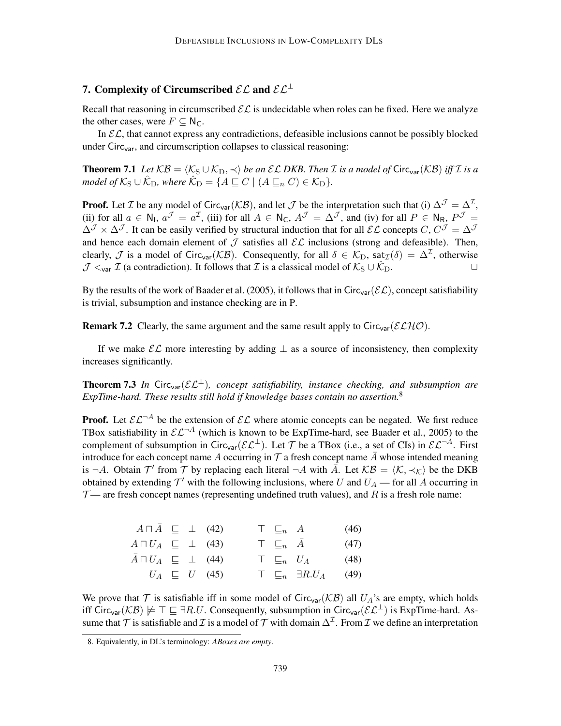# 7. Complexity of Circumscribed  $\mathcal{EL}$  and  $\mathcal{EL}^{\perp}$

Recall that reasoning in circumscribed  $\mathcal{EL}$  is undecidable when roles can be fixed. Here we analyze the other cases, were  $F \subseteq N_C$ .

In  $\mathcal{EL}$ , that cannot express any contradictions, defeasible inclusions cannot be possibly blocked under Circ<sub>var</sub>, and circumscription collapses to classical reasoning:

**Theorem 7.1** *Let*  $KB = \langle K_S \cup K_D, \prec \rangle$  *be an*  $\mathcal{EL}$  *DKB. Then I is a model of* Circ<sub>var</sub>( $KB$ ) *iff I is a model of*  $K_S \cup \hat{K_D}$ *, where*  $\hat{K_D} = \{ A \sqsubseteq C \mid (A \sqsubseteq_n C) \in K_D \}.$ 

**Proof.** Let *T* be any model of Circ<sub>var</sub>( $KB$ ), and let *J* be the interpretation such that (i)  $\Delta^{\mathcal{J}} = \Delta^{\mathcal{I}}$ , (ii) for all  $a \in \mathbb{N}_1$ ,  $a^{\mathcal{J}} = a^{\mathcal{I}}$ , (iii) for all  $A \in \mathbb{N}_C$ ,  $A^{\mathcal{J}} = \Delta^{\mathcal{J}}$ , and (iv) for all  $P \in \mathbb{N}_R$ ,  $P^{\mathcal{J}} =$  $\Delta^{\mathcal{J}} \times \Delta^{\mathcal{J}}$ . It can be easily verified by structural induction that for all  $\mathcal{EL}$  concepts  $C, C^{\mathcal{J}} = \Delta^{\mathcal{J}}$ and hence each domain element of  $\mathcal J$  satisfies all  $\mathcal EL$  inclusions (strong and defeasible). Then, clearly,  $\mathcal J$  is a model of Circ<sub>var</sub>( $\mathcal{KB}$ ). Consequently, for all  $\delta \in \mathcal K_D$ , sat $\mathcal I(\delta) = \Delta^{\mathcal I}$ , otherwise  $\mathcal{J}$   $\lt_{var}$   $\mathcal{I}$  (a contradiction). It follows that  $\mathcal{I}$  is a classical model of  $\mathcal{K}_{S} \cup \mathcal{K}_{D}$ .

By the results of the work of Baader et al. (2005), it follows that in Circ<sub>var</sub>( $\mathcal{EL}$ ), concept satisfiability is trivial, subsumption and instance checking are in P.

**Remark 7.2** Clearly, the same argument and the same result apply to Circ<sub>var</sub> ( $\mathcal{ELHO}$ ).

If we make  $\mathcal{EL}$  more interesting by adding  $\perp$  as a source of inconsistency, then complexity increases significantly.

**Theorem 7.3** *In* Circ<sub>var</sub>( $\mathcal{EL}^{\perp}$ ), concept satisfiability, instance checking, and subsumption are *ExpTime-hard. These results still hold if knowledge bases contain no assertion.*<sup>8</sup>

**Proof.** Let  $\mathcal{EL}^{-A}$  be the extension of  $\mathcal{EL}$  where atomic concepts can be negated. We first reduce TBox satisfiability in  $\mathcal{EL}^{-A}$  (which is known to be ExpTime-hard, see Baader et al., 2005) to the complement of subsumption in Circ<sub>var</sub>( $\mathcal{EL}^{\perp}$ ). Let T be a TBox (i.e., a set of CIs) in  $\mathcal{EL}^{\neg A}$ . First introduce for each concept name A occurring in  $\mathcal T$  a fresh concept name  $\overline A$  whose intended meaning is  $\neg A$ . Obtain  $\mathcal{T}'$  from  $\mathcal T$  by replacing each literal  $\neg A$  with  $\overline{A}$ . Let  $\mathcal{KB} = \langle \mathcal{K}, \prec_{\mathcal{K}} \rangle$  be the DKB obtained by extending  $\mathcal{T}'$  with the following inclusions, where U and  $U_A$  — for all A occurring in  $\mathcal{T}$ — are fresh concept names (representing undefined truth values), and R is a fresh role name:

| $A \sqcap \overline{A} \sqsubseteq \perp (42)$ |  |  | $\top \sqsubseteq_n A$ |                                    | (46) |
|------------------------------------------------|--|--|------------------------|------------------------------------|------|
| $A \sqcap U_A \sqsubseteq \perp (43)$          |  |  | $\top \sqsubseteq_n A$ |                                    | (47) |
| $A \sqcap U_A \subseteq \perp$ (44)            |  |  | $\top \subseteq_n U_A$ |                                    | (48) |
| $U_A \subseteq U$ (45)                         |  |  |                        | $\top \sqsubseteq_n \exists R.U_A$ | (49) |

We prove that  $\mathcal T$  is satisfiable iff in some model of Circ<sub>var</sub>( $\mathcal{KB}$ ) all  $U_A$ 's are empty, which holds iff Circ<sub>var</sub>(KB)  $\not\models \top \sqsubseteq \exists R.U$ . Consequently, subsumption in Circ<sub>var</sub>( $\mathcal{EL}^{\perp}$ ) is ExpTime-hard. Assume that  $\mathcal T$  is satisfiable and  $\mathcal I$  is a model of  $\mathcal T$  with domain  $\Delta^\mathcal I$ . From  $\mathcal I$  we define an interpretation

<sup>8.</sup> Equivalently, in DL's terminology: *ABoxes are empty*.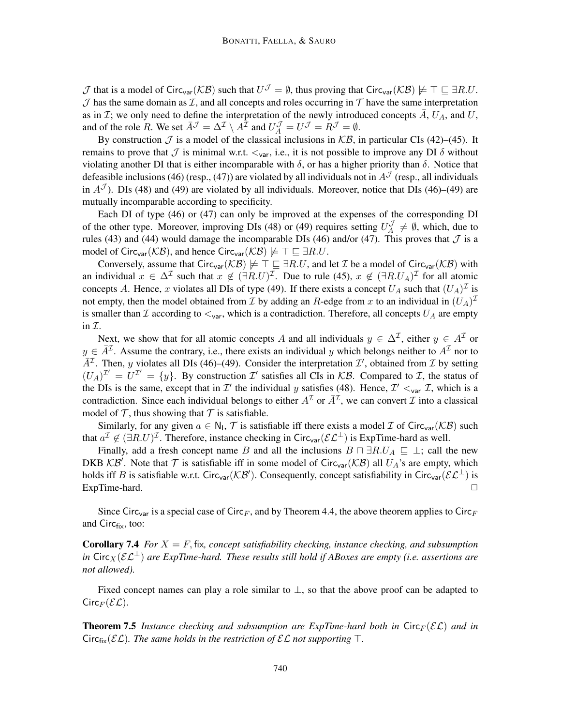$\mathcal J$  that is a model of Circ<sub>var</sub>( $\mathcal{KB}$ ) such that  $U^{\mathcal J} = \emptyset$ , thus proving that Circ<sub>var</sub>( $\mathcal{KB}$ )  $\not\models \top \sqsubseteq \exists R.U$ .  $J$  has the same domain as  $I$ , and all concepts and roles occurring in  $T$  have the same interpretation as in  $\mathcal{I}$ ; we only need to define the interpretation of the newly introduced concepts  $A$ ,  $U_A$ , and  $U$ , and of the role R. We set  $\overline{A}^{\mathcal{J}} = \Delta^{\mathcal{I}} \setminus A^{\overline{\mathcal{I}}}$  and  $U_A^{\mathcal{J}} = U^{\mathcal{J}} = R^{\mathcal{J}} = \emptyset$ .

By construction  $\mathcal J$  is a model of the classical inclusions in  $\mathcal{KB}$ , in particular CIs (42)–(45). It remains to prove that  $\mathcal J$  is minimal w.r.t.  $\lt_{var}$ , i.e., it is not possible to improve any DI  $\delta$  without violating another DI that is either incomparable with  $\delta$ , or has a higher priority than  $\delta$ . Notice that defeasible inclusions (46) (resp., (47)) are violated by all individuals not in  $A<sup>J</sup>$  (resp., all individuals in  $A<sup>J</sup>$ ). DIs (48) and (49) are violated by all individuals. Moreover, notice that DIs (46)–(49) are mutually incomparable according to specificity.

Each DI of type (46) or (47) can only be improved at the expenses of the corresponding DI of the other type. Moreover, improving DIs (48) or (49) requires setting  $U_A^{\mathcal{J}}$  $\mathcal{A} \neq \emptyset$ , which, due to rules (43) and (44) would damage the incomparable DIs (46) and/or (47). This proves that  $\mathcal J$  is a model of Circ<sub>var</sub>( $\mathcal{KB}$ ), and hence Circ<sub>var</sub>( $\mathcal{KB}$ )  $\not\models \top \sqsubseteq \exists R.U$ .

Conversely, assume that Circ<sub>var</sub>( $KB$ )  $\not\models T \sqsubseteq \exists R.U$ , and let *I* be a model of Circ<sub>var</sub>( $KB$ ) with an individual  $x \in \Delta^{\mathcal{I}}$  such that  $x \notin (\exists R.U)^{\mathcal{I}}$ . Due to rule (45),  $x \notin (\exists R.U_A)^{\mathcal{I}}$  for all atomic concepts A. Hence, x violates all DIs of type (49). If there exists a concept  $U_A$  such that  $(U_A)^{\mathcal{I}}$  is not empty, then the model obtained from  $\mathcal I$  by adding an R-edge from  $x$  to an individual in  $(U_A)^{\mathcal I}$ is smaller than I according to  $\lt_{var}$ , which is a contradiction. Therefore, all concepts  $U_A$  are empty in  $\mathcal{I}.$ 

Next, we show that for all atomic concepts A and all individuals  $y \in \Delta^{\mathcal{I}}$ , either  $y \in A^{\mathcal{I}}$  or  $y \in \overline{A}^{\mathcal{I}}$ . Assume the contrary, i.e., there exists an individual y which belongs neither to  $A^{\mathcal{I}}$  nor to  $\overline{A}^{\mathcal{I}}$ . Then, y violates all DIs (46)–(49). Consider the interpretation  $\mathcal{I}'$ , obtained from  $\mathcal{I}$  by setting  $(U_A)^{\mathcal{I}'} = U^{\mathcal{I}'} = \{y\}$ . By construction  $\mathcal{I}'$  satisfies all CIs in KB. Compared to  $\mathcal{I}$ , the status of the DIs is the same, except that in  $\mathcal{I}'$  the individual y satisfies (48). Hence,  $\mathcal{I}' \lt_{var} \mathcal{I}$ , which is a contradiction. Since each individual belongs to either  $A<sup>\mathcal{I}</sup>$  or  $\bar{A}^{\mathcal{I}}$ , we can convert  $\mathcal{I}$  into a classical model of  $\mathcal T$ , thus showing that  $\mathcal T$  is satisfiable.

Similarly, for any given  $a \in N_1$ ,  $\mathcal T$  is satisfiable iff there exists a model  $\mathcal I$  of Circ<sub>var</sub>( $\mathcal{KB}$ ) such that  $a^{\mathcal{I}} \notin (\exists R.U)^{\mathcal{I}}$ . Therefore, instance checking in Circ<sub>var</sub>( $\mathcal{EL}^{\perp}$ ) is ExpTime-hard as well.

Finally, add a fresh concept name B and all the inclusions  $B \sqcap \exists R.U_A \sqsubseteq \bot$ ; call the new DKB  $KB'$ . Note that T is satisfiable iff in some model of Circ<sub>var</sub>( $KB$ ) all  $U_A$ 's are empty, which holds iff B is satisfiable w.r.t. Circ<sub>var</sub>( $KB'$ ). Consequently, concept satisfiability in Circ<sub>var</sub>( $\mathcal{EL}^{\perp}$ ) is  $ExpTime$ -hard.  $\square$ 

Since Circ<sub>var</sub> is a special case of Circ<sub>F</sub>, and by Theorem 4.4, the above theorem applies to Circ<sub>F</sub> and  $Circ_{fix}$ , too:

**Corollary 7.4** *For*  $X = F$ , fix, concept satisfiability checking, instance checking, and subsumption *in* Circ<sub>X</sub>( $\mathcal{EL}^{\perp}$ ) are ExpTime-hard. These results still hold if ABoxes are empty (i.e. assertions are *not allowed).*

Fixed concept names can play a role similar to  $\perp$ , so that the above proof can be adapted to  $Circ_F(\mathcal{EL})$ .

**Theorem 7.5** Instance checking and subsumption are ExpTime-hard both in  $Circ_F(\mathcal{EL})$  and in Circ<sub>fix</sub>( $\mathcal{EL}$ )*. The same holds in the restriction of*  $\mathcal{EL}$  *not supporting*  $\top$ *.*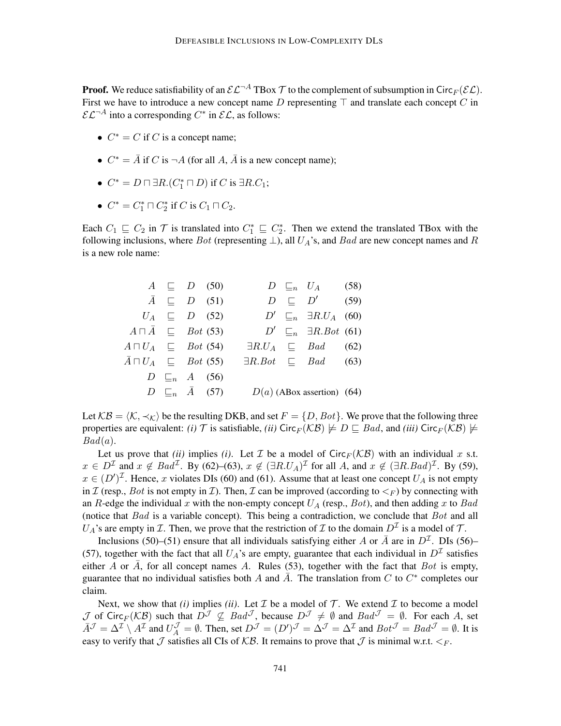**Proof.** We reduce satisfiability of an  $\mathcal{EL}^{-A}$  TBox  $\mathcal T$  to the complement of subsumption in Circ $_F(\mathcal{EL})$ . First we have to introduce a new concept name D representing  $\top$  and translate each concept C in  $\mathcal{EL}^{-A}$  into a corresponding  $C^*$  in  $\mathcal{EL}$ , as follows:

- $C^* = C$  if C is a concept name;
- $C^* = \overline{A}$  if C is  $\neg A$  (for all A,  $\overline{A}$  is a new concept name);
- $C^* = D \sqcap \exists R.(C_1^* \sqcap D)$  if C is  $\exists R.C_1;$
- $C^* = C_1^* \sqcap C_2^*$  if C is  $C_1 \sqcap C_2$ .

Each  $C_1 \sqsubseteq C_2$  in  $\mathcal T$  is translated into  $C_1^* \sqsubseteq C_2^*$ . Then we extend the translated TBox with the following inclusions, where Bot (representing  $\perp$ ), all  $U_A$ 's, and Bad are new concept names and R is a new role name:

|  | $A \subseteq D$ (50)                                 |  | $D \sqsubseteq_n U_A$ (58)                               |  |
|--|------------------------------------------------------|--|----------------------------------------------------------|--|
|  | $\bar{A} \subseteq D$ (51)                           |  | $D \subseteq D'$ (59)                                    |  |
|  | $U_A \subseteq D$ (52)                               |  | $D' \sqsubseteq_n \exists R.U_A$ (60)                    |  |
|  | $A \sqcap \overline{A} \sqsubseteq$ Bot (53)         |  | $D' \sqsubseteq_n \exists R. Bot(61)$                    |  |
|  | $A \sqcap U_A \sqsubseteq$ Bot (54)                  |  | $\exists R.U_A \subseteq Bad$ (62)                       |  |
|  | $\bar{A} \sqcap U_A \quad \sqsubseteq \quad Bot(55)$ |  | $\exists R. Bot \quad \sqsubseteq \quad Bad \qquad (63)$ |  |
|  | $D \sqsubseteq_n A$ (56)                             |  |                                                          |  |
|  | $D \subseteq_n \bar{A}$ (57)                         |  | $D(a)$ (ABox assertion) (64)                             |  |

Let  $KB = \langle K, \prec_K \rangle$  be the resulting DKB, and set  $F = \{D, Bot\}$ . We prove that the following three properties are equivalent: *(i)* T is satisfiable, *(ii)* Circ<sub>F</sub>( $KB$ )  $\not\models D \sqsubseteq Bad$ , and *(iii)* Circ<sub>F</sub>( $KB$ )  $\not\models$  $Bad(a).$ 

Let us prove that *(ii)* implies *(i)*. Let  $\mathcal I$  be a model of Circ $_F(\mathcal{KB})$  with an individual x s.t.  $x \in D^{\mathcal{I}}$  and  $x \notin \textit{Bad}^{\mathcal{I}}$ . By (62)–(63),  $x \notin (\exists R.U_A)^{\mathcal{I}}$  for all A, and  $x \notin (\exists R.\textit{Bad})^{\mathcal{I}}$ . By (59),  $x \in (D')^{\mathcal{I}}$ . Hence, x violates DIs (60) and (61). Assume that at least one concept  $U_A$  is not empty in I (resp., Bot is not empty in I). Then, I can be improved (according to  $\leq_F$ ) by connecting with an R-edge the individual x with the non-empty concept  $U_A$  (resp., Bot), and then adding x to Bad (notice that  $Bad$  is a variable concept). This being a contradiction, we conclude that  $Bot$  and all  $U_A$ 's are empty in  $\mathcal I$ . Then, we prove that the restriction of  $\mathcal I$  to the domain  $D^{\mathcal I}$  is a model of  $\mathcal T$ .

Inclusions (50)–(51) ensure that all individuals satisfying either A or  $\bar{A}$  are in  $D^{\mathcal{I}}$ . DIs (56)– (57), together with the fact that all  $U_A$ 's are empty, guarantee that each individual in  $D<sup>\mathcal{I}</sup>$  satisfies either  $\overline{A}$  or  $\overline{A}$ , for all concept names  $\overline{A}$ . Rules (53), together with the fact that  $Bot$  is empty, guarantee that no individual satisfies both A and  $\overline{A}$ . The translation from C to  $C^*$  completes our claim.

Next, we show that *(i)* implies *(ii)*. Let  $\mathcal I$  be a model of  $\mathcal T$ . We extend  $\mathcal I$  to become a model  $\mathcal J$  of Circ $_F(\mathcal{KB})$  such that  $D^{\mathcal J}\nsubseteq Bad^{\mathcal J}$ , because  $D^{\mathcal J}\neq \emptyset$  and  $Bad^{\mathcal J}=\emptyset$ . For each A, set  $\bar{A}^{\mathcal{J}} = \Delta^{\mathcal{I}} \setminus A^{\mathcal{I}}$  and  $U^{\mathcal{J}}_A = \emptyset$ . Then, set  $D^{\mathcal{J}} = (D')^{\mathcal{J}} = \Delta^{\mathcal{J}} = \Delta^{\mathcal{I}}$  and  $Bot^{\mathcal{J}} = Bad^{\mathcal{J}} = \emptyset$ . It is easy to verify that  $\mathcal J$  satisfies all CIs of  $\mathcal{KB}$ . It remains to prove that  $\mathcal J$  is minimal w.r.t.  $\lt_{F}$ .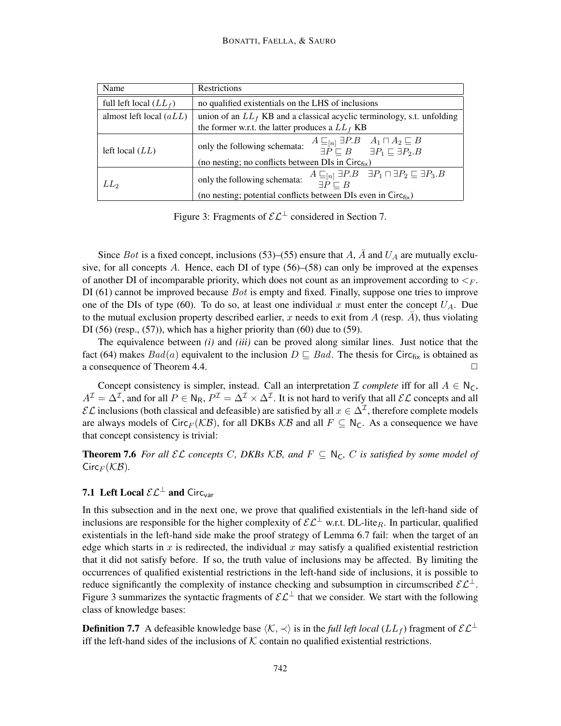| Name                      | Restrictions                                                                                                                                                                                                                       |  |  |  |  |  |  |  |
|---------------------------|------------------------------------------------------------------------------------------------------------------------------------------------------------------------------------------------------------------------------------|--|--|--|--|--|--|--|
| full left local $(LL_f)$  | no qualified existentials on the LHS of inclusions                                                                                                                                                                                 |  |  |  |  |  |  |  |
| almost left local $(aLL)$ | union of an $LL_f$ KB and a classical acyclic terminology, s.t. unfolding<br>the former w.r.t. the latter produces a $LL_f$ KB                                                                                                     |  |  |  |  |  |  |  |
| left local $(LL)$         | $A \sqsubseteq_{[n]} \exists P.B \quad A_1 \sqcap A_2 \sqsubseteq B$<br>only the following schemata:<br>$\exists P \sqsubset B$ $\exists P_1 \sqsubset \exists P_2.B$<br>(no nesting; no conflicts between DIs in $Circ_{fix}$ )   |  |  |  |  |  |  |  |
| LL <sub>2</sub>           | $A \sqsubseteq_{[n]} \exists P.B \quad \exists P_1 \sqcap \exists P_2 \sqsubseteq \exists P_3.B$<br>only the following schemata:<br>$\exists P \sqsubset B$<br>(no nesting; potential conflicts between DIs even in $Circ_{fix}$ ) |  |  |  |  |  |  |  |

Figure 3: Fragments of  $\mathcal{EL}^{\perp}$  considered in Section 7.

Since Bot is a fixed concept, inclusions (53)–(55) ensure that A, A and  $U_A$  are mutually exclusive, for all concepts A. Hence, each DI of type (56)–(58) can only be improved at the expenses of another DI of incomparable priority, which does not count as an improvement according to  $\leq_F$ . DI (61) cannot be improved because  $Bot$  is empty and fixed. Finally, suppose one tries to improve one of the DIs of type (60). To do so, at least one individual x must enter the concept  $U_A$ . Due to the mutual exclusion property described earlier, x needs to exit from A (resp.  $\bar{A}$ ), thus violating DI (56) (resp., (57)), which has a higher priority than (60) due to (59).

The equivalence between *(i)* and *(iii)* can be proved along similar lines. Just notice that the fact (64) makes  $Bad(a)$  equivalent to the inclusion  $D \sqsubseteq Bad$ . The thesis for Circ<sub>fix</sub> is obtained as a consequence of Theorem 4.4.  $\Box$ 

Concept consistency is simpler, instead. Call an interpretation  $\mathcal I$  *complete* iff for all  $A \in N_C$ ,  $A^{\mathcal{I}}=\Delta^{\mathcal{I}}$ , and for all  $P\in\mathsf{N}_\mathsf{R}$ ,  $P^{\mathcal{I}}=\Delta^{\mathcal{I}}\times\Delta^{\mathcal{I}}$ . It is not hard to verify that all  $\mathcal{EL}$  concepts and all  $\mathcal{EL}$  inclusions (both classical and defeasible) are satisfied by all  $x \in \Delta^{\mathcal{I}}$ , therefore complete models are always models of Circ<sub>F</sub> (KB), for all DKBs KB and all  $F \subseteq N_C$ . As a consequence we have that concept consistency is trivial:

**Theorem 7.6** For all  $\mathcal{EL}$  concepts C, DKBs  $\mathcal{KB}$ , and  $F \subseteq N_C$ , C is satisfied by some model of  $Circ_F(KB)$ .

# 7.1 Left Local  $\mathcal{EL}^{\perp}$  and Circ<sub>var</sub>

In this subsection and in the next one, we prove that qualified existentials in the left-hand side of inclusions are responsible for the higher complexity of  $\mathcal{EL}^{\perp}$  w.r.t. DL-lite<sub>R</sub>. In particular, qualified existentials in the left-hand side make the proof strategy of Lemma 6.7 fail: when the target of an edge which starts in x is redirected, the individual x may satisfy a qualified existential restriction that it did not satisfy before. If so, the truth value of inclusions may be affected. By limiting the occurrences of qualified existential restrictions in the left-hand side of inclusions, it is possible to reduce significantly the complexity of instance checking and subsumption in circumscribed  $\mathcal{EL}^{\perp}$ . Figure 3 summarizes the syntactic fragments of  $\mathcal{EL}^{\perp}$  that we consider. We start with the following class of knowledge bases:

**Definition 7.7** A defeasible knowledge base  $\langle K, \prec \rangle$  is in the *full left local* ( $LL_f$ ) fragment of  $\mathcal{EL}^{\perp}$ iff the left-hand sides of the inclusions of  $K$  contain no qualified existential restrictions.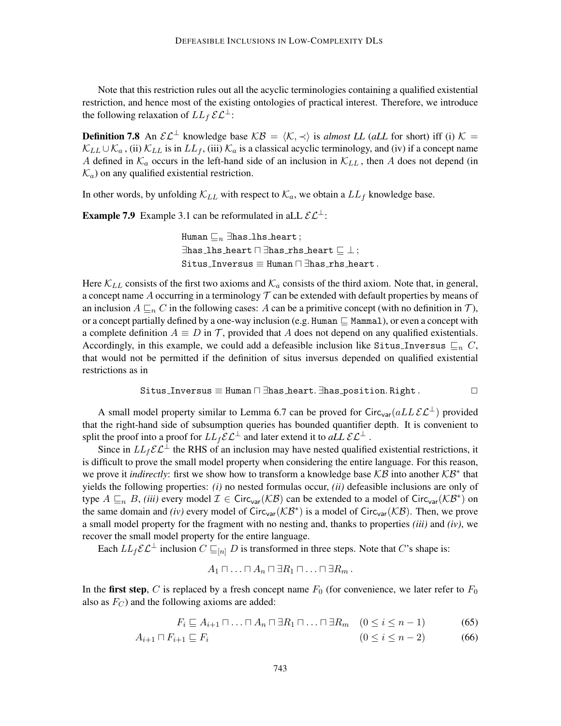Note that this restriction rules out all the acyclic terminologies containing a qualified existential restriction, and hence most of the existing ontologies of practical interest. Therefore, we introduce the following relaxation of  $LL_f$   $\mathcal{EL}^{\perp}$ :

**Definition 7.8** An  $\mathcal{EL}^{\perp}$  knowledge base  $\mathcal{KB} = \langle \mathcal{K}, \prec \rangle$  is *almost LL* (*aLL* for short) iff (i)  $\mathcal{K} =$  $\mathcal{K}_{LL} \cup \mathcal{K}_{a}$ , (ii)  $\mathcal{K}_{LL}$  is in  $LL_f$ , (iii)  $\mathcal{K}_{a}$  is a classical acyclic terminology, and (iv) if a concept name A defined in  $\mathcal{K}_a$  occurs in the left-hand side of an inclusion in  $\mathcal{K}_{LL}$ , then A does not depend (in  $\mathcal{K}_a$ ) on any qualified existential restriction.

In other words, by unfolding  $\mathcal{K}_{LL}$  with respect to  $\mathcal{K}_a$ , we obtain a  $LL_f$  knowledge base.

**Example 7.9** Example 3.1 can be reformulated in aLL  $\mathcal{EL}^{\perp}$ :

Human  $\sqsubseteq_n \exists$ has lhs heart;  $\exists$ has lhs heart  $\Box$   $\exists$ has rhs heart  $\Box$   $\bot$ ; Situs\_Inversus  $\equiv$  Human  $\Box$  Thas rhs heart.

Here  $\mathcal{K}_{LL}$  consists of the first two axioms and  $\mathcal{K}_a$  consists of the third axiom. Note that, in general, a concept name  $A$  occurring in a terminology  $T$  can be extended with default properties by means of an inclusion  $A \sqsubseteq_n C$  in the following cases: A can be a primitive concept (with no definition in T), or a concept partially defined by a one-way inclusion (e.g. Human  $\subseteq$  Mammal), or even a concept with a complete definition  $A \equiv D$  in  $\mathcal T$ , provided that A does not depend on any qualified existentials. Accordingly, in this example, we could add a defeasible inclusion like Situs\_Inversus  $\sqsubseteq_n C$ , that would not be permitted if the definition of situs inversus depended on qualified existential restrictions as in

$$
\texttt{Situs\_Inversus} \equiv \texttt{Human} \sqcap \exists \texttt{has\_heart}.\exists \texttt{has\_position}.\texttt{Right}.\hspace*{1cm}\square
$$

A small model property similar to Lemma 6.7 can be proved for Circ<sub>var</sub>(aLL $\mathcal{EL}^{\perp}$ ) provided that the right-hand side of subsumption queries has bounded quantifier depth. It is convenient to split the proof into a proof for  $LL_f\mathcal{EL}^{\perp}$  and later extend it to *aLL*  $\mathcal{EL}^{\perp}$ .

Since in  $LL_f\mathcal{EL}^{\perp}$  the RHS of an inclusion may have nested qualified existential restrictions, it is difficult to prove the small model property when considering the entire language. For this reason, we prove it *indirectly*: first we show how to transform a knowledge base KB into another KB<sup>\*</sup> that yields the following properties: *(i)* no nested formulas occur, *(ii)* defeasible inclusions are only of type  $A \sqsubseteq_n B$ , *(iii)* every model  $\mathcal{I} \in \text{Circ}_{\text{var}}(\mathcal{KB})$  can be extended to a model of  $\text{Circ}_{\text{var}}(\mathcal{KB}^*)$  on the same domain and *(iv)* every model of Circ<sub>var</sub> ( $KB^*$ ) is a model of Circ<sub>var</sub> ( $KB$ ). Then, we prove a small model property for the fragment with no nesting and, thanks to properties *(iii)* and *(iv)*, we recover the small model property for the entire language.

Each  $LL_f\mathcal{EL}^{\perp}$  inclusion  $C \sqsubseteq_{[n]} D$  is transformed in three steps. Note that C's shape is:

$$
A_1\sqcap\ldots\sqcap A_n\sqcap \exists R_1\sqcap\ldots\sqcap \exists R_m.
$$

In the first step, C is replaced by a fresh concept name  $F_0$  (for convenience, we later refer to  $F_0$ also as  $F_C$ ) and the following axioms are added:

$$
F_i \sqsubseteq A_{i+1} \sqcap \ldots \sqcap A_n \sqcap \exists R_1 \sqcap \ldots \sqcap \exists R_m \quad (0 \le i \le n-1)
$$
 (65)

$$
A_{i+1} \sqcap F_{i+1} \sqsubseteq F_i \tag{66}
$$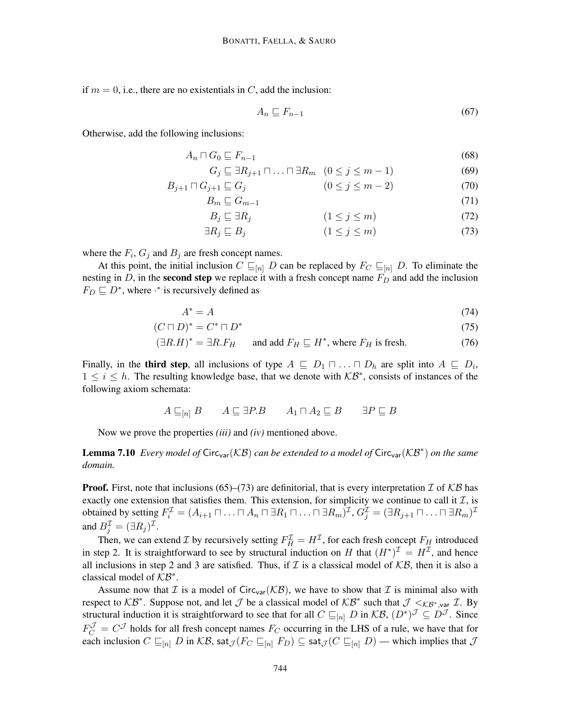if  $m = 0$ , i.e., there are no existentials in C, add the inclusion:

$$
A_n \sqsubseteq F_{n-1} \tag{67}
$$

Otherwise, add the following inclusions:

$$
A_n \sqcap G_0 \sqsubseteq F_{n-1} \tag{68}
$$

$$
G_j \sqsubseteq \exists R_{j+1} \sqcap \ldots \sqcap \exists R_m \ (0 \le j \le m-1)
$$
 (69)

$$
B_{j+1} \sqcap G_{j+1} \sqsubseteq G_j \tag{70}
$$

$$
B_m \sqsubseteq G_{m-1} \tag{71}
$$

$$
B_j \sqsubseteq \exists R_j \tag{72}
$$

$$
\exists R_j \sqsubseteq B_j \tag{73}
$$

where the  $F_i$ ,  $G_j$  and  $B_j$  are fresh concept names.

At this point, the initial inclusion  $C \sqsubseteq_{[n]} D$  can be replaced by  $F_C \sqsubseteq_{[n]} D$ . To eliminate the nesting in D, in the **second step** we replace it with a fresh concept name  $F<sub>D</sub>$  and add the inclusion  $F_D \sqsubseteq D^*$ , where  $\cdot^*$  is recursively defined as

$$
A^* = A \tag{74}
$$

$$
(C \sqcap D)^* = C^* \sqcap D^* \tag{75}
$$

$$
(\exists R.H)^* = \exists R.F_H \qquad \text{and add } F_H \sqsubseteq H^*, \text{ where } F_H \text{ is fresh.}
$$
 (76)

Finally, in the **third step**, all inclusions of type  $A \subseteq D_1 \sqcap ... \sqcap D_h$  are split into  $A \subseteq D_i$ ,  $1 \leq i \leq h$ . The resulting knowledge base, that we denote with  $KB^*$ , consists of instances of the following axiom schemata:

$$
A \sqsubseteq_{[n]} B \qquad A \sqsubseteq \exists P.B \qquad A_1 \sqcap A_2 \sqsubseteq B \qquad \exists P \sqsubseteq B
$$

Now we prove the properties *(iii)* and *(iv)* mentioned above.

**Lemma 7.10** Every model of Circ<sub>var</sub> (KB) can be extended to a model of Circ<sub>var</sub> (KB<sup>∗</sup>) on the same *domain.*

**Proof.** First, note that inclusions (65)–(73) are definitorial, that is every interpretation  $\mathcal{I}$  of  $\mathcal{KB}$  has exactly one extension that satisfies them. This extension, for simplicity we continue to call it  $I$ , is obtained by setting  $F_i^{\mathcal{I}}=(A_{i+1}\sqcap\ldots\sqcap A_n\sqcap \exists R_1\sqcap\ldots\sqcap \exists R_m)^{\mathcal{I}},$   $G_j^{\mathcal{I}}=(\exists R_{j+1}\sqcap\ldots\sqcap \exists R_m)^{\mathcal{I}}$ and  $B_j^{\mathcal{I}} = (\exists R_j)^{\mathcal{I}}$ .

Then, we can extend *I* by recursively setting  $F_H^{\mathcal{I}} = H^{\mathcal{I}}$ , for each fresh concept  $F_H$  introduced in step 2. It is straightforward to see by structural induction on H that  $(H^*)^{\mathcal{I}} = H^{\mathcal{I}}$ , and hence all inclusions in step 2 and 3 are satisfied. Thus, if  $\mathcal I$  is a classical model of  $\mathcal{KB}$ , then it is also a classical model of  $KB^*$ .

Assume now that  $\mathcal I$  is a model of Circ<sub>var</sub>( $\mathcal{KB}$ ), we have to show that  $\mathcal I$  is minimal also with respect to  $KB^*$ . Suppose not, and let  $\mathcal J$  be a classical model of  $KB^*$  such that  $\mathcal J <_{KB^*,\text{var}} \mathcal I$ . By structural induction it is straightforward to see that for all  $C \sqsubseteq_{[n]} D$  in  $\mathcal{KB}, (D^*)^{\mathcal{J}} \subseteq D^{\mathcal{J}}$ . Since  $F_C^{\mathcal{J}} = C^{\mathcal{J}}$  holds for all fresh concept names  $F_C$  occurring in the LHS of a rule, we have that for each inclusion  $C \sqsubseteq_{[n]} D$  in  $\mathcal{KB}$ , sat $\mathcal{J}(F_C \sqsubseteq_{[n]} F_D) \subseteq$  sat $\mathcal{J}(C \sqsubseteq_{[n]} D)$  — which implies that  $\mathcal J$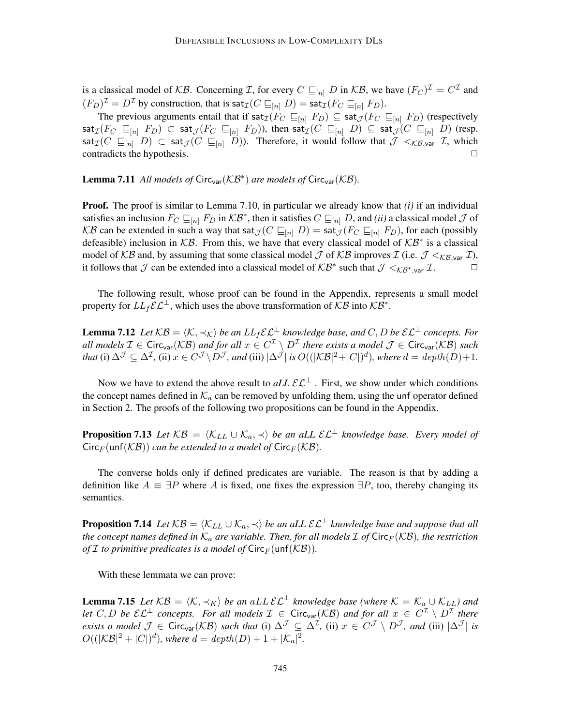is a classical model of KB. Concerning I, for every  $C \sqsubseteq_{[n]} D$  in KB, we have  $(F_C)^{\mathcal{I}} = C^{\mathcal{I}}$  and  $(F_D)^{\mathcal{I}} = D^{\mathcal{I}}$  by construction, that is  $\mathsf{sat}_{\mathcal{I}}(C \sqsubseteq_{[n]} D) = \mathsf{sat}_{\mathcal{I}}(F_C \sqsubseteq_{[n]} F_D).$ 

The previous arguments entail that if  $\text{sat}_{\mathcal{I}}(F_C \sqsubseteq_{[n]} F_D) \subseteq \text{sat}_{\mathcal{I}}(F_C \sqsubseteq_{[n]} F_D)$  (respectively  $\mathsf{sat}_{\mathcal{I}}(F_C \subseteq_{[n]} F_D) \subset \mathsf{sat}_{\mathcal{J}}(F_C \subseteq_{[n]} F_D)$ ), then  $\mathsf{sat}_{\mathcal{I}}(C \subseteq_{[n]} D) \subseteq \mathsf{sat}_{\mathcal{J}}(C \subseteq_{[n]} D)$  (resp. sat<sub> $I(C \sqsubseteq_{[n]} D) \subset$  sat $\mathcal{J}(C \sqsubseteq_{[n]} D)$ . Therefore, it would follow that  $\mathcal{J} \lt_{\mathcal{KB},\text{var}} \mathcal{I}$ , which</sub> contradicts the hypothesis.  $\Box$ 

**Lemma 7.11** All models of Circ<sub>var</sub>( $KB^*$ ) are models of Circ<sub>var</sub>( $KB$ ).

Proof. The proof is similar to Lemma 7.10, in particular we already know that *(i)* if an individual satisfies an inclusion  $F_C \sqsubseteq_{[n]} F_D$  in  $\mathcal{KB}^*$ , then it satisfies  $C \sqsubseteq_{[n]} D$ , and *(ii)* a classical model  $\mathcal J$  of KB can be extended in such a way that sat $_{\mathcal{J}}(C \sqsubseteq_{[n]} D) = \text{sat}_{\mathcal{J}}(F_C \sqsubseteq_{[n]} F_D)$ , for each (possibly defeasible) inclusion in  $KB$ . From this, we have that every classical model of  $KB^*$  is a classical model of KB and, by assuming that some classical model J of KB improves I (i.e.  $\mathcal{J} <_{K\beta, \text{var}} \mathcal{I}$ ), it follows that  $\mathcal J$  can be extended into a classical model of  $\mathcal{KB}^*$  such that  $\mathcal J <_{\mathcal{KB}^*,\text{var}} \mathcal I$ .

The following result, whose proof can be found in the Appendix, represents a small model property for  $LL_f \mathcal{EL}^{\perp}$ , which uses the above transformation of  $\mathcal{KB}$  into  $\mathcal{KB}^*$ .

**Lemma 7.12** *Let*  $KB = \langle K, \prec_K \rangle$  *be an*  $LL_f \mathcal{E} \mathcal{L}^{\perp}$  *knowledge base, and* C, D *be*  $\mathcal{E} \mathcal{L}^{\perp}$  *concepts. For* all models  $\mathcal{I} \in \text{Circ}_{\text{var}}(\mathcal{KB})$  and for all  $x \in C^{\mathcal{I}} \setminus D^{\mathcal{I}}$  there exists a model  $\mathcal{J} \in \text{Circ}_{\text{var}}(\mathcal{KB})$  such *that* (i)  $\Delta^{\mathcal{J}} \subseteq \Delta^{\mathcal{I}}$ , (ii)  $x \in C^{\mathcal{J}} \backslash D^{\mathcal{J}}$ , and (iii)  $|\Delta^{\mathcal{J}}|$  *is*  $O((|\mathcal{KB}|^2 + |C|)^d)$ , where  $d = depth(D) + 1$ .

Now we have to extend the above result to  $aLL \mathcal{E} \mathcal{L}^{\perp}$ . First, we show under which conditions the concept names defined in  $\mathcal{K}_a$  can be removed by unfolding them, using the unf operator defined in Section 2. The proofs of the following two propositions can be found in the Appendix.

**Proposition 7.13** *Let*  $KB = \langle K_{LL} \cup K_a, \prec \rangle$  *be an aLL*  $\mathcal{EL}^{\perp}$  *knowledge base. Every model of*  $Circ_F(\text{unf}(\mathcal{KB}))$  *can be extended to a model of*  $Circ_F(\mathcal{KB})$ *.* 

The converse holds only if defined predicates are variable. The reason is that by adding a definition like  $A \equiv \exists P$  where A is fixed, one fixes the expression  $\exists P$ , too, thereby changing its semantics.

**Proposition 7.14** *Let*  $KB = \langle K_{LL} \cup K_a, \prec \rangle$  *be an aLL*  $\mathcal{EL}^{\perp}$  *knowledge base and suppose that all the concept names defined in*  $K_a$  *are variable. Then, for all models*  $\mathcal I$  *of*  $\text{Circ}_F(\mathcal{KB})$ *, the restriction of*  $I$  *to primitive predicates is a model of*  $Circ_F(\text{unf}(\mathcal{KB}))$ *.* 

With these lemmata we can prove:

**Lemma 7.15** Let  $KB = \langle K, \prec_K \rangle$  be an aLL  $\mathcal{EL}^{\perp}$  knowledge base (where  $K = \mathcal{K}_a \cup \mathcal{K}_{LL}$ ) and *let*  $C, D$  *be*  $\mathcal{EL}^{\perp}$  *concepts. For all models*  $\mathcal{I} \in \text{Circ}_{\text{var}}(\mathcal{KB})$  *and for all*  $x \in C^{\mathcal{I}} \setminus D^{\mathcal{I}}$  *there exists a model*  $\mathcal{J} \in \mathsf{Circ}_{\mathsf{var}}(\mathcal{KB})$  *such that* (i)  $\Delta^{\mathcal{J}} \subseteq \Delta^{\mathcal{I}}$ , (ii)  $x \in C^{\mathcal{J}} \setminus D^{\mathcal{J}}$ , and (iii)  $|\Delta^{\mathcal{J}}|$  is  $O((|K\mathcal{B}|^2 + |C|)^d)$ , where  $d = depth(D) + 1 + |\mathcal{K}_a|^2$ .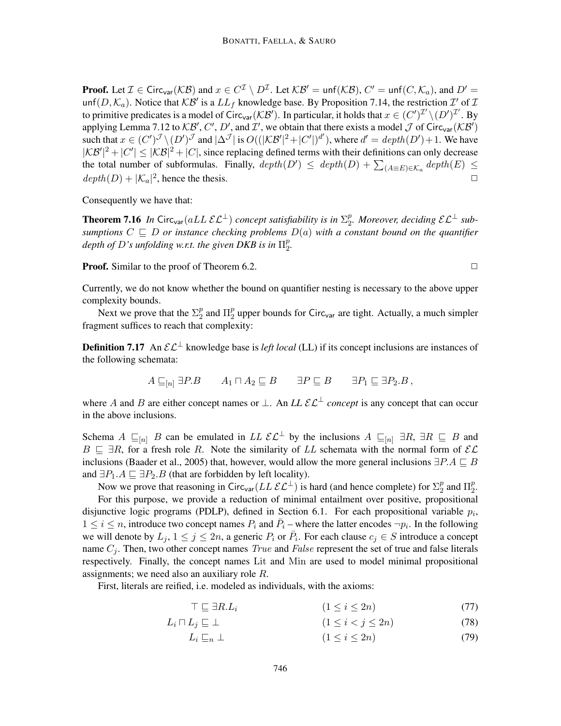**Proof.** Let  $\mathcal{I} \in \text{Circ}_{\text{var}}(\mathcal{KB})$  and  $x \in C^{\mathcal{I}} \setminus D^{\mathcal{I}}$ . Let  $\mathcal{KB}' = \text{unf}(\mathcal{KB}), C' = \text{unf}(C, \mathcal{K}_a)$ , and  $D' =$ unf $(D, \mathcal{K}_a)$ . Notice that  $\mathcal{KB}'$  is a  $LL_f$  knowledge base. By Proposition 7.14, the restriction  $\mathcal{I}'$  of  $\mathcal I$ to primitive predicates is a model of Circ<sub>var</sub> (KB'). In particular, it holds that  $x \in (C')^{\mathcal{I}'} \setminus (D')^{\mathcal{I}'}$ . By applying Lemma 7.12 to  $KB', C', D'$ , and  $\mathcal{I}'$ , we obtain that there exists a model  $\mathcal J$  of Circ<sub>var</sub>( $\mathcal{KB}'$ ) such that  $x \in (C')^{\mathcal{J}} \setminus (D')^{\mathcal{J}}$  and  $|\Delta^{\mathcal{J}}|$  is  $O((|\mathcal{KB'}|^2 + |C'|)^{d'})$ , where  $d' = depth(D') + 1$ . We have  $|KB'|^2 + |C'| \leq |KB|^2 + |C|$ , since replacing defined terms with their definitions can only decrease the total number of subformulas. Finally,  $depth(D') \leq depth(D) + \sum_{(A \equiv E) \in \mathcal{K}_a} depth(E) \leq$  $depth(D) + |\mathcal{K}_a|^2$ , hence the thesis.

Consequently we have that:

**Theorem 7.16** In Circ<sub>var</sub> (aLL  $\mathcal{EL}^{\perp}$ ) concept satisfiability is in  $\Sigma_{2}^{p}$  $_2^p$ . Moreover, deciding  $\mathcal{EL}^{\perp}$  sub*sumptions*  $C \subseteq D$  *or instance checking problems*  $D(a)$  *with a constant bound on the quantifier depth of* D*'s unfolding w.r.t. the given DKB is in* Π p p.<br>2.

**Proof.** Similar to the proof of Theorem 6.2.  $\Box$ 

Currently, we do not know whether the bound on quantifier nesting is necessary to the above upper complexity bounds.

Next we prove that the  $\Sigma_2^p$  $\frac{p}{2}$  and  $\Pi_2^p$  $_2^p$  upper bounds for Circ<sub>var</sub> are tight. Actually, a much simpler fragment suffices to reach that complexity:

**Definition 7.17** An  $\mathcal{EL}^{\perp}$  knowledge base is *left local* (LL) if its concept inclusions are instances of the following schemata:

$$
A \sqsubseteq_{[n]} \exists P.B
$$
  $A_1 \sqcap A_2 \sqsubseteq B$   $\exists P \sqsubseteq B$   $\exists P_1 \sqsubseteq \exists P_2.B$ ,

where A and B are either concept names or  $\perp$ . An *LL*  $\mathcal{E} \mathcal{L}^{\perp}$  *concept* is any concept that can occur in the above inclusions.

Schema A  $\sqsubseteq_{[n]}$  B can be emulated in LL  $\mathcal{EL}^{\perp}$  by the inclusions A  $\sqsubseteq_{[n]} \exists R, \exists R \sqsubseteq B$  and  $B \subseteq \exists R$ , for a fresh role R. Note the similarity of LL schemata with the normal form of  $\mathcal{EL}$ inclusions (Baader et al., 2005) that, however, would allow the more general inclusions  $\exists P.A \sqsubseteq B$ and  $\exists P_1.A \sqsubseteq \exists P_2.B$  (that are forbidden by left locality).

Now we prove that reasoning in Circ<sub>var</sub> ( $LL$   $\mathcal{EL}^{\perp}$ ) is hard (and hence complete) for  $\Sigma_2^p$  $\frac{p}{2}$  and  $\Pi_2^p$  $\frac{p}{2}$ . For this purpose, we provide a reduction of minimal entailment over positive, propositional disjunctive logic programs (PDLP), defined in Section 6.1. For each propositional variable  $p_i$ ,  $1 \le i \le n$ , introduce two concept names  $P_i$  and  $\overline{P}_i$  – where the latter encodes  $\neg p_i$ . In the following we will denote by  $L_j$ ,  $1 \le j \le 2n$ , a generic  $P_i$  or  $\overline{P}_i$ . For each clause  $c_j \in S$  introduce a concept name  $C_j$ . Then, two other concept names *True* and *False* represent the set of true and false literals respectively. Finally, the concept names Lit and Min are used to model minimal propositional assignments; we need also an auxiliary role R.

First, literals are reified, i.e. modeled as individuals, with the axioms:

$$
\top \sqsubseteq \exists R.L_i \qquad (1 \le i \le 2n) \tag{77}
$$

$$
L_i \sqcap L_j \sqsubseteq \bot \qquad \qquad (1 \leq i < j \leq 2n) \tag{78}
$$

$$
L_i \sqsubseteq_n \bot \tag{79}
$$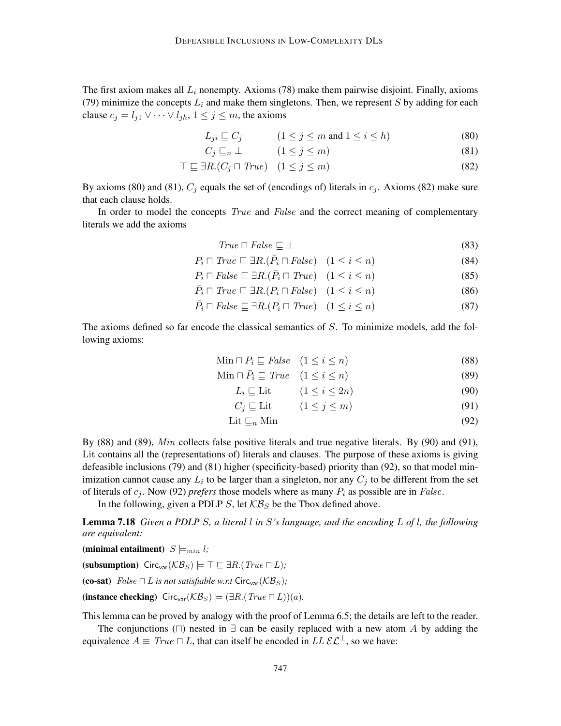The first axiom makes all  $L_i$  nonempty. Axioms (78) make them pairwise disjoint. Finally, axioms (79) minimize the concepts  $L_i$  and make them singletons. Then, we represent S by adding for each clause  $c_j = l_{j1} \vee \cdots \vee l_{jh}, 1 \leq j \leq m$ , the axioms

$$
L_{ji} \sqsubseteq C_j \qquad (1 \le j \le m \text{ and } 1 \le i \le h)
$$
 (80)

$$
C_j \sqsubseteq_n \bot \qquad (1 \le j \le m) \tag{81}
$$

$$
\top \sqsubseteq \exists R.(C_j \sqcap True) \quad (1 \le j \le m)
$$
\n
$$
(82)
$$

By axioms (80) and (81),  $C_j$  equals the set of (encodings of) literals in  $c_j$ . Axioms (82) make sure that each clause holds.

In order to model the concepts *True* and *False* and the correct meaning of complementary literals we add the axioms

$$
True \sqcap False \sqsubseteq \bot \tag{83}
$$

$$
P_i \sqcap \text{True} \sqsubseteq \exists R. (\bar{P}_i \sqcap \text{False}) \quad (1 \le i \le n) \tag{84}
$$

$$
P_i \sqcap False \sqsubseteq \exists R.(\bar{P}_i \sqcap True) \quad (1 \le i \le n)
$$
\n
$$
(85)
$$

$$
\bar{P}_i \sqcap True \sqsubseteq \exists R.(P_i \sqcap False) \quad (1 \le i \le n)
$$
\n
$$
(86)
$$

$$
\bar{P}_i \sqcap False \sqsubseteq \exists R.(P_i \sqcap True) \quad (1 \le i \le n)
$$
\n
$$
(87)
$$

The axioms defined so far encode the classical semantics of  $S$ . To minimize models, add the following axioms:

$$
\text{Min} \sqcap P_i \sqsubseteq \text{False} \quad (1 \le i \le n) \tag{88}
$$

$$
\text{Min } \sqcap \bar{P}_i \sqsubseteq \text{True} \quad (1 \le i \le n) \tag{89}
$$

$$
L_i \sqsubseteq \text{Lit} \qquad (1 \le i \le 2n) \tag{90}
$$

$$
C_j \sqsubseteq \text{Lit} \qquad (1 \le j \le m) \tag{91}
$$

$$
Lit \sqsubseteq_n Min \tag{92}
$$

By  $(88)$  and  $(89)$ , *Min* collects false positive literals and true negative literals. By  $(90)$  and  $(91)$ , Lit contains all the (representations of) literals and clauses. The purpose of these axioms is giving defeasible inclusions (79) and (81) higher (specificity-based) priority than (92), so that model minimization cannot cause any  $L_i$  to be larger than a singleton, nor any  $C_j$  to be different from the set of literals of  $c_j$ . Now (92) *prefers* those models where as many  $P_i$  as possible are in *False*.

In the following, given a PDLP S, let  $K\mathcal{B}_S$  be the Tbox defined above.

Lemma 7.18 *Given a PDLP* S*, a literal* l *in* S*'s language, and the encoding* L *of* l*, the following are equivalent:*

(minimal entailment)  $S \models_{min} l$ ; (subsumption)  $Circ_{var}(\mathcal{KB}_S) \models \top \sqsubseteq \exists R.(\text{True } \sqcap L);$ (co-sat) False  $\sqcap L$  *is not satisfiable w.r.t* Circ<sub>var</sub>( $\mathcal{KB}_S$ ); (instance checking)  $Circ_{var}(\mathcal{KB}_S) \models (\exists R.(True \sqcap L))(a)$ .

This lemma can be proved by analogy with the proof of Lemma 6.5; the details are left to the reader.

The conjunctions ( $\Box$ ) nested in  $\exists$  can be easily replaced with a new atom A by adding the equivalence  $A \equiv True \sqcap L$ , that can itself be encoded in  $LL \mathcal{E} \mathcal{L}^{\perp}$ , so we have: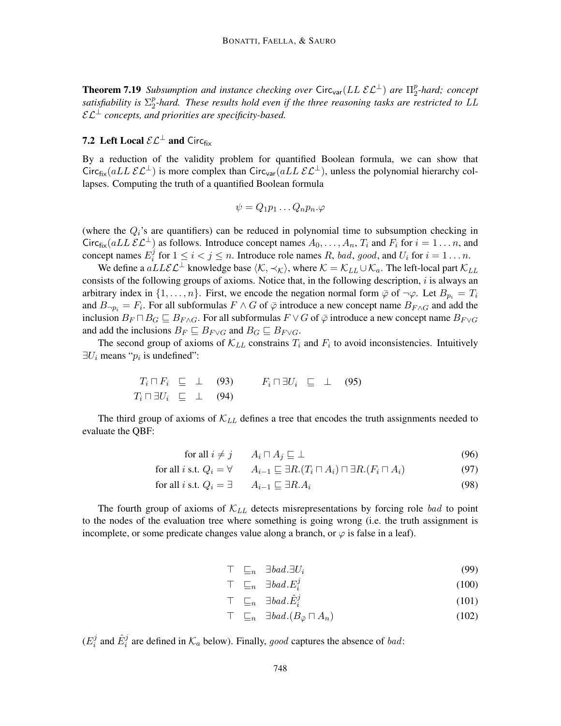**Theorem 7.19** *Subsumption and instance checking over* Circ<sub>var</sub> ( $LL$   $\mathcal{EL}^{\perp}$ ) *are*  $\Pi_2^p$ 2 *-hard; concept satisfiability is* Σ p  $\frac{p}{2}$ -hard. These results hold even if the three reasoning tasks are restricted to  $LL$  $\mathcal{EL}^{\perp}$  *concepts, and priorities are specificity-based.* 

## **7.2** Left Local  $\mathcal{EL}^{\perp}$  and Circ<sub>fix</sub>

By a reduction of the validity problem for quantified Boolean formula, we can show that Circ<sub>fix</sub>(aLL  $\mathcal{EL}^{\perp}$ ) is more complex than Circ<sub>var</sub>(aLL  $\mathcal{EL}^{\perp}$ ), unless the polynomial hierarchy collapses. Computing the truth of a quantified Boolean formula

$$
\psi = Q_1 p_1 \dots Q_n p_n.\varphi
$$

(where the  $Q_i$ 's are quantifiers) can be reduced in polynomial time to subsumption checking in Circ<sub>fix</sub>(aLL  $\mathcal{EL}^{\perp}$ ) as follows. Introduce concept names  $A_0, \ldots, A_n$ ,  $T_i$  and  $F_i$  for  $i = 1 \ldots n$ , and concept names  $E_i^{j}$  $i$  for  $1 \leq i < j \leq n$ . Introduce role names R, bad, good, and  $U_i$  for  $i = 1 \ldots n$ .

We define a  $aLL\mathcal{E}\mathcal{L}^{\perp}$  knowledge base  $\langle K, \prec_K \rangle$ , where  $\mathcal{K} = \mathcal{K}_{LL} \cup \mathcal{K}_a$ . The left-local part  $\mathcal{K}_{LL}$ consists of the following groups of axioms. Notice that, in the following description,  $i$  is always an arbitrary index in  $\{1,\ldots,n\}$ . First, we encode the negation normal form  $\bar{\varphi}$  of  $\neg\varphi$ . Let  $B_{p_i} = T_i$ and  $B_{\neg p_i} = F_i$ . For all subformulas  $F \wedge G$  of  $\bar{\varphi}$  introduce a new concept name  $B_{F \wedge G}$  and add the inclusion  $B_F \sqcap B_G \sqsubseteq B_{F \wedge G}$ . For all subformulas  $F \vee G$  of  $\overline{\varphi}$  introduce a new concept name  $B_{F \vee G}$ and add the inclusions  $B_F \sqsubseteq B_{F \vee G}$  and  $B_G \sqsubseteq B_{F \vee G}$ .

The second group of axioms of  $\mathcal{K}_{LL}$  constrains  $T_i$  and  $F_i$  to avoid inconsistencies. Intuitively  $\exists U_i$  means " $p_i$  is undefined":

$$
T_i \sqcap F_i \sqsubseteq \perp \quad (93) \qquad F_i \sqcap \exists U_i \sqsubseteq \perp \quad (95)
$$
  

$$
T_i \sqcap \exists U_i \sqsubseteq \perp \quad (94)
$$

The third group of axioms of  $\mathcal{K}_{LL}$  defines a tree that encodes the truth assignments needed to evaluate the QBF:

$$
\text{for all } i \neq j \qquad A_i \sqcap A_j \sqsubseteq \bot \tag{96}
$$

$$
\text{for all } i \text{ s.t. } Q_i = \forall \qquad A_{i-1} \sqsubseteq \exists R.(T_i \sqcap A_i) \sqcap \exists R.(F_i \sqcap A_i) \tag{97}
$$

$$
\text{for all } i \text{ s.t. } Q_i = \exists \qquad A_{i-1} \sqsubseteq \exists R.A_i \tag{98}
$$

The fourth group of axioms of  $\mathcal{K}_{LL}$  detects misrepresentations by forcing role bad to point to the nodes of the evaluation tree where something is going wrong (i.e. the truth assignment is incomplete, or some predicate changes value along a branch, or  $\varphi$  is false in a leaf).

$$
\top \quad \sqsubseteq_n \quad \exists \text{bad.} \exists U_i \tag{99}
$$

$$
\top \quad \sqsubseteq_n \quad \exists \, bad. E_i^j \tag{100}
$$

$$
\top \quad \sqsubseteq_n \quad \exists \mathit{bad}.\hat{E}_i^j \tag{101}
$$

$$
\top \quad \sqsubseteq_n \quad \exists \text{bad.} (B_{\bar{\varphi}} \sqcap A_n) \tag{102}
$$

 $(E_i^j$  $\hat{E}_i^j$  and  $\hat{E}_i^j$  are defined in  $\mathcal{K}_a$  below). Finally, good captures the absence of bad: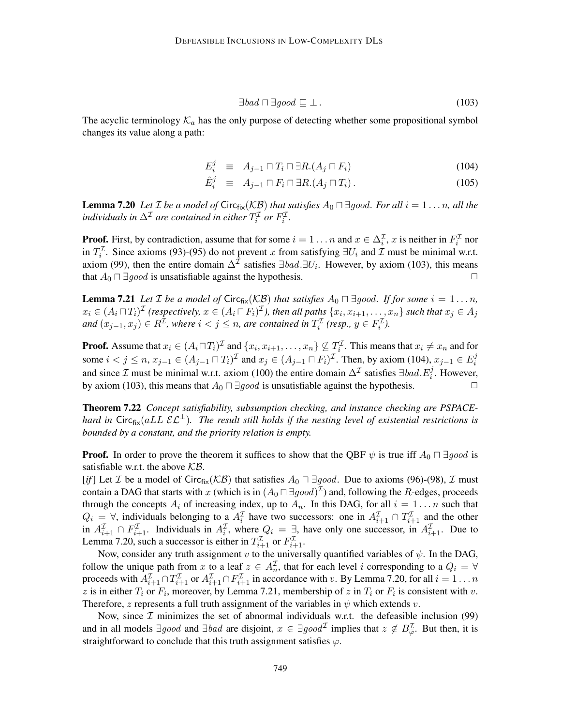$$
\exists bad \sqcap \exists good \sqsubseteq \bot. \tag{103}
$$

The acyclic terminology  $K_a$  has the only purpose of detecting whether some propositional symbol changes its value along a path:

$$
E_i^j \equiv A_{j-1} \sqcap T_i \sqcap \exists R.(A_j \sqcap F_i) \tag{104}
$$

$$
\hat{E}_i^j \equiv A_{j-1} \sqcap F_i \sqcap \exists R.(A_j \sqcap T_i). \tag{105}
$$

**Lemma 7.20** Let *I* be a model of Circ<sub>fix</sub>( $\mathcal{KB}$ ) that satisfies  $A_0 \sqcap \exists good$ . For all  $i = 1 \dots n$ , all the *individuals in*  $\Delta^{\mathcal{I}}$  are contained in either  $T_i^{\mathcal{I}}$  or  $F_i^{\mathcal{I}}$ .

**Proof.** First, by contradiction, assume that for some  $i = 1 \dots n$  and  $x \in \Delta_i^{\mathcal{I}}$ , x is neither in  $F_i^{\mathcal{I}}$  nor in  $T_i^{\mathcal{I}}$ . Since axioms (93)-(95) do not prevent x from satisfying  $\exists U_i$  and  $\mathcal{I}$  must be minimal w.r.t. axiom (99), then the entire domain  $\Delta^{\mathcal{I}}$  satisfies  $\exists bad.\exists U_i$ . However, by axiom (103), this means that  $A_0 \sqcap \exists good$  is unsatisfiable against the hypothesis.  $\Box$ 

**Lemma 7.21** Let *I* be a model of Circ $_{fix}(\mathcal{KB})$  that satisfies  $A_0 \sqcap \exists good$ . If for some  $i = 1 \ldots n$ ,  $x_i\in (A_i\sqcap T_i)^{\mathcal{I}}$  (respectively,  $x\in (A_i\sqcap F_i)^{\mathcal{I}}$ ), then all paths  $\{x_i,x_{i+1},\ldots,x_n\}$  such that  $x_j\in A_j$ *and*  $(x_{j-1}, x_j)$  ∈  $R^{\mathcal{I}}$ , where  $i < j \leq n$ , are contained in  $T_i^{\mathcal{I}}$  (resp.,  $y \in F_i^{\mathcal{I}}$ ).

**Proof.** Assume that  $x_i \in (A_i \sqcap T_i)^{\mathcal{I}}$  and  $\{x_i, x_{i+1}, \ldots, x_n\} \nsubseteq T_i^{\mathcal{I}}$ . This means that  $x_i \neq x_n$  and for some  $i < j \le n$ ,  $x_{j-1} \in (A_{j-1} \sqcap T_i)^{\mathcal{I}}$  and  $x_j \in (A_{j-1} \sqcap F_i)^{\mathcal{I}}$ . Then, by axiom (104),  $x_{j-1} \in E_i^j$ i and since  $\mathcal I$  must be minimal w.r.t. axiom (100) the entire domain  $\Delta^{\mathcal I}$  satisfies  $\exists bad.E_i^j$ . However, by axiom (103), this means that  $A_0 \sqcap \exists good$  is unsatisfiable against the hypothesis.  $\Box$ 

Theorem 7.22 *Concept satisfiability, subsumption checking, and instance checking are PSPACEhard in* Circ<sub>fix</sub>(aLL  $\mathcal{EL}^{\perp}$ ). The result still holds if the nesting level of existential restrictions is *bounded by a constant, and the priority relation is empty.*

**Proof.** In order to prove the theorem it suffices to show that the QBF  $\psi$  is true iff  $A_0 \sqcap \exists good$  is satisfiable w.r.t. the above  $KB$ .

[*if*] Let *I* be a model of Circ<sub>fix</sub>( $KB$ ) that satisfies  $A_0 \sqcap \exists good$ . Due to axioms (96)-(98), *I* must contain a DAG that starts with x (which is in  $(A_0 \sqcap \exists good)^{\mathcal{I}}$ ) and, following the R-edges, proceeds through the concepts  $A_i$  of increasing index, up to  $A_n$ . In this DAG, for all  $i = 1 \dots n$  such that  $Q_i = \forall$ , individuals belonging to a  $A_i^{\mathcal{I}}$  have two successors: one in  $A_{i+1}^{\mathcal{I}} \cap T_{i+1}^{\mathcal{I}}$  and the other in  $A_{i+1}^{\mathcal{I}} \cap F_{i+1}^{\mathcal{I}}$ . Individuals in  $A_i^{\mathcal{I}}$ , where  $Q_i = \exists$ , have only one successor, in  $A_{i+1}^{\mathcal{I}}$ . Due to Lemma 7.20, such a successor is either in  $T_{i+1}^{\mathcal{I}}$  or  $F_{i+1}^{\mathcal{I}}$ .

Now, consider any truth assignment v to the universally quantified variables of  $\psi$ . In the DAG, follow the unique path from x to a leaf  $z \in A_n^{\mathcal{I}}$ , that for each level i corresponding to a  $Q_i = \forall$ proceeds with  $A_{i+1}^{\mathcal{I}} \cap T_{i+1}^{\mathcal{I}}$  or  $A_{i+1}^{\mathcal{I}} \cap F_{i+1}^{\mathcal{I}}$  in accordance with v. By Lemma 7.20, for all  $i = 1 \dots n$ z is in either  $T_i$  or  $F_i$ , moreover, by Lemma 7.21, membership of z in  $T_i$  or  $F_i$  is consistent with v. Therefore, z represents a full truth assignment of the variables in  $\psi$  which extends v.

Now, since  $I$  minimizes the set of abnormal individuals w.r.t. the defeasible inclusion (99) and in all models  $\exists good$  and  $\exists bad$  are disjoint,  $x \in \exists good^{\mathcal{I}}$  implies that  $z \notin B_{\bar{\varphi}}^{\mathcal{I}}$ . But then, it is straightforward to conclude that this truth assignment satisfies  $\varphi$ .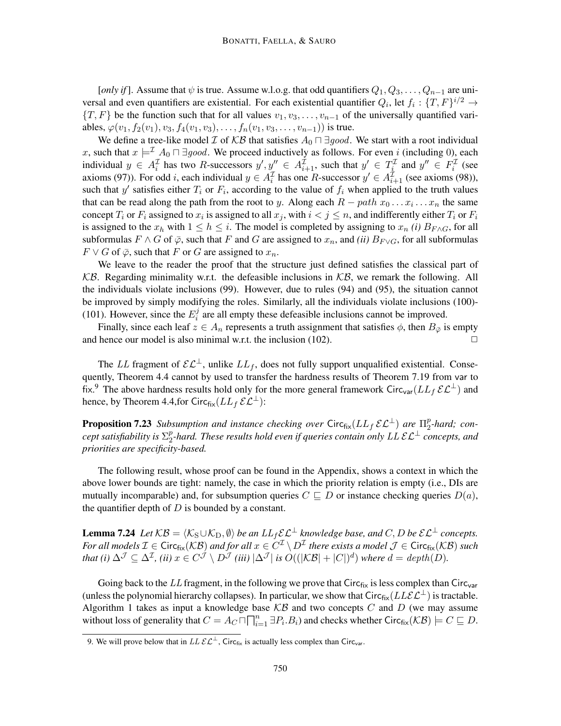[*only if*]. Assume that  $\psi$  is true. Assume w.l.o.g. that odd quantifiers  $Q_1, Q_3, \ldots, Q_{n-1}$  are universal and even quantifiers are existential. For each existential quantifier  $Q_i$ , let  $f_i: \{T, F\}^{i/2} \to$  $\{T, F\}$  be the function such that for all values  $v_1, v_3, \ldots, v_{n-1}$  of the universally quantified variables,  $\varphi(v_1, f_2(v_1), v_3, f_4(v_1, v_3), \ldots, f_n(v_1, v_3, \ldots, v_{n-1}))$  is true.

We define a tree-like model  $\mathcal I$  of  $\mathcal{KB}$  that satisfies  $A_0 \sqcap \exists good$ . We start with a root individual x, such that  $x \models^{\mathcal{I}} A_0 \sqcap \exists good$ . We proceed inductively as follows. For even i (including 0), each individual  $y \in A_i^{\mathcal{I}}$  has two R-successors  $y', y'' \in A_{i+1}^{\mathcal{I}}$ , such that  $y' \in T_i^{\mathcal{I}}$  and  $y'' \in F_i^{\mathcal{I}}$  (see axioms (97)). For odd *i*, each individual  $y \in A_i^{\mathcal{I}}$  has one *R*-successor  $y' \in A_{i+1}^{\mathcal{I}}$  (see axioms (98)), such that y' satisfies either  $T_i$  or  $F_i$ , according to the value of  $f_i$  when applied to the truth values that can be read along the path from the root to y. Along each  $R - path x_0 \dots x_i \dots x_n$  the same concept  $T_i$  or  $F_i$  assigned to  $x_i$  is assigned to all  $x_j$ , with  $i < j \leq n$ , and indifferently either  $T_i$  or  $F_i$ is assigned to the  $x_h$  with  $1 \le h \le i$ . The model is completed by assigning to  $x_n$  *(i)*  $B_{F \wedge G}$ , for all subformulas  $F \wedge G$  of  $\overline{\varphi}$ , such that F and G are assigned to  $x_n$ , and *(ii)*  $B_{F\vee G}$ , for all subformulas  $F \vee G$  of  $\overline{\varphi}$ , such that F or G are assigned to  $x_n$ .

We leave to the reader the proof that the structure just defined satisfies the classical part of  $KB.$  Regarding minimality w.r.t. the defeasible inclusions in  $KB$ , we remark the following. All the individuals violate inclusions (99). However, due to rules (94) and (95), the situation cannot be improved by simply modifying the roles. Similarly, all the individuals violate inclusions (100)- (101). However, since the  $E_i^j$  $i_i^j$  are all empty these defeasible inclusions cannot be improved.

Finally, since each leaf  $z \in A_n$  represents a truth assignment that satisfies  $\phi$ , then  $B_{\bar{\varphi}}$  is empty and hence our model is also minimal w.r.t. the inclusion  $(102)$ .

The LL fragment of  $\mathcal{EL}^{\perp}$ , unlike  $LL_f$ , does not fully support unqualified existential. Consequently, Theorem 4.4 cannot by used to transfer the hardness results of Theorem 7.19 from var to fix.<sup>9</sup> The above hardness results hold only for the more general framework Circ<sub>var</sub>( $LL_f$  $\mathcal{EL}^{\perp}$ ) and hence, by Theorem 4.4, for Circ $f_{ik}(LL_f \mathcal{E} \mathcal{L}^{\perp})$ :

**Proposition 7.23** Subsumption and instance checking over  $\text{Circ}_{\text{fix}}(LL_f \, \mathcal{EL}^{\perp})$  are  $\Pi_2^p$ 2 *-hard; concept satisfiability is*  $\Sigma_2^p$ 2 *-hard. These results hold even if queries contain only* LL EL<sup>⊥</sup> *concepts, and priorities are specificity-based.*

The following result, whose proof can be found in the Appendix, shows a context in which the above lower bounds are tight: namely, the case in which the priority relation is empty (i.e., DIs are mutually incomparable) and, for subsumption queries  $C \subseteq D$  or instance checking queries  $D(a)$ , the quantifier depth of  $D$  is bounded by a constant.

**Lemma 7.24** *Let*  $KB = \langle K_S \cup K_D, \emptyset \rangle$  *be an*  $LL_f \mathcal{EL}^{\perp}$  *knowledge base, and* C, D *be*  $\mathcal{EL}^{\perp}$  *concepts.* For all models  $\mathcal{I} \in \mathsf{Circ}_{\mathsf{fix}}(\mathcal{KB})$  and for all  $x \in C^\mathcal{I} \setminus D^\mathcal{I}$  there exists a model  $\mathcal{J} \in \mathsf{Circ}_{\mathsf{fix}}(\mathcal{KB})$  such *that (i)*  $\Delta^{\mathcal{J}} \subseteq \Delta^{\mathcal{I}}$ , *(ii)*  $x \in C^{\mathcal{J}} \setminus D^{\mathcal{J}}$  *(iii)*  $|\Delta^{\mathcal{J}}|$  *is*  $O((|\mathcal{KB}| + |C|)^d)$  *where*  $d = depth(D)$ .

Going back to the LL fragment, in the following we prove that  $Circ_{fix}$  is less complex than  $Circ_{var}$ (unless the polynomial hierarchy collapses). In particular, we show that  $Circ_{fix}(LLEL^{\perp})$  is tractable. Algorithm 1 takes as input a knowledge base  $KB$  and two concepts  $C$  and  $D$  (we may assume without loss of generality that  $C = A_C \sqcap \prod_{i=1}^n \exists P_i.B_i$  and checks whether Circ $_{fix}(\mathcal{KB}) \models C \sqsubseteq D$ .

<sup>9.</sup> We will prove below that in  $LL \mathcal{EL}^{\perp}$ , Circ<sub>fix</sub> is actually less complex than Circ<sub>var</sub>.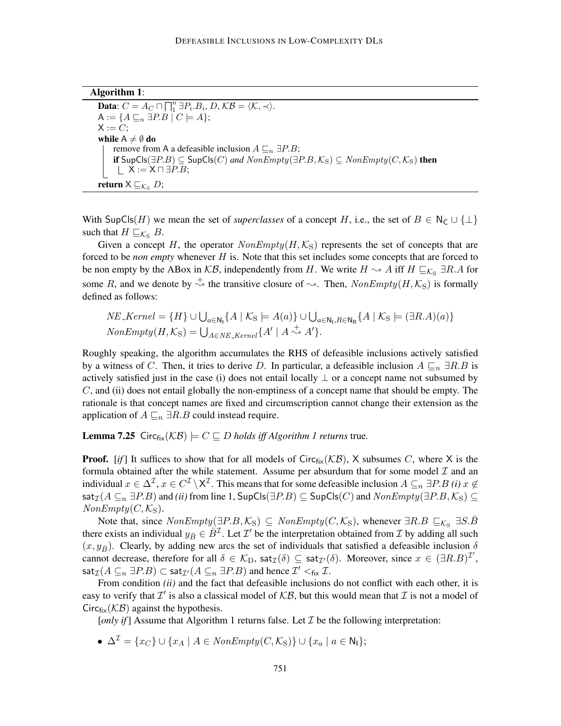| <b>Algorithm 1:</b> |  |
|---------------------|--|
|---------------------|--|

**Data:**  $C = A_C \sqcap \prod_{i=1}^{n} \exists P_i.B_i, D, KB = \langle K, \prec \rangle$ .  $A := \{A \sqsubseteq_n \exists P.B \mid C \models A\};\$  $X := C$ ; while  $A \neq \emptyset$  do remove from A a defeasible inclusion  $A \sqsubseteq_n \exists P.B;$ if  $SupCls(∃P.B) ⊆ SupCls(C)$  and  $NonEmpty(∃P.B, K<sub>S</sub>) ⊆ NonEmpty(C, K<sub>S</sub>)$  then  $\perp$  X := X  $\sqcap \exists P.B;$ return  $X \sqsubseteq_{\mathcal{K}_{\mathrm{S}}} D;$ 

With SupCls(H) we mean the set of *superclasses* of a concept H, i.e., the set of  $B \in N_C \cup \{\perp\}$ such that  $H \sqsubseteq_{\mathcal{K}_S} B$ .

Given a concept H, the operator  $NonEmpty(H, K_S)$  represents the set of concepts that are forced to be *non empty* whenever H is. Note that this set includes some concepts that are forced to be non empty by the ABox in  $KB$ , independently from H. We write  $H \sim A$  iff  $H \sqsubseteq_{\mathcal{K}_{S}} \exists R.A$  for some R, and we denote by  $\stackrel{+}{\leadsto}$  the transitive closure of  $\leadsto$ . Then,  $NonEmpty(H, \mathcal{K}_{S})$  is formally defined as follows:

$$
NE\_Kernel = \{H\} \cup \bigcup_{a \in \mathbb{N}_1} \{A \mid \mathcal{K}_S \models A(a)\} \cup \bigcup_{a \in \mathbb{N}_1, R \in \mathbb{N}_R} \{A \mid \mathcal{K}_S \models (\exists R.A)(a)\}
$$
  
NonEmpty $(H, \mathcal{K}_S) = \bigcup_{A \in NE\_Kernel} \{A' \mid A \stackrel{+}{\leadsto} A'\}.$ 

Roughly speaking, the algorithm accumulates the RHS of defeasible inclusions actively satisfied by a witness of C. Then, it tries to derive D. In particular, a defeasible inclusion  $A \sqsubseteq_n \exists R.B$  is actively satisfied just in the case (i) does not entail locally  $\perp$  or a concept name not subsumed by C, and (ii) does not entail globally the non-emptiness of a concept name that should be empty. The rationale is that concept names are fixed and circumscription cannot change their extension as the application of  $A \sqsubseteq_n \exists R.B$  could instead require.

**Lemma 7.25** Circ $_{fix}(\mathcal{KB}) \models C \sqsubseteq D$  *holds iff Algorithm 1 returns* true.

**Proof.** [*if*] It suffices to show that for all models of Circ<sub>fix</sub>( $KB$ ), X subsumes C, where X is the formula obtained after the while statement. Assume per absurdum that for some model  $\mathcal I$  and an individual  $x \in \Delta^{\mathcal{I}}$ ,  $x \in C^{\mathcal{I}} \setminus \mathsf{X}^{\mathcal{I}}$ . This means that for some defeasible inclusion  $A \subseteq_n \exists P.B$  *(i)*  $x \notin$ sat<sub> $\mathcal{I}(A \subseteq_n \exists P.B)$  and *(ii)* from line 1, SupCls( $\exists P.B$ )  $\subseteq$  SupCls(C) and  $NonEmpty(\exists P.B, \mathcal{K}_S)$   $\subseteq$ </sub>  $NonEmpty(C, \mathcal{K}_S).$ 

Note that, since  $NonEmpty(\exists P.B, \mathcal{K}_S) \subseteq NonEmpty(C, \mathcal{K}_S)$ , whenever  $\exists R.B \subseteq_{\mathcal{K}_S} \exists S.B$ there exists an individual  $y_{\bar{B}} \in \bar{B}^{\mathcal{I}}$ . Let  $\mathcal{I}'$  be the interpretation obtained from  $\mathcal{I}$  by adding all such  $(x, y_{\overline{B}})$ . Clearly, by adding new arcs the set of individuals that satisfied a defeasible inclusion  $\delta$ cannot decrease, therefore for all  $\delta \in \mathcal{K}_D$ , sat $\tau(\delta) \subseteq \text{sat}_{\mathcal{I}}(\delta)$ . Moreover, since  $x \in (\exists R.B)^{\mathcal{I}}'$ ,  $\mathsf{sat}_\mathcal{I}(A \subseteq_n \exists P.B) \subset \mathsf{sat}_{\mathcal{I}'}(A \subseteq_n \exists P.B)$  and hence  $\mathcal{I}' <_\mathsf{fix} \mathcal{I}.$ 

From condition *(ii)* and the fact that defeasible inclusions do not conflict with each other, it is easy to verify that  $\mathcal{I}'$  is also a classical model of  $\mathcal{KB}$ , but this would mean that  $\mathcal I$  is not a model of Circ $f_{\text{fix}}(\mathcal{KB})$  against the hypothesis.

[*only if*] Assume that Algorithm 1 returns false. Let  $\mathcal I$  be the following interpretation:

•  $\Delta^{\mathcal{I}} = \{x_C\} \cup \{x_A \mid A \in \text{NonEmpty}(C, \mathcal{K}_{\mathcal{S}})\} \cup \{x_a \mid a \in \mathbb{N}_1\};$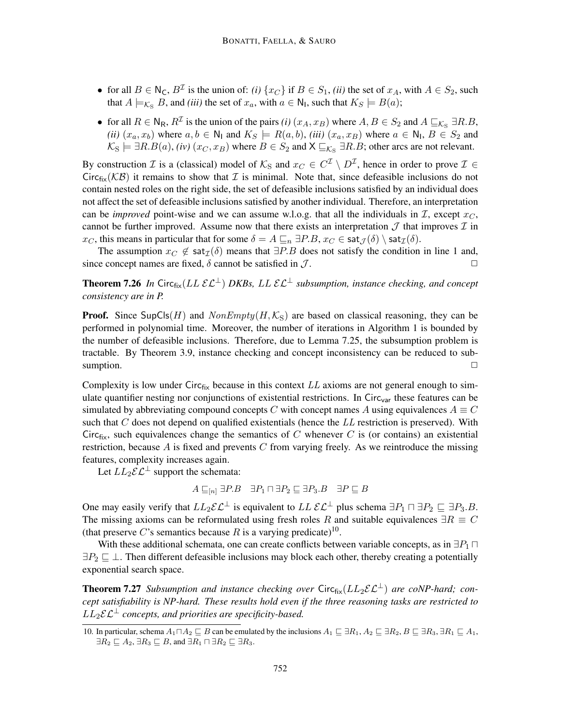- for all  $B \in N_C$ ,  $B^{\mathcal{I}}$  is the union of: *(i)* { $x_C$ } if  $B \in S_1$ , *(ii)* the set of  $x_A$ , with  $A \in S_2$ , such that  $A \models_{\mathcal{K}_S} B$ , and *(iii)* the set of  $x_a$ , with  $a \in \mathsf{N}_1$ , such that  $K_S \models B(a)$ ;
- for all  $R \in N_R$ ,  $R^{\mathcal{I}}$  is the union of the pairs *(i)*  $(x_A, x_B)$  where  $A, B \in S_2$  and  $A \sqsubseteq_{\mathcal{K}_{\mathcal{S}}} \exists R.B$ , *(ii)*  $(x_a, x_b)$  where  $a, b \in \mathbb{N}_1$  and  $K_S \models R(a, b)$ , *(iii)*  $(x_a, x_B)$  where  $a \in \mathbb{N}_1$ ,  $B \in S_2$  and  $\mathcal{K}_\text{S} \models \exists R.B(a), (iv) (x_C, x_B)$  where  $B \in S_2$  and  $\mathsf{X} \sqsubseteq_{\mathcal{K}_\text{S}} \exists R.B$ ; other arcs are not relevant.

By construction  $\mathcal I$  is a (classical) model of  $\mathcal K_S$  and  $x_C \in C^{\mathcal I} \setminus D^{\mathcal I}$ , hence in order to prove  $\mathcal I \in$ Circ<sub>fix</sub>( $KB$ ) it remains to show that *I* is minimal. Note that, since defeasible inclusions do not contain nested roles on the right side, the set of defeasible inclusions satisfied by an individual does not affect the set of defeasible inclusions satisfied by another individual. Therefore, an interpretation can be *improved* point-wise and we can assume w.l.o.g. that all the individuals in  $I$ , except  $x_C$ , cannot be further improved. Assume now that there exists an interpretation  $\mathcal J$  that improves  $\mathcal I$  in  $x_C$ , this means in particular that for some  $\delta = A \sqsubseteq_n \exists P.B, x_C \in \text{sat}_{\mathcal{I}}(\delta) \setminus \text{sat}_{\mathcal{I}}(\delta)$ .

The assumption  $x_C \notin \text{sat}_{\mathcal{I}}(\delta)$  means that  $\exists P.B$  does not satisfy the condition in line 1 and, since concept names are fixed,  $\delta$  cannot be satisfied in  $\mathcal{J}$ .

**Theorem 7.26** *In* Circ<sub>fix</sub>( $LL \, \mathcal{EL}^{\perp}$ ) *DKBs, LL*  $\mathcal{EL}^{\perp}$  *subsumption, instance checking, and concept consistency are in P.*

**Proof.** Since SupCls(H) and  $NonEmpty(H, K_S)$  are based on classical reasoning, they can be performed in polynomial time. Moreover, the number of iterations in Algorithm 1 is bounded by the number of defeasible inclusions. Therefore, due to Lemma 7.25, the subsumption problem is tractable. By Theorem 3.9, instance checking and concept inconsistency can be reduced to subsumption.  $\Box$ 

Complexity is low under Circ $f_{ik}$  because in this context LL axioms are not general enough to simulate quantifier nesting nor conjunctions of existential restrictions. In Circ<sub>var</sub> these features can be simulated by abbreviating compound concepts C with concept names A using equivalences  $A \equiv C$ such that  $C$  does not depend on qualified existentials (hence the  $LL$  restriction is preserved). With Circ<sub>fix</sub>, such equivalences change the semantics of C whenever C is (or contains) an existential restriction, because  $A$  is fixed and prevents  $C$  from varying freely. As we reintroduce the missing features, complexity increases again.

Let  $LL_2\mathcal{EL}^{\perp}$  support the schemata:

$$
A \sqsubseteq_{[n]} \exists P.B \quad \exists P_1 \sqcap \exists P_2 \sqsubseteq \exists P_3.B \quad \exists P \sqsubseteq B
$$

One may easily verify that  $LL_2 \mathcal{EL}^{\perp}$  is equivalent to  $LL \mathcal{EL}^{\perp}$  plus schema  $\exists P_1 \sqcap \exists P_2 \sqsubseteq \exists P_3.B.$ The missing axioms can be reformulated using fresh roles R and suitable equivalences  $\exists R \equiv C$ (that preserve C's semantics because R is a varying predicate)<sup>10</sup>.

With these additional schemata, one can create conflicts between variable concepts, as in  $\exists P_1 \sqcap$  $\exists P_2 \sqsubseteq \bot$ . Then different defeasible inclusions may block each other, thereby creating a potentially exponential search space.

**Theorem 7.27** *Subsumption and instance checking over* Circ $_{fix}(LL_2\mathcal{EL}^{\perp})$  *are coNP-hard; concept satisfiability is NP-hard. These results hold even if the three reasoning tasks are restricted to*  $LL_2\mathcal{EL}^{\perp}$  *concepts, and priorities are specificity-based.* 

<sup>10.</sup> In particular, schema  $A_1 \Box A_2 \sqsubseteq B$  can be emulated by the inclusions  $A_1 \sqsubseteq \exists R_1, A_2 \sqsubseteq \exists R_2, B \sqsubseteq \exists R_3, \exists R_1 \sqsubseteq A_1$ ,  $\exists R_2 \sqsubset A_2$ ,  $\exists R_3 \sqsubset B$ , and  $\exists R_1 \sqcap \exists R_2 \sqsubset \exists R_3$ .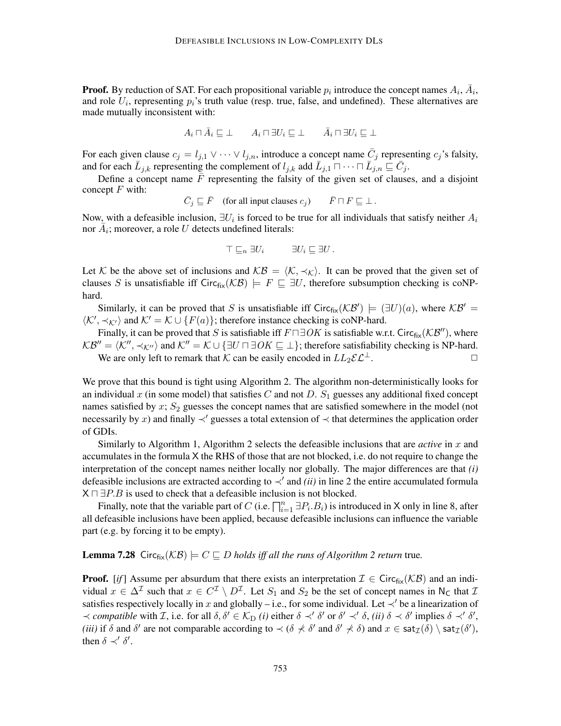**Proof.** By reduction of SAT. For each propositional variable  $p_i$  introduce the concept names  $A_i$ ,  $\overline{A}_i$ , and role  $U_i$ , representing  $p_i$ 's truth value (resp. true, false, and undefined). These alternatives are made mutually inconsistent with:

$$
A_i \sqcap \bar{A}_i \sqsubseteq \bot \qquad A_i \sqcap \exists U_i \sqsubseteq \bot \qquad \bar{A}_i \sqcap \exists U_i \sqsubseteq \bot
$$

For each given clause  $c_j = l_{j,1} \vee \cdots \vee l_{j,n}$ , introduce a concept name  $\bar{C}_j$  representing  $c_j$ 's falsity, and for each  $\bar{L}_{j,k}$  representing the complement of  $l_{j,k}$  add  $\bar{L}_{j,1} \cap \cdots \cap \bar{L}_{j,n} \subseteq \bar{C}_j$ .

Define a concept name  $F$  representing the falsity of the given set of clauses, and a disjoint concept  $F$  with:

 $\overline{C}_j \sqsubseteq \overline{F}$  (for all input clauses  $c_j$ )  $\overline{F} \sqcap F \sqsubseteq \bot$ .

Now, with a defeasible inclusion,  $\exists U_i$  is forced to be true for all individuals that satisfy neither  $A_i$ nor  $A_i$ ; moreover, a role U detects undefined literals:

$$
\top \sqsubseteq_n \exists U_i \qquad \exists U_i \sqsubseteq \exists U.
$$

Let K be the above set of inclusions and  $KB = \langle K, \prec_K \rangle$ . It can be proved that the given set of clauses S is unsatisfiable iff Circ $f_{ik}(\mathcal{KB}) \models F \sqsubseteq \exists U$ , therefore subsumption checking is coNPhard.

Similarly, it can be proved that S is unsatisfiable iff Circ<sub>fix</sub>( $KB'$ )  $\models (\exists U)(a)$ , where  $KB'$  $\langle K', \prec_{K'} \rangle$  and  $K' = K \cup \{F(a)\}$ ; therefore instance checking is coNP-hard.

Finally, it can be proved that S is satisfiable iff  $F \sqcap \exists OK$  is satisfiable w.r.t. Circ $_{fix}(\mathcal{KB}'')$ , where  $KB'' = \langle K'', \prec_{K''} \rangle$  and  $K'' = K \cup \{ \exists U \sqcap \exists OK \sqsubseteq \bot \}$ ; therefore satisfiability checking is NP-hard. We are only left to remark that K can be easily encoded in  $LL_2\mathcal{EL}^{\perp}$ .

We prove that this bound is tight using Algorithm 2. The algorithm non-deterministically looks for an individual x (in some model) that satisfies C and not D.  $S_1$  guesses any additional fixed concept names satisfied by  $x$ ;  $S_2$  guesses the concept names that are satisfied somewhere in the model (not necessarily by x) and finally  $\prec'$  guesses a total extension of  $\prec$  that determines the application order of GDIs.

Similarly to Algorithm 1, Algorithm 2 selects the defeasible inclusions that are *active* in x and accumulates in the formula X the RHS of those that are not blocked, i.e. do not require to change the interpretation of the concept names neither locally nor globally. The major differences are that *(i)* defeasible inclusions are extracted according to  $\prec'$  and *(ii)* in line 2 the entire accumulated formula  $X \sqcap \exists P.B$  is used to check that a defeasible inclusion is not blocked.

Finally, note that the variable part of C (i.e.  $\prod_{i=1}^n \exists P_i.B_i$ ) is introduced in X only in line 8, after all defeasible inclusions have been applied, because defeasible inclusions can influence the variable part (e.g. by forcing it to be empty).

### **Lemma 7.28** Circ $f_{\text{fix}}(\mathcal{KB}) \models C \sqsubseteq D$  *holds iff all the runs of Algorithm 2 return* true.

**Proof.** [*if*] Assume per absurdum that there exists an interpretation  $\mathcal{I} \in \text{Circ}_{fix}(\mathcal{KB})$  and an individual  $x \in \Delta^{\mathcal{I}}$  such that  $x \in C^{\mathcal{I}} \setminus D^{\mathcal{I}}$ . Let  $S_1$  and  $S_2$  be the set of concept names in N<sub>C</sub> that  $\mathcal{I}$ satisfies respectively locally in x and globally – i.e., for some individual. Let  $\prec'$  be a linearization of  $\prec$  *compatible* with *I*, i.e. for all  $\delta, \delta' \in \mathcal{K}_{\text{D}}$  *(i)* either  $\delta \prec' \delta'$  or  $\delta' \prec' \delta$ , *(ii)*  $\delta \prec \delta'$  implies  $\delta \prec' \delta'$ , (*iii*) if  $\delta$  and  $\delta'$  are not comparable according to  $\prec$  ( $\delta \not\prec \delta'$  and  $\delta' \not\prec \delta$ ) and  $x \in \text{sat}_{\mathcal{I}}(\delta) \setminus \text{sat}_{\mathcal{I}}(\delta'),$ then  $\delta \prec' \delta'$ .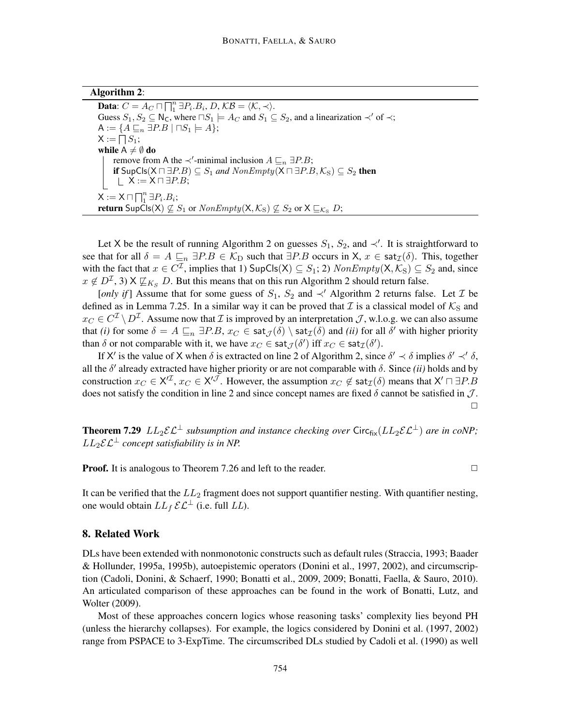| <b>Algorithm 2:</b> |  |
|---------------------|--|
|---------------------|--|

**Data:**  $C = A_C \sqcap \prod_{i=1}^{n} \exists P_i.B_i, D, KB = \langle K, \prec \rangle$ . Guess  $S_1, S_2 \subseteq N_C$ , where  $\Box S_1 \models A_C$  and  $S_1 \subseteq S_2$ , and a linearization  $\prec'$  of  $\prec$ ;  $A := \{A \sqsubseteq_n \exists P.B \mid \Box S_1 \models A\};\$  $\mathsf{X}:=\bigcap S_1;$ while  $A \neq \emptyset$  do remove from A the  $\prec'$ -minimal inclusion  $A \sqsubseteq_n \exists P.B;$ if  $SupCls(X ∩ ∃P.B) ⊆ S<sub>1</sub>$  *and*  $NonEmpty(X ∩ ∃P.B, K<sub>S</sub>) ⊆ S<sub>2</sub>$  then  $\perp$  X := X  $\sqcap \exists P.B;$  $X := X \sqcap \bigcap_{1}^{n} \exists P_{i}.B_{i};$ **return** SupCls(X)  $\nsubseteq S_1$  or  $NonEmpty(X, \mathcal{K}_S) \nsubseteq S_2$  or  $X \sqsubseteq_{\mathcal{K}_S} D$ ;

Let X be the result of running Algorithm 2 on guesses  $S_1$ ,  $S_2$ , and  $\prec'$ . It is straightforward to see that for all  $\delta = A \sqsubseteq_n \exists P.B \in \mathcal{K}_D$  such that  $\exists P.B$  occurs in  $X, x \in \text{sat}_{\mathcal{I}}(\delta)$ . This, together with the fact that  $x \in C^{\mathcal{I}}$ , implies that 1)  $\mathsf{SupCIs(X)} \subseteq S_1$ ; 2)  $\mathit{NonEmpty}(X, \mathcal{K}_S) \subseteq S_2$  and, since  $x \notin D^{\mathcal{I}}$ , 3)  $X \not\sqsubseteq_{K_S} D$ . But this means that on this run Algorithm 2 should return false.

[*only if*] Assume that for some guess of  $S_1$ ,  $S_2$  and  $\prec'$  Algorithm 2 returns false. Let *T* be defined as in Lemma 7.25. In a similar way it can be proved that  $\mathcal I$  is a classical model of  $\mathcal K_S$  and  $x_C \in C^{\mathcal{I}} \setminus D^{\mathcal{I}}$ . Assume now that  $\mathcal I$  is improved by an interpretation  $\mathcal J$ , w.l.o.g. we can also assume that *(i)* for some  $\delta = A \sqsubseteq_n \exists P.B, x_C \in \text{sat}_{\mathcal{J}}(\delta) \setminus \text{sat}_{\mathcal{I}}(\delta)$  and *(ii)* for all  $\delta'$  with higher priority than  $\delta$  or not comparable with it, we have  $x_C \in \text{sat}_{\mathcal{J}}(\delta')$  iff  $x_C \in \text{sat}_{\mathcal{I}}(\delta').$ 

If X' is the value of X when  $\delta$  is extracted on line 2 of Algorithm 2, since  $\delta' \prec \delta$  implies  $\delta' \prec' \delta$ , all the  $\delta'$  already extracted have higher priority or are not comparable with  $\delta$ . Since *(ii)* holds and by construction  $x_C \in X^{t\mathcal{I}}$ ,  $x_C \in X^{t\mathcal{J}}$ . However, the assumption  $x_C \notin \text{sat}_{\mathcal{I}}(\delta)$  means that  $X' \sqcap \exists P.B$ does not satisfy the condition in line 2 and since concept names are fixed  $\delta$  cannot be satisfied in  $\mathcal{J}$ .  $\Box$ 

**Theorem 7.29**  $LL_2\mathcal{EL}^{\perp}$  *subsumption and instance checking over* Circ $_{fix}(LL_2\mathcal{EL}^{\perp})$  *are in coNP*;  $LL_2\mathcal{EL}^{\perp}$  *concept satisfiability is in NP.* 

**Proof.** It is analogous to Theorem 7.26 and left to the reader.  $\Box$ 

It can be verified that the  $LL_2$  fragment does not support quantifier nesting. With quantifier nesting, one would obtain  $LL_f \mathcal{EL}^{\perp}$  (i.e. full  $LL$ ).

### 8. Related Work

DLs have been extended with nonmonotonic constructs such as default rules (Straccia, 1993; Baader & Hollunder, 1995a, 1995b), autoepistemic operators (Donini et al., 1997, 2002), and circumscription (Cadoli, Donini, & Schaerf, 1990; Bonatti et al., 2009, 2009; Bonatti, Faella, & Sauro, 2010). An articulated comparison of these approaches can be found in the work of Bonatti, Lutz, and Wolter (2009).

Most of these approaches concern logics whose reasoning tasks' complexity lies beyond PH (unless the hierarchy collapses). For example, the logics considered by Donini et al. (1997, 2002) range from PSPACE to 3-ExpTime. The circumscribed DLs studied by Cadoli et al. (1990) as well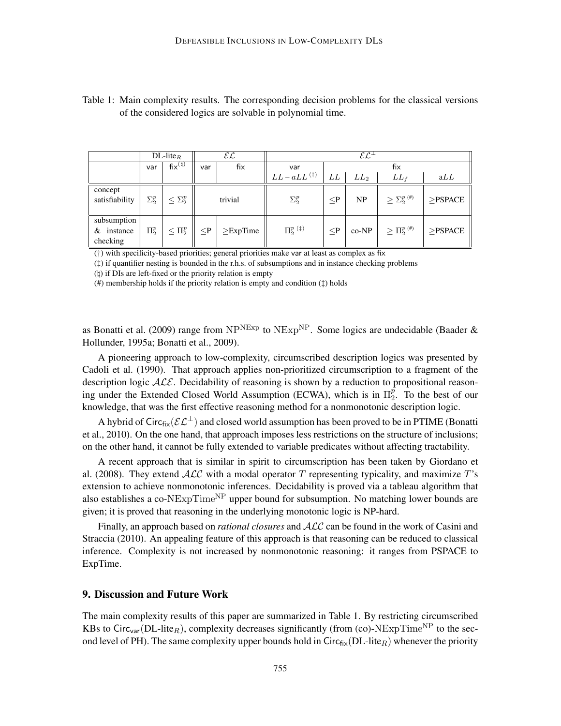|                                         | $DL$ -lite <sub>R</sub> |                   | ${\cal EL}$ |                | $\mathcal{EL}^{\perp}$    |          |         |                                     |               |  |
|-----------------------------------------|-------------------------|-------------------|-------------|----------------|---------------------------|----------|---------|-------------------------------------|---------------|--|
|                                         | var                     | $fix^{(h)}$       | var         | fix            | var                       |          | fix     |                                     |               |  |
|                                         |                         |                   |             |                | $LL - aLL$ <sup>(†)</sup> | LL       | $LL_2$  | $LL_f$                              | aLL           |  |
| concept<br>satisfiability               | $\Sigma^p_2$            | $\leq \Sigma_2^p$ |             | trivial        | $\Sigma_2^p$              | $\leq P$ | NP      | $\geq \Sigma_2^{p}$ <sup>(#)</sup>  | $>$ PSPACE    |  |
| subsumption<br>$&$ instance<br>checking | $\Pi^p_{\alpha}$        | $\leq \Pi_2^p$    | $\leq$ P    | $\geq$ ExpTime | $\Pi_2^{p ( \ddag)}$      | $\leq P$ | $co-NP$ | $\geq \prod_{2}^{p}$ <sup>(#)</sup> | $\geq$ PSPACE |  |

Table 1: Main complexity results. The corresponding decision problems for the classical versions of the considered logics are solvable in polynomial time.

(†) with specificity-based priorities; general priorities make var at least as complex as fix

 $(\uparrow)$  if quantifier nesting is bounded in the r.h.s. of subsumptions and in instance checking problems

 $(\natural)$  if DIs are left-fixed or the priority relation is empty

(#) membership holds if the priority relation is empty and condition (‡) holds

as Bonatti et al. (2009) range from  $NP<sup>NExp</sup>$  to  $NExp<sup>NP</sup>$ . Some logics are undecidable (Baader & Hollunder, 1995a; Bonatti et al., 2009).

A pioneering approach to low-complexity, circumscribed description logics was presented by Cadoli et al. (1990). That approach applies non-prioritized circumscription to a fragment of the description logic  $\mathcal{ALE}$ . Decidability of reasoning is shown by a reduction to propositional reasoning under the Extended Closed World Assumption (ECWA), which is in  $\Pi_2^p$  $_{2}^{p}$ . To the best of our knowledge, that was the first effective reasoning method for a nonmonotonic description logic.

A hybrid of Circ<sub>fix</sub>( $\mathcal{EL}^{\perp}$ ) and closed world assumption has been proved to be in PTIME (Bonatti et al., 2010). On the one hand, that approach imposes less restrictions on the structure of inclusions; on the other hand, it cannot be fully extended to variable predicates without affecting tractability.

A recent approach that is similar in spirit to circumscription has been taken by Giordano et al. (2008). They extend  $\mathcal{ALC}$  with a modal operator T representing typicality, and maximize T's extension to achieve nonmonotonic inferences. Decidability is proved via a tableau algorithm that also establishes a co-NExp $Time<sup>NP</sup>$  upper bound for subsumption. No matching lower bounds are given; it is proved that reasoning in the underlying monotonic logic is NP-hard.

Finally, an approach based on *rational closures* and ALC can be found in the work of Casini and Straccia (2010). An appealing feature of this approach is that reasoning can be reduced to classical inference. Complexity is not increased by nonmonotonic reasoning: it ranges from PSPACE to ExpTime.

## 9. Discussion and Future Work

The main complexity results of this paper are summarized in Table 1. By restricting circumscribed KBs to Circ<sub>var</sub>(DL-lite<sub>R</sub>), complexity decreases significantly (from (co)-NExpTime<sup>NP</sup> to the second level of PH). The same complexity upper bounds hold in Circ $f_{fix}(DL\text{-}lit_{R})$  whenever the priority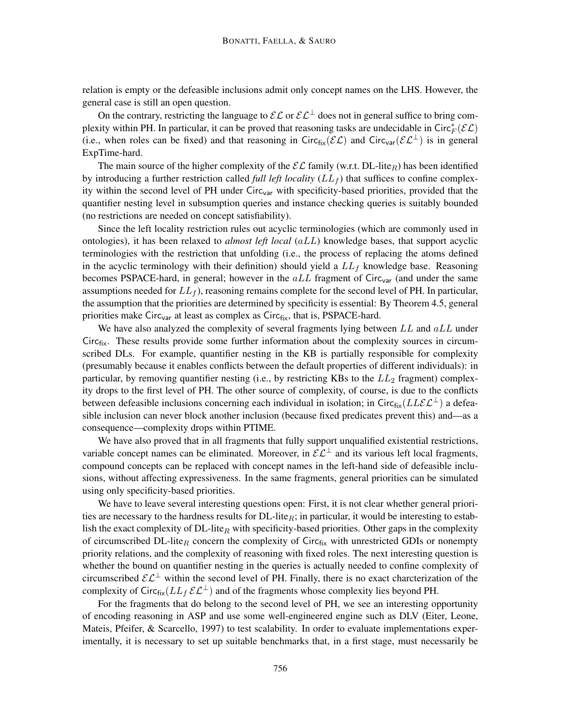relation is empty or the defeasible inclusions admit only concept names on the LHS. However, the general case is still an open question.

On the contrary, restricting the language to  $\mathcal{EL}$  or  $\mathcal{EL}^{\perp}$  does not in general suffice to bring complexity within PH. In particular, it can be proved that reasoning tasks are undecidable in Circ $^*_{F}(\mathcal{EL})$ (i.e., when roles can be fixed) and that reasoning in Circ $_{fix}(\mathcal{EL})$  and Circ<sub>var</sub>( $\mathcal{EL}^{\perp}$ ) is in general ExpTime-hard.

The main source of the higher complexity of the  $\mathcal{EL}$  family (w.r.t. DL-lite<sub>R</sub>) has been identified by introducing a further restriction called *full left locality*  $(LL_f)$  that suffices to confine complexity within the second level of PH under Circ<sub>var</sub> with specificity-based priorities, provided that the quantifier nesting level in subsumption queries and instance checking queries is suitably bounded (no restrictions are needed on concept satisfiability).

Since the left locality restriction rules out acyclic terminologies (which are commonly used in ontologies), it has been relaxed to *almost left local* (aLL) knowledge bases, that support acyclic terminologies with the restriction that unfolding (i.e., the process of replacing the atoms defined in the acyclic terminology with their definition) should yield a  $LL_f$  knowledge base. Reasoning becomes PSPACE-hard, in general; however in the  $aLL$  fragment of Circ<sub>var</sub> (and under the same assumptions needed for  $LL_f$ , reasoning remains complete for the second level of PH. In particular, the assumption that the priorities are determined by specificity is essential: By Theorem 4.5, general priorities make Circ<sub>var</sub> at least as complex as Circ $_{fix}$ , that is, PSPACE-hard.

We have also analyzed the complexity of several fragments lying between  $LL$  and  $aLL$  under Circfix. These results provide some further information about the complexity sources in circumscribed DLs. For example, quantifier nesting in the KB is partially responsible for complexity (presumably because it enables conflicts between the default properties of different individuals): in particular, by removing quantifier nesting (i.e., by restricting KBs to the  $LL_2$  fragment) complexity drops to the first level of PH. The other source of complexity, of course, is due to the conflicts between defeasible inclusions concerning each individual in isolation; in Circ $f_{fix}(LLEL^{\perp})$  a defeasible inclusion can never block another inclusion (because fixed predicates prevent this) and—as a consequence—complexity drops within PTIME.

We have also proved that in all fragments that fully support unqualified existential restrictions, variable concept names can be eliminated. Moreover, in  $\mathcal{EL}^{\perp}$  and its various left local fragments, compound concepts can be replaced with concept names in the left-hand side of defeasible inclusions, without affecting expressiveness. In the same fragments, general priorities can be simulated using only specificity-based priorities.

We have to leave several interesting questions open: First, it is not clear whether general priorities are necessary to the hardness results for  $DL$ -lite<sub>R</sub>; in particular, it would be interesting to establish the exact complexity of DL-lite<sub>R</sub> with specificity-based priorities. Other gaps in the complexity of circumscribed DL-lite<sub>R</sub> concern the complexity of Circ $f_{fix}$  with unrestricted GDIs or nonempty priority relations, and the complexity of reasoning with fixed roles. The next interesting question is whether the bound on quantifier nesting in the queries is actually needed to confine complexity of circumscribed  $\mathcal{EL}^{\perp}$  within the second level of PH. Finally, there is no exact charcterization of the complexity of Circ $f_{\text{fix}}(LL_f \mathcal{E} \mathcal{L}^{\perp})$  and of the fragments whose complexity lies beyond PH.

For the fragments that do belong to the second level of PH, we see an interesting opportunity of encoding reasoning in ASP and use some well-engineered engine such as DLV (Eiter, Leone, Mateis, Pfeifer, & Scarcello, 1997) to test scalability. In order to evaluate implementations experimentally, it is necessary to set up suitable benchmarks that, in a first stage, must necessarily be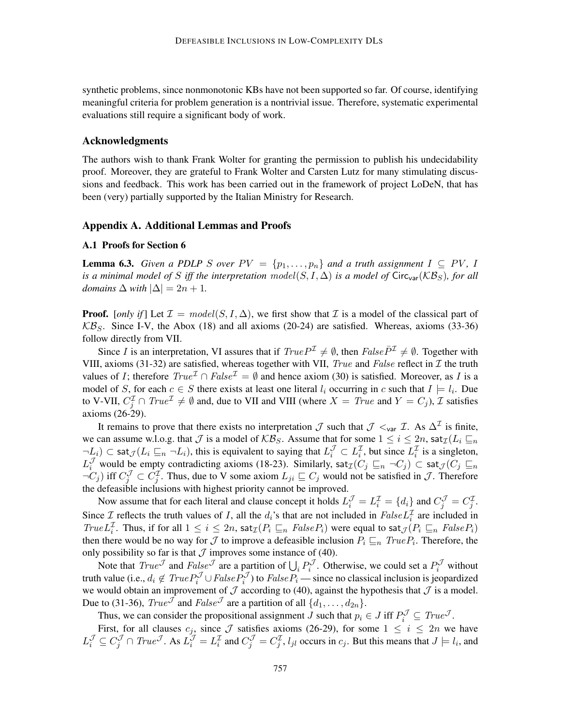synthetic problems, since nonmonotonic KBs have not been supported so far. Of course, identifying meaningful criteria for problem generation is a nontrivial issue. Therefore, systematic experimental evaluations still require a significant body of work.

### Acknowledgments

The authors wish to thank Frank Wolter for granting the permission to publish his undecidability proof. Moreover, they are grateful to Frank Wolter and Carsten Lutz for many stimulating discussions and feedback. This work has been carried out in the framework of project LoDeN, that has been (very) partially supported by the Italian Ministry for Research.

### Appendix A. Additional Lemmas and Proofs

#### A.1 Proofs for Section 6

**Lemma 6.3.** *Given a PDLP S over*  $PV = \{p_1, \ldots, p_n\}$  *and a truth assignment*  $I \subseteq PV$ , I *is a minimal model of* S *iff the interpretation model*(S, I,  $\Delta$ ) *is a model of* Circ<sub>var</sub>( $\mathcal{KB}_S$ ), for all *domains*  $\Delta$  *with*  $|\Delta| = 2n + 1$ *.* 

**Proof.** [*only if*] Let  $\mathcal{I} = model(S, I, \Delta)$ , we first show that  $\mathcal{I}$  is a model of the classical part of  $KB<sub>S</sub>$ . Since I-V, the Abox (18) and all axioms (20-24) are satisfied. Whereas, axioms (33-36) follow directly from VII.

Since I is an interpretation, VI assures that if  $True P<sup>\mathcal{I}</sup> \neq \emptyset$ , then  $False \bar{P}<sup>\mathcal{I}</sup> \neq \emptyset$ . Together with VIII, axioms (31-32) are satisfied, whereas together with VII, True and False reflect in  $\mathcal I$  the truth values of I; therefore  $True^{\mathcal{I}} \cap False^{\mathcal{I}} = \emptyset$  and hence axiom (30) is satisfied. Moreover, as I is a model of S, for each  $c \in S$  there exists at least one literal  $l_i$  occurring in c such that  $I \models l_i$ . Due to V-VII,  $C_j^{\mathcal{I}} \cap \text{True}^{\mathcal{I}} \neq \emptyset$  and, due to VII and VIII (where  $X = \text{True}$  and  $Y = C_j$ ),  $\mathcal{I}$  satisfies axioms (26-29).

It remains to prove that there exists no interpretation  $\mathcal J$  such that  $\mathcal J \lt_{var} \mathcal I$ . As  $\Delta^{\mathcal I}$  is finite, we can assume w.l.o.g. that  $\mathcal J$  is a model of  $\mathcal{KB}_S$ . Assume that for some  $1 \leq i \leq 2n$ , sat $\mathcal I(L_i \sqsubseteq_n)$  $\neg L_i$ )  $\subset$  sat $\mathcal{J}(L_i \sqsubseteq_n \neg L_i)$ , this is equivalent to saying that  $L_i^{\mathcal{J}} \subset L_i^{\mathcal{I}}$ , but since  $L_i^{\mathcal{I}}$  is a singleton,  $L_i^{\mathcal{J}}$  would be empty contradicting axioms (18-23). Similarly, sat $\tau(C_j \sqsubseteq_n \neg C_j) \subset \text{sat}_{\mathcal{J}}(C_j \sqsubseteq_n$  $\neg C_j$ ) iff  $C_j^{\mathcal{J}} \subset C_j^{\mathcal{I}}$ . Thus, due to V some axiom  $L_{ji} \sqsubseteq C_j$  would not be satisfied in  $\mathcal{J}$ . Therefore the defeasible inclusions with highest priority cannot be improved.

Now assume that for each literal and clause concept it holds  $L_i^{\mathcal{J}} = L_i^{\mathcal{I}} = \{d_i\}$  and  $C_j^{\mathcal{J}} = C_j^{\mathcal{I}}$ . Since  $\mathcal I$  reflects the truth values of I, all the  $d_i$ 's that are not included in  $False L_i^{\mathcal I}$  are included in True  $L_i^{\mathcal{I}}$ . Thus, if for all  $1 \leq i \leq 2n$ , sat $\mathcal{I}(P_i \sqsubseteq_n \mathit{FalseP}_i)$  were equal to sat $\mathcal{I}(P_i \sqsubseteq_n \mathit{FalseP}_i)$ then there would be no way for  $\mathcal J$  to improve a defeasible inclusion  $P_i \sqsubseteq_n \text{True} P_i$ . Therefore, the only possibility so far is that  $\mathcal J$  improves some instance of (40).

Note that  $True^{\mathcal{J}}$  and  $False^{\mathcal{J}}$  are a partition of  $\bigcup_i P_i^{\mathcal{J}}$ . Otherwise, we could set a  $P_i^{\mathcal{J}}$  without truth value (i.e.,  $d_i \notin TrueP_i^{\mathcal{J}} \cup FalseP_i^{\mathcal{J}}$ ) to  $FalseP_i$  — since no classical inclusion is jeopardized we would obtain an improvement of  $\mathcal J$  according to (40), against the hypothesis that  $\mathcal J$  is a model. Due to (31-36),  $True^{\mathcal{J}}$  and  $False^{\mathcal{J}}$  are a partition of all  $\{d_1, \ldots, d_{2n}\}.$ 

Thus, we can consider the propositional assignment J such that  $p_i \in J$  iff  $P_i^{\mathcal{J}} \subseteq True^{\mathcal{J}}$ .

First, for all clauses  $c_j$ , since  $\mathcal J$  satisfies axioms (26-29), for some  $1 \leq i \leq 2n$  we have  $L_i^{\mathcal{J}} \subseteq C_j^{\mathcal{J}} \cap \text{True}^{\mathcal{J}}$ . As  $L_i^{\mathcal{J}} = L_i^{\mathcal{I}}$  and  $C_j^{\mathcal{J}} = C_j^{\mathcal{I}}$ ,  $l_{jl}$  occurs in  $c_j$ . But this means that  $J \models l_i$ , and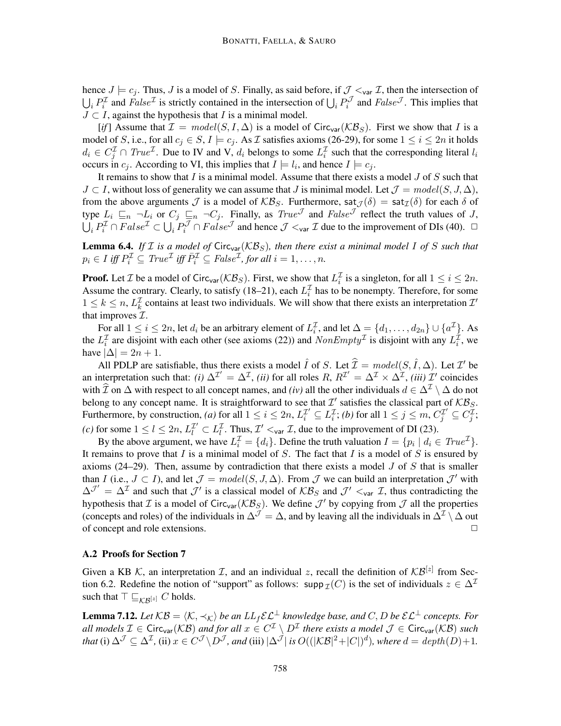hence  $J \models c_j$ . Thus, J is a model of S. Finally, as said before, if  $J \lt_{var} I$ , then the intersection of  $\bigcup_i P_i^{\mathcal{I}}$  and  $False^{\mathcal{I}}$  is strictly contained in the intersection of  $\bigcup_i P_i^{\mathcal{I}}$  and  $False^{\mathcal{I}}$ . This implies that  $J \subset I$ , against the hypothesis that I is a minimal model.

[*if*] Assume that  $\mathcal{I} = model(S, I, \Delta)$  is a model of Circ<sub>var</sub>( $\mathcal{KB}_S$ ). First we show that I is a model of S, i.e., for all  $c_j \in S$ ,  $I \models c_j$ . As  $\mathcal I$  satisfies axioms (26-29), for some  $1 \le i \le 2n$  it holds  $d_i \in C_j^{\mathcal{I}} \cap \text{True}^{\mathcal{I}}$ . Due to IV and V,  $d_i$  belongs to some  $L_i^{\mathcal{I}}$  such that the corresponding literal  $l_i$ occurs in  $c_j$ . According to VI, this implies that  $I \models l_i$ , and hence  $I \models c_j$ .

It remains to show that I is a minimal model. Assume that there exists a model  $J$  of  $S$  such that  $J \subset I$ , without loss of generality we can assume that J is minimal model. Let  $\mathcal{J} = model(S, J, \Delta)$ , from the above arguments  $\mathcal J$  is a model of  $\mathcal{KB}_S$ . Furthermore, sat $\mathcal J(\delta) = \mathsf{sat}_{\mathcal I}(\delta)$  for each  $\delta$  of type  $L_i \subseteq_n \neg L_i$  or  $C_j \subseteq_n \neg C_j$ . Finally, as  $True^{\mathcal{J}}$  and  $False^{\mathcal{J}}$  reflect the truth values of J,  $\bigcup_i P_i^{\mathcal{I}} \cap False^{\mathcal{I}} \subset \bigcup_i P_i^{\mathcal{J}} \cap False^{\mathcal{J}}$  and hence  $\mathcal{J} \leq_{var} \mathcal{I}$  due to the improvement of DIs (40).  $\Box$ 

**Lemma 6.4.** *If*  $I$  *is a model of* Circ<sub>var</sub>( $KB<sub>S</sub>$ ), then there exist a minimal model I of S such that  $p_i \in I$  iff  $P_i^{\mathcal{I}} \subseteq True^{\mathcal{I}}$  iff  $\overline{P}_i^{\mathcal{I}} \subseteq False^{\mathcal{I}}$ , for all  $i = 1, ..., n$ .

**Proof.** Let *I* be a model of Circ<sub>var</sub>( $KB_S$ ). First, we show that  $L_i^{\mathcal{I}}$  is a singleton, for all  $1 \leq i \leq 2n$ . Assume the contrary. Clearly, to satisfy (18–21), each  $L_i^{\mathcal{I}}$  has to be nonempty. Therefore, for some  $1 \leq k \leq n$ ,  $L_k^{\mathcal{I}}$  contains at least two individuals. We will show that there exists an interpretation  $\mathcal{I}'$ that improves  $\mathcal{I}$ .

For all  $1 \le i \le 2n$ , let  $d_i$  be an arbitrary element of  $L_i^{\mathcal{I}}$ , and let  $\Delta = \{d_1, \ldots, d_{2n}\} \cup \{a^{\mathcal{I}}\}$ . As the  $L_i^{\mathcal{I}}$  are disjoint with each other (see axioms (22)) and  $NonEmpty^{\mathcal{I}}$  is disjoint with any  $L_i^{\mathcal{I}}$ , we have  $|\Delta| = 2n + 1$ .

All PDLP are satisfiable, thus there exists a model  $\hat{I}$  of S. Let  $\hat{I} = model(S, \hat{I}, \Delta)$ . Let  $I'$  be an interpretation such that: *(i)*  $\Delta^{\mathcal{I}}' = \Delta^{\mathcal{I}}$ , *(ii)* for all roles R,  $R^{\mathcal{I}'} = \Delta^{\mathcal{I}} \times \Delta^{\mathcal{I}}$ , *(iii)*  $\mathcal{I}'$  coincides with I on  $\Delta$  with respect to all concept names, and *(iv)* all the other individuals  $d \in \Delta^{\mathcal{I}} \setminus \Delta$  do not belong to any concept name. It is straightforward to see that  $\mathcal{I}'$  satisfies the classical part of  $\mathcal{KB}_S$ . Furthermore, by construction, *(a)* for all  $1 \le i \le 2n$ ,  $L_i^{\mathcal{I}} \subseteq L_i^{\mathcal{I}}$ ; *(b)* for all  $1 \le j \le m$ ,  $C_j^{\mathcal{I}} \subseteq C_j^{\mathcal{I}}$ ; (*c*) for some  $1 \leq l \leq 2n$ ,  $L_l^{\mathcal{I}'} \subset L_l^{\mathcal{I}}$ . Thus,  $\mathcal{I}' <_{var} \mathcal{I}$ , due to the improvement of DI (23).

By the above argument, we have  $L_i^{\mathcal{I}} = \{d_i\}$ . Define the truth valuation  $I = \{p_i \mid d_i \in True^{\mathcal{I}}\}$ . It remains to prove that  $I$  is a minimal model of  $S$ . The fact that  $I$  is a model of  $S$  is ensured by axioms (24–29). Then, assume by contradiction that there exists a model  $J$  of  $S$  that is smaller than I (i.e.,  $J \subset I$ ), and let  $\mathcal{J} = model(S, J, \Delta)$ . From  $\mathcal{J}$  we can build an interpretation  $\mathcal{J}'$  with  $\Delta^{J'} = \Delta^{\mathcal{I}}$  and such that  $J'$  is a classical model of  $KB_S$  and  $J' <_{var} \mathcal{I}$ , thus contradicting the hypothesis that  $\mathcal I$  is a model of Circ<sub>var</sub> ( $\mathcal{KB}_S$ ). We define  $\mathcal J'$  by copying from  $\mathcal J$  all the properties (concepts and roles) of the individuals in  $\Delta^{\mathcal{J}} = \Delta$ , and by leaving all the individuals in  $\Delta^{\mathcal{I}} \setminus \Delta$  out of concept and role extensions. <del>□</del>

### A.2 Proofs for Section 7

Given a KB K, an interpretation *T*, and an individual *z*, recall the definition of  $KB^{[z]}$  from Section 6.2. Redefine the notion of "support" as follows: supp  $\mathcal{I}(C)$  is the set of individuals  $z \in \Delta^{\mathcal{I}}$ such that  $\top \sqsubseteq_{\mathcal{KB}^{[z]}} C$  holds.

**Lemma 7.12.** Let  $KB = \langle K, \prec_K \rangle$  be an  $LL_f \mathcal{E} \mathcal{L}^{\perp}$  knowledge base, and C, D be  $\mathcal{E} \mathcal{L}^{\perp}$  concepts. For all models  $\mathcal{I} \in \text{Circ}_{\text{var}}(\mathcal{KB})$  and for all  $x \in C^{\mathcal{I}} \setminus D^{\mathcal{I}}$  there exists a model  $\mathcal{J} \in \text{Circ}_{\text{var}}(\mathcal{KB})$  such *that* (i)  $\Delta^{\mathcal{J}} \subseteq \Delta^{\mathcal{I}}$ , (ii)  $x \in C^{\mathcal{J}} \backslash D^{\mathcal{J}}$ , and (iii)  $|\Delta^{\mathcal{J}}|$  *is*  $O((|\mathcal{KB}|^2 + |C|)^d)$ , where  $d = depth(D) + 1$ .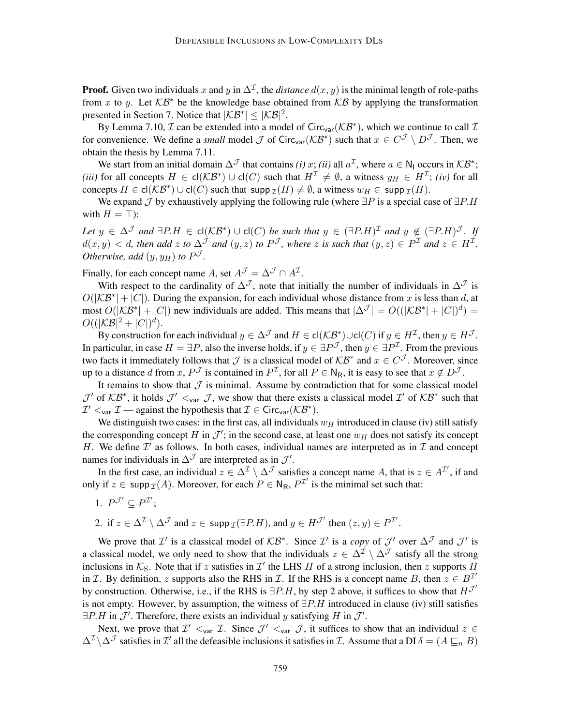**Proof.** Given two individuals x and y in  $\Delta^{\mathcal{I}}$ , the *distance*  $d(x, y)$  is the minimal length of role-paths from x to y. Let  $KB^*$  be the knowledge base obtained from  $KB$  by applying the transformation presented in Section 7. Notice that  $|KB^*| \leq |\mathcal{KB}|^2$ .

By Lemma 7.10,  $\mathcal I$  can be extended into a model of Circ<sub>var</sub> ( $\mathcal{KB}^*$ ), which we continue to call  $\mathcal I$ for convenience. We define a *small* model  $\mathcal J$  of Circ<sub>var</sub>( $\mathcal{KB}^*$ ) such that  $x \in C^{\mathcal J} \setminus D^{\mathcal J}$ . Then, we obtain the thesis by Lemma 7.11.

We start from an initial domain  $\Delta^{\mathcal{J}}$  that contains *(i)* x; *(ii)* all  $a^{\mathcal{I}}$ , where  $a \in N_1$  occurs in  $\mathcal{KB}^*$ ; *(iii)* for all concepts  $H \in cl(\mathcal{KB}^*) \cup cl(C)$  such that  $H^{\mathcal{I}} \neq \emptyset$ , a witness  $y_H \in H^{\mathcal{I}}$ ; *(iv)* for all concepts  $H \in \mathsf{cl}(\mathcal{KB}^*) \cup \mathsf{cl}(C)$  such that  $\mathsf{supp}_\mathcal{I}(H) \neq \emptyset$ , a witness  $w_H \in \mathsf{supp}_\mathcal{I}(H)$ .

We expand  $\mathcal J$  by exhaustively applying the following rule (where  $\exists P$  is a special case of  $\exists P.H$ with  $H = \top$ ):

 $Let \ y \in \Delta^{\mathcal{J}}$  and  $\exists P.H \in \mathsf{cl}(\mathcal{KB}^*) \cup \mathsf{cl}(C)$  *be such that*  $y \in (\exists P.H)^{\mathcal{I}}$  and  $y \notin (\exists P.H)^{\mathcal{J}}$ . If  $d(x, y) < d$ , then add z to  $\Delta^{\mathcal{J}}$  and  $(y, z)$  to  $P^{\mathcal{J}}$ , where z is such that  $(y, z) \in P^{\mathcal{I}}$  and  $z \in H^{\mathcal{I}}$ . *Otherwise, add*  $(y, y_H)$  *to*  $P^{\mathcal{J}}$ *.* 

Finally, for each concept name A, set  $A^{\mathcal{J}} = \Delta^{\mathcal{J}} \cap A^{\mathcal{I}}$ .

With respect to the cardinality of  $\Delta^{\mathcal{J}}$ , note that initially the number of individuals in  $\Delta^{\mathcal{J}}$  is  $O(|\mathcal{KB}^*| + |C|)$ . During the expansion, for each individual whose distance from x is less than d, at most  $O(|\mathcal{KB}^*|+|C|)$  new individuals are added. This means that  $|\Delta^{\mathcal{J}}| = O((|\mathcal{KB}^*|+|C|)^d)$  $O((|\mathcal{KB}|^2 + |C|)^d).$ 

By construction for each individual  $y \in \Delta^{\mathcal{J}}$  and  $H \in \text{cl}(\mathcal{KB}^*) \cup \text{cl}(C)$  if  $y \in H^{\mathcal{I}}$ , then  $y \in H^{\mathcal{J}}$ . In particular, in case  $H = \exists P$ , also the inverse holds, if  $y \in \exists P^{\mathcal{J}}$ , then  $y \in \exists P^{\mathcal{I}}$ . From the previous two facts it immediately follows that  $\mathcal J$  is a classical model of  $\mathcal{KB}^*$  and  $x \in C^{\mathcal J}$ . Moreover, since up to a distance d from x,  $P^J$  is contained in  $P^{\mathcal{I}}$ , for all  $P \in N_R$ , it is easy to see that  $x \notin D^{\mathcal{J}}$ .

It remains to show that  $J$  is minimal. Assume by contradiction that for some classical model  $\mathcal{J}'$  of  $KB^*$ , it holds  $\mathcal{J}' <_{var} \mathcal{J}$ , we show that there exists a classical model  $\mathcal{I}'$  of  $KB^*$  such that  $\mathcal{I}' \leq_{\text{var}} \mathcal{I}$  — against the hypothesis that  $\mathcal{I} \in \text{Circ}_{\text{var}}(\mathcal{KB}^*)$ .

We distinguish two cases: in the first cas, all individuals  $w_H$  introduced in clause (iv) still satisfy the corresponding concept H in  $\mathcal{J}'$ ; in the second case, at least one  $w_H$  does not satisfy its concept H. We define  $\mathcal{I}'$  as follows. In both cases, individual names are interpreted as in  $\mathcal{I}$  and concept names for individuals in  $\Delta^{\mathcal{J}}$  are interpreted as in  $\mathcal{J}'$ .

In the first case, an individual  $z \in \Delta^{\mathcal{I}} \setminus \Delta^{\mathcal{J}}$  satisfies a concept name A, that is  $z \in A^{\mathcal{I}'}$ , if and only if  $z \in \text{supp } \mathcal{I}(A)$ . Moreover, for each  $P \in N_R$ ,  $P^{\mathcal{I}'}$  is the minimal set such that:

- 1.  $P^{\mathcal{J}'} \subseteq P^{\mathcal{I}'};$
- 2. if  $z \in \Delta^{\mathcal{I}} \setminus \Delta^{\mathcal{J}}$  and  $z \in \text{supp } \mathcal{I}(\exists P.H)$ , and  $y \in H^{\mathcal{J}'}$  then  $(z, y) \in P^{\mathcal{I}'}$ .

We prove that  $\mathcal{I}'$  is a classical model of  $\mathcal{KB}^*$ . Since  $\mathcal{I}'$  is a *copy* of  $\mathcal{J}'$  over  $\Delta^{\mathcal{J}}$  and  $\mathcal{J}'$  is a classical model, we only need to show that the individuals  $z \in \Delta^{\mathcal{I}} \setminus \Delta^{\mathcal{J}}$  satisfy all the strong inclusions in  $K_S$ . Note that if z satisfies in  $\mathcal{I}'$  the LHS H of a strong inclusion, then z supports H in *T*. By definition, z supports also the RHS in *T*. If the RHS is a concept name B, then  $z \in B^{T'}$ by construction. Otherwise, i.e., if the RHS is  $\exists P.H$ , by step 2 above, it suffices to show that  $H^{\mathcal{J}}$ is not empty. However, by assumption, the witness of  $\exists P.H$  introduced in clause (iv) still satisfies  $\exists P.H$  in  $\mathcal{J}'$ . Therefore, there exists an individual y satisfying H in  $\mathcal{J}'$ .

Next, we prove that  $\mathcal{I}' \leq_{var} \mathcal{I}$ . Since  $\mathcal{J}' \leq_{var} \mathcal{I}$ , it suffices to show that an individual  $z \in$  $\Delta^{\mathcal{I}}\setminus\Delta^{\mathcal{J}}$  satisfies in  $\mathcal{I}'$  all the defeasible inclusions it satisfies in  $\mathcal{I}$ . Assume that a DI  $\delta=(A\sqsubseteq_{n}B)$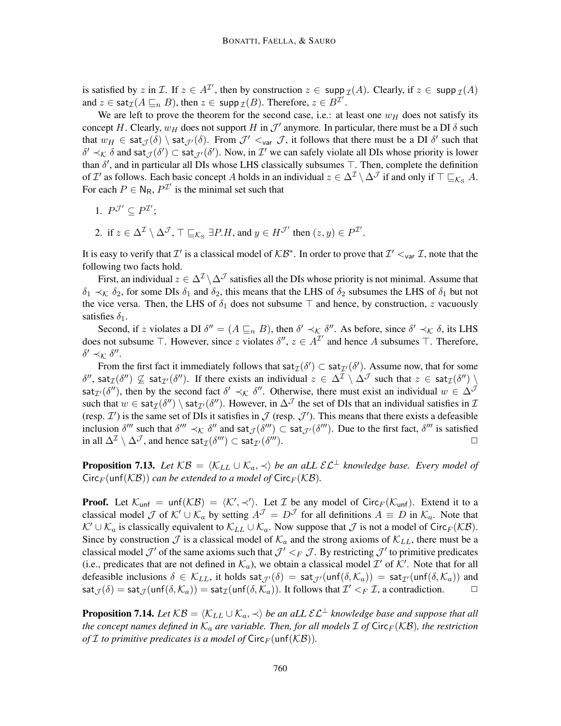is satisfied by z in Z. If  $z \in A^{\mathcal{I}}$ , then by construction  $z \in \text{supp } \mathcal{I}(A)$ . Clearly, if  $z \in \text{supp } \mathcal{I}(A)$ and  $z \in \textsf{sat}_{\mathcal{I}}(A \sqsubseteq_n B)$ , then  $z \in \textsf{supp}_{\mathcal{I}}(B)$ . Therefore,  $z \in B^{\mathcal{I}'}$ .

We are left to prove the theorem for the second case, i.e.: at least one  $w_H$  does not satisfy its concept H. Clearly,  $w_H$  does not support H in  $\mathcal{J}'$  anymore. In particular, there must be a DI  $\delta$  such that  $w_H \in \text{sat}_{\mathcal{J}}(\delta) \setminus \text{sat}_{\mathcal{J}'}(\delta)$ . From  $\mathcal{J}' \lt_{var} \mathcal{J}$ , it follows that there must be a DI  $\delta'$  such that  $\delta' \prec_{\mathcal{K}} \delta$  and sat $\mathcal{J}(\delta') \subset \mathsf{sat}_{\mathcal{J}'}(\delta')$ . Now, in  $\mathcal{I}'$  we can safely violate all DIs whose priority is lower than  $\delta'$ , and in particular all DIs whose LHS classically subsumes  $\top$ . Then, complete the definition of  $\mathcal{I}'$  as follows. Each basic concept A holds in an individual  $z \in \Delta^{\mathcal{I}} \setminus \Delta^{\mathcal{J}}$  if and only if  $\top \sqsubseteq_{\mathcal{K}_{S}} A$ . For each  $P \in N_R$ ,  $P^{\mathcal{I}'}$  is the minimal set such that

- 1.  $P^{\mathcal{J}'} \subseteq P^{\mathcal{I}'};$
- 2. if  $z \in \Delta^{\mathcal{I}} \setminus \Delta^{\mathcal{J}}$ ,  $\top \sqsubseteq_{\mathcal{K}_{\mathrm{S}}} \exists P.H$ , and  $y \in H^{\mathcal{J}'}$  then  $(z, y) \in P^{\mathcal{I}'}$ .

It is easy to verify that  $\mathcal{I}'$  is a classical model of  $\mathcal{KB}^*$ . In order to prove that  $\mathcal{I}' <_{var} \mathcal{I}$ , note that the following two facts hold.

First, an individual  $z \in \Delta^{\mathcal{I}} \backslash \Delta^{\mathcal{J}}$  satisfies all the DIs whose priority is not minimal. Assume that  $\delta_1 \prec_{\mathcal{K}} \delta_2$ , for some DIs  $\delta_1$  and  $\delta_2$ , this means that the LHS of  $\delta_2$  subsumes the LHS of  $\delta_1$  but not the vice versa. Then, the LHS of  $\delta_1$  does not subsume  $\top$  and hence, by construction, z vacuously satisfies  $\delta_1$ .

Second, if z violates a DI  $\delta'' = (A \sqsubseteq_n B)$ , then  $\delta' \prec_{\mathcal{K}} \delta''$ . As before, since  $\delta' \prec_{\mathcal{K}} \delta$ , its LHS does not subsume  $\top$ . However, since z violates  $\delta'', z \in A^{\mathcal{I}'}$  and hence A subsumes  $\top$ . Therefore,  $\delta' \prec$ κ δ".

From the first fact it immediately follows that  $\text{sat}_{\mathcal{I}}(\delta') \subset \text{sat}_{\mathcal{I}'}(\delta')$ . Assume now, that for some  $\delta'',$  sat $_{\mathcal{I}}(\delta'')\nsubseteq$  sat $_{\mathcal{I}'}(\delta'')$ . If there exists an individual  $z\in \Delta^{\mathcal{I}}\setminus \Delta^{\mathcal{J}}$  such that  $z\in \mathsf{sat}_{\mathcal{I}}(\delta'')\setminus \Delta^{\mathcal{J}}$ sat<sub>I'</sub>( $\delta'$ ), then by the second fact  $\delta' \prec_{\mathcal{K}} \delta''$ . Otherwise, there must exist an individual  $w \in \Delta^{\mathcal{J}}$ such that  $w \in \text{sat}_{\mathcal{I}}(\delta'') \setminus \text{sat}_{\mathcal{I}'}(\delta'')$ . However, in  $\Delta^{\mathcal{J}}$  the set of DIs that an individual satisfies in  $\mathcal{I}$ (resp.  $\mathcal{I}'$ ) is the same set of DIs it satisfies in  $\mathcal{J}$  (resp.  $\mathcal{J}'$ ). This means that there exists a defeasible inclusion  $\delta^{\prime\prime\prime}$  such that  $\delta^{\prime\prime\prime} \prec_{\mathcal{K}} \delta^{\prime\prime}$  and sat $_{\mathcal{J}}(\delta^{\prime\prime\prime}) \subset \textsf{sat}_{\mathcal{J}'}(\delta^{\prime\prime\prime})$ . Due to the first fact,  $\delta^{\prime\prime\prime}$  is satisfied in all  $\Delta^\mathcal{I}\setminus \Delta^\mathcal{J}$ , and hence sat $_\mathcal{I}(\delta''')\subset$  sat $_{\mathcal{I}'}(\delta$  $\Box$ ).

**Proposition 7.13.** Let  $KB = \langle K_{LL} \cup K_a, \prec \rangle$  be an aLL  $\mathcal{EL}^{\perp}$  knowledge base. Every model of  $Circ_F(\text{unf}(\mathcal{KB}))$  *can be extended to a model of*  $Circ_F(\mathcal{KB})$ *.* 

**Proof.** Let  $\mathcal{K}_{unf} = unf(\mathcal{KB}) = \langle \mathcal{K}', \prec' \rangle$ . Let  $\mathcal I$  be any model of Circ $_F(\mathcal{K}_{unf})$ . Extend it to a classical model J of  $\mathcal{K}' \cup \mathcal{K}_a$  by setting  $A^{\mathcal{J}} = D^{\mathcal{J}}$  for all definitions  $A \equiv D$  in  $\mathcal{K}_a$ . Note that  $\mathcal{K}' \cup \mathcal{K}_a$  is classically equivalent to  $\mathcal{K}_{LL} \cup \mathcal{K}_a$ . Now suppose that  $\mathcal J$  is not a model of Circ $_F(\mathcal{KB})$ . Since by construction  $\mathcal J$  is a classical model of  $\mathcal K_a$  and the strong axioms of  $\mathcal K_{LL}$ , there must be a classical model  $\mathcal{J}'$  of the same axioms such that  $\mathcal{J}' <_F \mathcal{J}$ . By restricting  $\mathcal{J}'$  to primitive predicates (i.e., predicates that are not defined in  $\mathcal{K}_a$ ), we obtain a classical model  $\mathcal{I}'$  of  $\mathcal{K}'$ . Note that for all defeasible inclusions  $\delta \in \mathcal{K}_{LL}$ , it holds  $\text{sat}_{\mathcal{J}}(\delta) = \text{sat}_{\mathcal{J}}(\text{unf}(\delta, \mathcal{K}_a)) = \text{sat}_{\mathcal{I}}(\text{unf}(\delta, \mathcal{K}_a))$  and  $\mathsf{sat}_{\mathcal{J}}(\delta) = \mathsf{sat}_{\mathcal{J}}(\mathsf{unf}(\delta,\mathcal{K}_a)) = \mathsf{sat}_{\mathcal{I}}(\mathsf{unf}(\delta,\mathcal{K}_a)).$  It follows that  $\mathcal{I}' <_F \mathcal{I}$ , a contradiction.

**Proposition 7.14.** Let  $KB = \langle K_{LL} \cup K_a, \prec \rangle$  be an aLL  $\mathcal{EL}^{\perp}$  knowledge base and suppose that all *the concept names defined in*  $K_a$  *are variable. Then, for all models*  $\mathcal I$  *of*  $\text{Circ}_F(\mathcal{KB})$ *, the restriction of I to primitive predicates is a model of*  $\textsf{Circ}_F(\textsf{unf}(\mathcal{KB}))$ *.*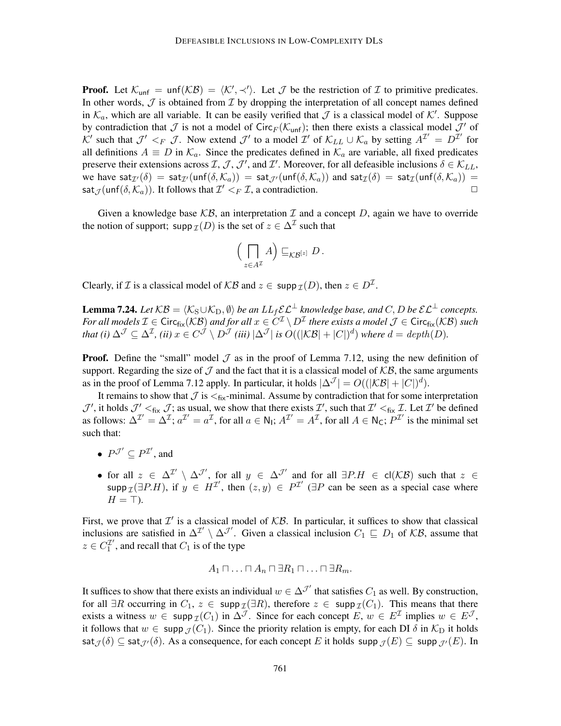**Proof.** Let  $K_{\text{unf}} = \text{unf}(\mathcal{KB}) = \langle \mathcal{K}', \prec' \rangle$ . Let  $\mathcal J$  be the restriction of  $\mathcal I$  to primitive predicates. In other words,  $J$  is obtained from  $I$  by dropping the interpretation of all concept names defined in  $\mathcal{K}_a$ , which are all variable. It can be easily verified that  $\mathcal J$  is a classical model of  $\mathcal K'$ . Suppose by contradiction that  $\mathcal J$  is not a model of Circ $_F(\mathcal K_{unf})$ ; then there exists a classical model  $\mathcal J'$  of K' such that  $\mathcal{J}' <_F \mathcal{J}$ . Now extend  $\mathcal{J}'$  to a model  $\mathcal{I}'$  of  $\mathcal{K}_{LL} \cup \mathcal{K}_a$  by setting  $A^{\mathcal{I}'} = D^{\mathcal{I}'}$  for all definitions  $A \equiv D$  in  $\mathcal{K}_a$ . Since the predicates defined in  $\mathcal{K}_a$  are variable, all fixed predicates preserve their extensions across  $\mathcal{I}, \mathcal{J}, \mathcal{J}'$ , and  $\mathcal{I}'$ . Moreover, for all defeasible inclusions  $\delta \in \mathcal{K}_{LL}$ , we have sat $\tau(\delta) = \text{sat}_{\mathcal{I}}(\text{unf}(\delta, \mathcal{K}_a)) = \text{sat}_{\mathcal{I}}(\text{unf}(\delta, \mathcal{K}_a))$  and  $\text{sat}_{\mathcal{I}}(\delta) = \text{sat}_{\mathcal{I}}(\text{unf}(\delta, \mathcal{K}_a)) =$ sat<sub> $\mathcal{J}$ </sub> (unf $(\delta, \mathcal{K}_a)$ ). It follows that  $\mathcal{I}' <_F \mathcal{I}$ , a contradiction.

Given a knowledge base  $\mathcal{KB}$ , an interpretation  $\mathcal I$  and a concept  $D$ , again we have to override the notion of support; supp  $\mathcal{I}(D)$  is the set of  $z \in \Delta^{\mathcal{I}}$  such that

$$
\left(\bigcap_{z\in A^{\mathcal{I}}} A\right)\sqsubseteq_{\mathcal{KB}^{[z]}} D.
$$

Clearly, if *I* is a classical model of  $KB$  and  $z \in \text{supp } \mathcal{I}(D)$ , then  $z \in D^{\mathcal{I}}$ .

**Lemma 7.24.** Let  $KB = \langle K_S \cup K_D, \emptyset \rangle$  be an  $LL_f \mathcal{E} \mathcal{L}^{\perp}$  knowledge base, and C, D be  $\mathcal{E} \mathcal{L}^{\perp}$  concepts. For all models  $\mathcal{I} \in \mathsf{Circ}_{\mathsf{fix}}(\mathcal{KB})$  and for all  $x \in C^\mathcal{I} \setminus D^\mathcal{I}$  there exists a model  $\mathcal{J} \in \mathsf{Circ}_{\mathsf{fix}}(\mathcal{KB})$  such *that (i)*  $\Delta^{\mathcal{J}} \subseteq \Delta^{\mathcal{I}}$ , *(ii)*  $x \in C^{\mathcal{J}} \setminus D^{\mathcal{J}}$  *(iii)*  $|\Delta^{\mathcal{J}}|$  *is*  $O((|\mathcal{KB}| + |C|)^d)$  *where*  $d = depth(D)$ .

**Proof.** Define the "small" model  $\mathcal{J}$  as in the proof of Lemma 7.12, using the new definition of support. Regarding the size of  $\mathcal J$  and the fact that it is a classical model of  $\mathcal{KB}$ , the same arguments as in the proof of Lemma 7.12 apply. In particular, it holds  $|\Delta^{\mathcal{J}}| = O(|\mathcal{KB}| + |C|)^d$ ).

It remains to show that  $\mathcal J$  is  $\lt_{fix}$ -minimal. Assume by contradiction that for some interpretation  $\mathcal{J}'$ , it holds  $\mathcal{J}' <_{fix} \mathcal{J}$ ; as usual, we show that there exists  $\mathcal{I}'$ , such that  $\mathcal{I}' <_{fix} \mathcal{I}$ . Let  $\mathcal{I}'$  be defined as follows:  $\Delta^{\mathcal{I}'} = \Delta^{\mathcal{I}}$ ;  $a^{\mathcal{I}'} = a^{\mathcal{I}}$ , for all  $a \in \mathsf{N}_1$ ;  $A^{\mathcal{I}'} = A^{\mathcal{I}}$ , for all  $A \in \mathsf{N}_C$ ;  $P^{\mathcal{I}'}$  is the minimal set such that:

- $P^{\mathcal{J}'} \subseteq P^{\mathcal{I}'},$  and
- for all  $z \in \Delta^{\mathcal{I}'} \setminus \Delta^{\mathcal{J}'}$ , for all  $y \in \Delta^{\mathcal{J}'}$  and for all  $\exists P.H \in \mathsf{cl}(\mathcal{KB})$  such that  $z \in \mathcal{A}$ supp  $\mathcal{I}(\exists P.H)$ , if  $y \in H^{\mathcal{I}}$ , then  $(z, y) \in P^{\mathcal{I}'}$  ( $\exists P$  can be seen as a special case where  $H = \top$ ).

First, we prove that  $\mathcal{I}'$  is a classical model of  $\mathcal{KB}$ . In particular, it suffices to show that classical inclusions are satisfied in  $\Delta^{\mathcal{I}'}\setminus \Delta^{\mathcal{J}'}$ . Given a classical inclusion  $C_1 \sqsubseteq D_1$  of  $\mathcal{KB}$ , assume that  $z \in C_1^{\mathcal{I}'}$  $\frac{1}{1}$ , and recall that  $C_1$  is of the type

$$
A_1 \sqcap \ldots \sqcap A_n \sqcap \exists R_1 \sqcap \ldots \sqcap \exists R_m.
$$

It suffices to show that there exists an individual  $w \in \Delta^{\mathcal{J}'}$  that satisfies  $C_1$  as well. By construction, for all  $\exists R$  occurring in  $C_1$ ,  $z \in \text{supp } \mathcal{I}(\exists R)$ , therefore  $z \in \text{supp } \mathcal{I}(C_1)$ . This means that there exists a witness  $w \in \text{supp}_{\mathcal{I}}(C_1)$  in  $\Delta^{\mathcal{J}}$ . Since for each concept  $E, w \in E^{\mathcal{I}}$  implies  $w \in E^{\mathcal{J}}$ , it follows that  $w \in \text{supp } \mathcal{J}(C_1)$ . Since the priority relation is empty, for each DI  $\delta$  in  $\mathcal{K}_D$  it holds  $\mathsf{sat}_{\mathcal{J}}(\delta) \subseteq \mathsf{sat}_{\mathcal{J}'}(\delta)$ . As a consequence, for each concept E it holds  $\mathsf{supp}_{\mathcal{J}}(E) \subseteq \mathsf{supp}_{\mathcal{J}'}(E)$ . In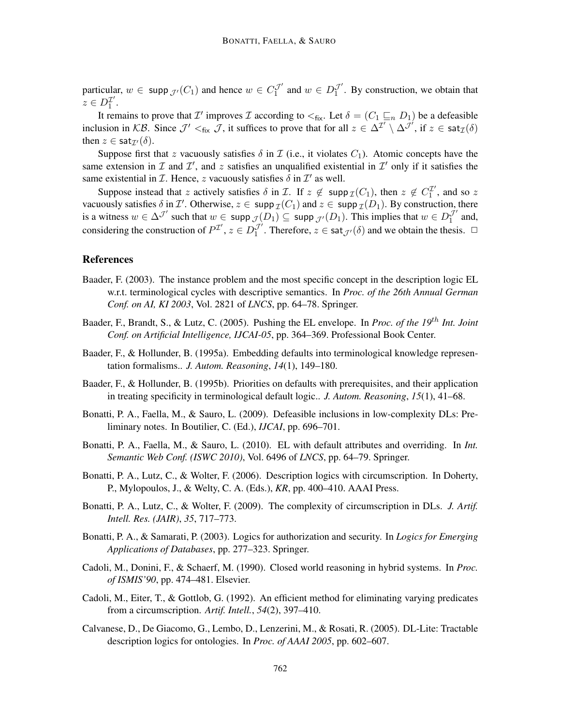particular,  $w \in \text{supp } \mathcal{J}'(C_1)$  and hence  $w \in C_1^{\mathcal{J}'}$  and  $w \in D_1^{\mathcal{J}'}$ . By construction, we obtain that  $z \in D_1^{\mathcal{I}'}$  $\frac{1}{1}$ .

It remains to prove that  $\mathcal{I}'$  improves  $\mathcal I$  according to  $\lt_{fix}$ . Let  $\delta = (C_1 \sqsubseteq_n D_1)$  be a defeasible inclusion in KB. Since  $\mathcal{J}' \leq_{fix} \mathcal{J}$ , it suffices to prove that for all  $z \in \Delta^{\mathcal{I}} \setminus \Delta^{\mathcal{J}'}$ , if  $z \in \text{sat}_{\mathcal{I}}(\delta)$ then  $z \in \text{sat}_{\mathcal{I}'}(\delta)$ .

Suppose first that z vacuously satisfies  $\delta$  in  $\mathcal I$  (i.e., it violates  $C_1$ ). Atomic concepts have the same extension in  $\mathcal I$  and  $\mathcal I'$ , and  $z$  satisfies an unqualified existential in  $\mathcal I'$  only if it satisfies the same existential in  $\mathcal I$ . Hence, z vacuously satisfies  $\delta$  in  $\mathcal I'$  as well.

Suppose instead that z actively satisfies  $\delta$  in  $\mathcal{I}$ . If  $z \notin \text{supp}_{\mathcal{I}}(C_1)$ , then  $z \notin C_1^{\mathcal{I}'}$  $i_1^{\prime\prime}$ , and so z vacuously satisfies  $\delta$  in  $\mathcal{I}'$ . Otherwise,  $z \in \text{supp } \mathcal{I}(C_1)$  and  $z \in \text{supp } \mathcal{I}(D_1)$ . By construction, there is a witness  $w \in \Delta^{\mathcal{J}}$  such that  $w \in \text{supp }_{\mathcal{J}}(D_1) \subseteq \text{supp }_{\mathcal{J}'}(D_1)$ . This implies that  $w \in D_1^{\mathcal{J}'}$  and, considering the construction of  $P^{\mathcal{I}'}, z \in D_1^{\mathcal{J}'}$ . Therefore,  $z \in \text{sat}_{\mathcal{J}'}(\delta)$  and we obtain the thesis.  $\Box$ 

### References

- Baader, F. (2003). The instance problem and the most specific concept in the description logic EL w.r.t. terminological cycles with descriptive semantics. In *Proc. of the 26th Annual German Conf. on AI, KI 2003*, Vol. 2821 of *LNCS*, pp. 64–78. Springer.
- Baader, F., Brandt, S., & Lutz, C. (2005). Pushing the EL envelope. In *Proc. of the 19*th *Int. Joint Conf. on Artificial Intelligence, IJCAI-05*, pp. 364–369. Professional Book Center.
- Baader, F., & Hollunder, B. (1995a). Embedding defaults into terminological knowledge representation formalisms.. *J. Autom. Reasoning*, *14*(1), 149–180.
- Baader, F., & Hollunder, B. (1995b). Priorities on defaults with prerequisites, and their application in treating specificity in terminological default logic.. *J. Autom. Reasoning*, *15*(1), 41–68.
- Bonatti, P. A., Faella, M., & Sauro, L. (2009). Defeasible inclusions in low-complexity DLs: Preliminary notes. In Boutilier, C. (Ed.), *IJCAI*, pp. 696–701.
- Bonatti, P. A., Faella, M., & Sauro, L. (2010). EL with default attributes and overriding. In *Int. Semantic Web Conf. (ISWC 2010)*, Vol. 6496 of *LNCS*, pp. 64–79. Springer.
- Bonatti, P. A., Lutz, C., & Wolter, F. (2006). Description logics with circumscription. In Doherty, P., Mylopoulos, J., & Welty, C. A. (Eds.), *KR*, pp. 400–410. AAAI Press.
- Bonatti, P. A., Lutz, C., & Wolter, F. (2009). The complexity of circumscription in DLs. *J. Artif. Intell. Res. (JAIR)*, *35*, 717–773.
- Bonatti, P. A., & Samarati, P. (2003). Logics for authorization and security. In *Logics for Emerging Applications of Databases*, pp. 277–323. Springer.
- Cadoli, M., Donini, F., & Schaerf, M. (1990). Closed world reasoning in hybrid systems. In *Proc. of ISMIS'90*, pp. 474–481. Elsevier.
- Cadoli, M., Eiter, T., & Gottlob, G. (1992). An efficient method for eliminating varying predicates from a circumscription. *Artif. Intell.*, *54*(2), 397–410.
- Calvanese, D., De Giacomo, G., Lembo, D., Lenzerini, M., & Rosati, R. (2005). DL-Lite: Tractable description logics for ontologies. In *Proc. of AAAI 2005*, pp. 602–607.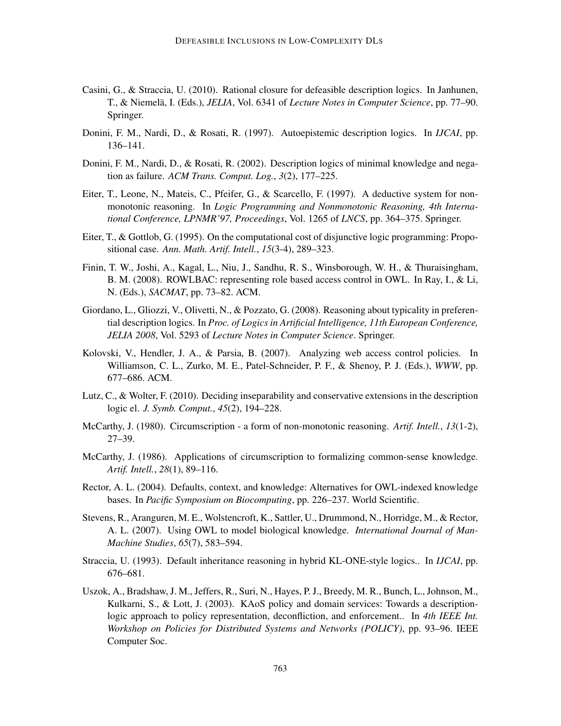- Casini, G., & Straccia, U. (2010). Rational closure for defeasible description logics. In Janhunen, T., & Niemelä, I. (Eds.), *JELIA*, Vol. 6341 of *Lecture Notes in Computer Science*, pp. 77–90. Springer.
- Donini, F. M., Nardi, D., & Rosati, R. (1997). Autoepistemic description logics. In *IJCAI*, pp. 136–141.
- Donini, F. M., Nardi, D., & Rosati, R. (2002). Description logics of minimal knowledge and negation as failure. *ACM Trans. Comput. Log.*, *3*(2), 177–225.
- Eiter, T., Leone, N., Mateis, C., Pfeifer, G., & Scarcello, F. (1997). A deductive system for nonmonotonic reasoning. In *Logic Programming and Nonmonotonic Reasoning, 4th International Conference, LPNMR'97, Proceedings*, Vol. 1265 of *LNCS*, pp. 364–375. Springer.
- Eiter, T., & Gottlob, G. (1995). On the computational cost of disjunctive logic programming: Propositional case. *Ann. Math. Artif. Intell.*, *15*(3-4), 289–323.
- Finin, T. W., Joshi, A., Kagal, L., Niu, J., Sandhu, R. S., Winsborough, W. H., & Thuraisingham, B. M. (2008). ROWLBAC: representing role based access control in OWL. In Ray, I., & Li, N. (Eds.), *SACMAT*, pp. 73–82. ACM.
- Giordano, L., Gliozzi, V., Olivetti, N., & Pozzato, G. (2008). Reasoning about typicality in preferential description logics. In *Proc. of Logics in Artificial Intelligence, 11th European Conference, JELIA 2008*, Vol. 5293 of *Lecture Notes in Computer Science*. Springer.
- Kolovski, V., Hendler, J. A., & Parsia, B. (2007). Analyzing web access control policies. In Williamson, C. L., Zurko, M. E., Patel-Schneider, P. F., & Shenoy, P. J. (Eds.), *WWW*, pp. 677–686. ACM.
- Lutz, C., & Wolter, F. (2010). Deciding inseparability and conservative extensions in the description logic el. *J. Symb. Comput.*, *45*(2), 194–228.
- McCarthy, J. (1980). Circumscription a form of non-monotonic reasoning. *Artif. Intell.*, *13*(1-2), 27–39.
- McCarthy, J. (1986). Applications of circumscription to formalizing common-sense knowledge. *Artif. Intell.*, *28*(1), 89–116.
- Rector, A. L. (2004). Defaults, context, and knowledge: Alternatives for OWL-indexed knowledge bases. In *Pacific Symposium on Biocomputing*, pp. 226–237. World Scientific.
- Stevens, R., Aranguren, M. E., Wolstencroft, K., Sattler, U., Drummond, N., Horridge, M., & Rector, A. L. (2007). Using OWL to model biological knowledge. *International Journal of Man-Machine Studies*, *65*(7), 583–594.
- Straccia, U. (1993). Default inheritance reasoning in hybrid KL-ONE-style logics.. In *IJCAI*, pp. 676–681.
- Uszok, A., Bradshaw, J. M., Jeffers, R., Suri, N., Hayes, P. J., Breedy, M. R., Bunch, L., Johnson, M., Kulkarni, S., & Lott, J. (2003). KAoS policy and domain services: Towards a descriptionlogic approach to policy representation, deconfliction, and enforcement.. In *4th IEEE Int. Workshop on Policies for Distributed Systems and Networks (POLICY)*, pp. 93–96. IEEE Computer Soc.